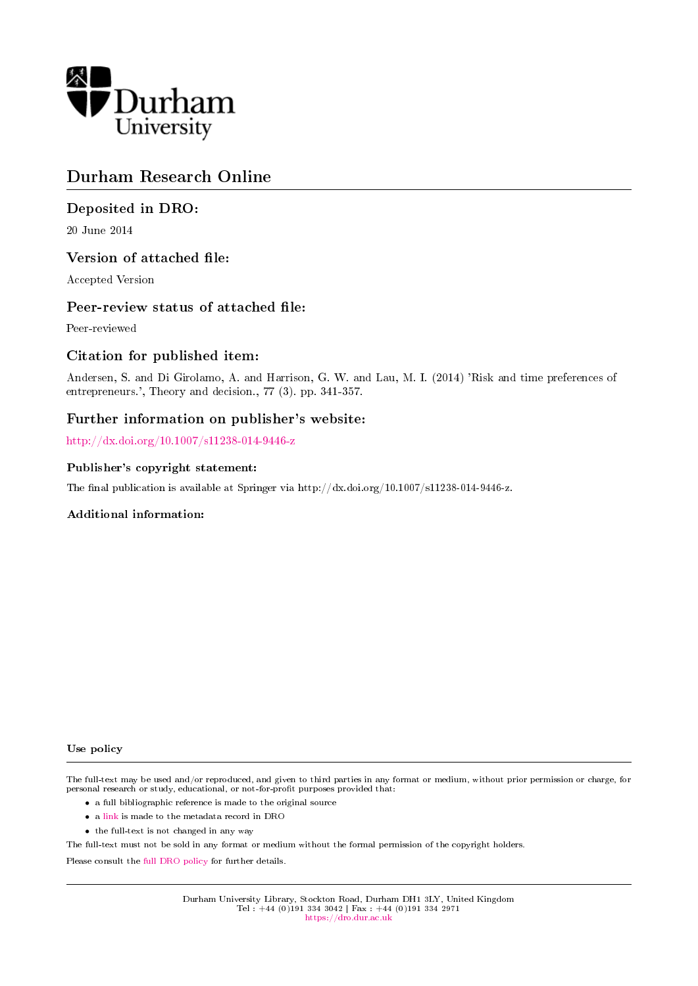

# Durham Research Online

# Deposited in DRO:

20 June 2014

# Version of attached file:

Accepted Version

### Peer-review status of attached file:

Peer-reviewed

# Citation for published item:

Andersen, S. and Di Girolamo, A. and Harrison, G. W. and Lau, M. I. (2014) 'Risk and time preferences of entrepreneurs.', Theory and decision., 77 (3). pp. 341-357.

# Further information on publisher's website:

<http://dx.doi.org/10.1007/s11238-014-9446-z>

### Publisher's copyright statement:

The final publication is available at Springer via http://dx.doi.org/10.1007/s11238-014-9446-z.

### Additional information:

#### Use policy

The full-text may be used and/or reproduced, and given to third parties in any format or medium, without prior permission or charge, for personal research or study, educational, or not-for-profit purposes provided that:

- a full bibliographic reference is made to the original source
- a [link](http://dro.dur.ac.uk/12801/) is made to the metadata record in DRO
- the full-text is not changed in any way

The full-text must not be sold in any format or medium without the formal permission of the copyright holders.

Please consult the [full DRO policy](https://dro.dur.ac.uk/policies/usepolicy.pdf) for further details.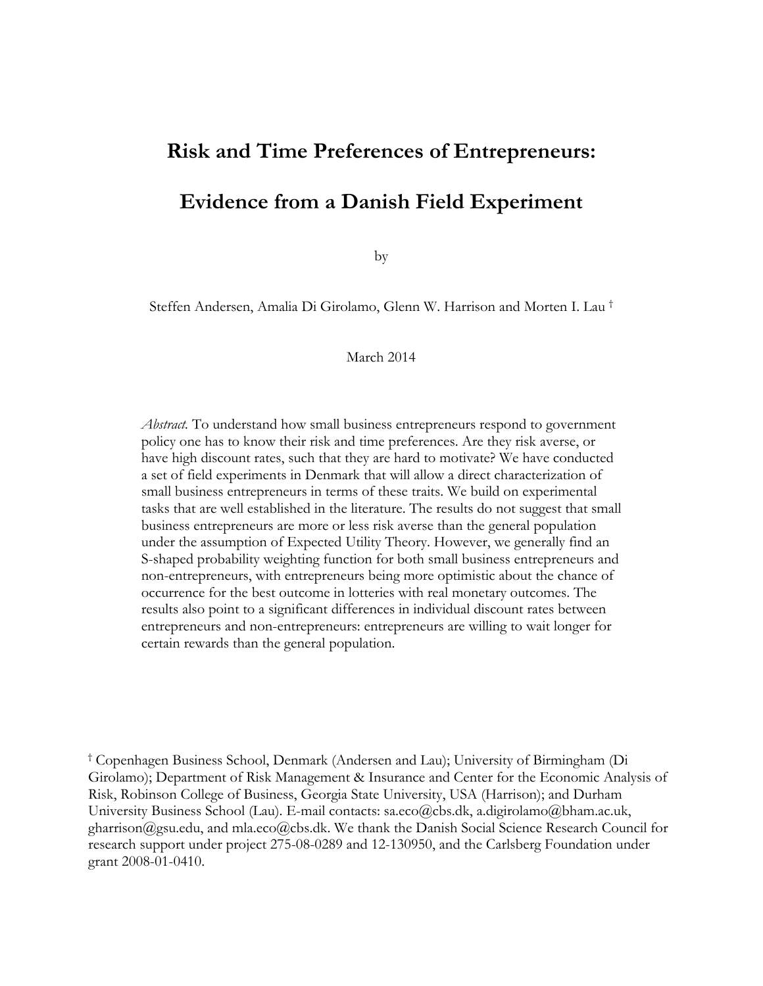# **Risk and Time Preferences of Entrepreneurs: Evidence from a Danish Field Experiment**

by

Steffen Andersen, Amalia Di Girolamo, Glenn W. Harrison and Morten I. Lau †

March 2014

*Abstract.* To understand how small business entrepreneurs respond to government policy one has to know their risk and time preferences. Are they risk averse, or have high discount rates, such that they are hard to motivate? We have conducted a set of field experiments in Denmark that will allow a direct characterization of small business entrepreneurs in terms of these traits. We build on experimental tasks that are well established in the literature. The results do not suggest that small business entrepreneurs are more or less risk averse than the general population under the assumption of Expected Utility Theory. However, we generally find an S-shaped probability weighting function for both small business entrepreneurs and non-entrepreneurs, with entrepreneurs being more optimistic about the chance of occurrence for the best outcome in lotteries with real monetary outcomes. The results also point to a significant differences in individual discount rates between entrepreneurs and non-entrepreneurs: entrepreneurs are willing to wait longer for certain rewards than the general population.

† Copenhagen Business School, Denmark (Andersen and Lau); University of Birmingham (Di Girolamo); Department of Risk Management & Insurance and Center for the Economic Analysis of Risk, Robinson College of Business, Georgia State University, USA (Harrison); and Durham University Business School (Lau). E-mail contacts: sa.eco@cbs.dk, a.digirolamo@bham.ac.uk, gharrison@gsu.edu, and mla.eco@cbs.dk. We thank the Danish Social Science Research Council for research support under project 275-08-0289 and 12-130950, and the Carlsberg Foundation under grant 2008-01-0410.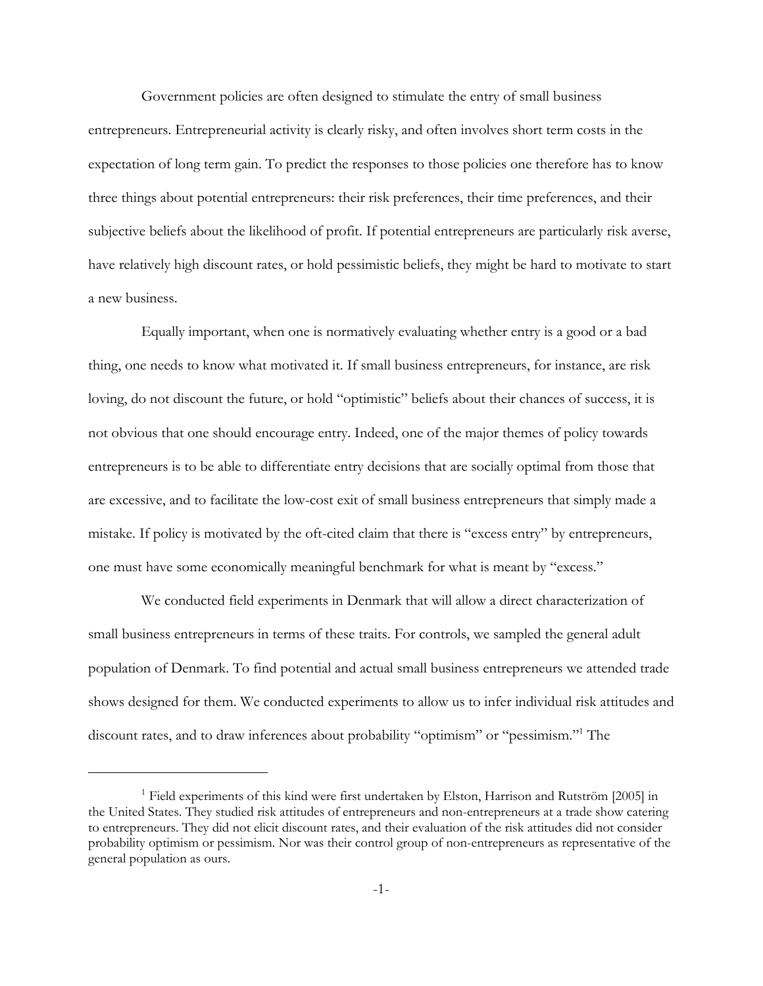Government policies are often designed to stimulate the entry of small business entrepreneurs. Entrepreneurial activity is clearly risky, and often involves short term costs in the expectation of long term gain. To predict the responses to those policies one therefore has to know three things about potential entrepreneurs: their risk preferences, their time preferences, and their subjective beliefs about the likelihood of profit. If potential entrepreneurs are particularly risk averse, have relatively high discount rates, or hold pessimistic beliefs, they might be hard to motivate to start a new business.

Equally important, when one is normatively evaluating whether entry is a good or a bad thing, one needs to know what motivated it. If small business entrepreneurs, for instance, are risk loving, do not discount the future, or hold "optimistic" beliefs about their chances of success, it is not obvious that one should encourage entry. Indeed, one of the major themes of policy towards entrepreneurs is to be able to differentiate entry decisions that are socially optimal from those that are excessive, and to facilitate the low-cost exit of small business entrepreneurs that simply made a mistake. If policy is motivated by the oft-cited claim that there is "excess entry" by entrepreneurs, one must have some economically meaningful benchmark for what is meant by "excess."

We conducted field experiments in Denmark that will allow a direct characterization of small business entrepreneurs in terms of these traits. For controls, we sampled the general adult population of Denmark. To find potential and actual small business entrepreneurs we attended trade shows designed for them. We conducted experiments to allow us to infer individual risk attitudes and discount rates, and to draw inferences about probability "optimism" or "pessimism."1 The

<sup>&</sup>lt;sup>1</sup> Field experiments of this kind were first undertaken by Elston, Harrison and Rutström [2005] in the United States. They studied risk attitudes of entrepreneurs and non-entrepreneurs at a trade show catering to entrepreneurs. They did not elicit discount rates, and their evaluation of the risk attitudes did not consider probability optimism or pessimism. Nor was their control group of non-entrepreneurs as representative of the general population as ours.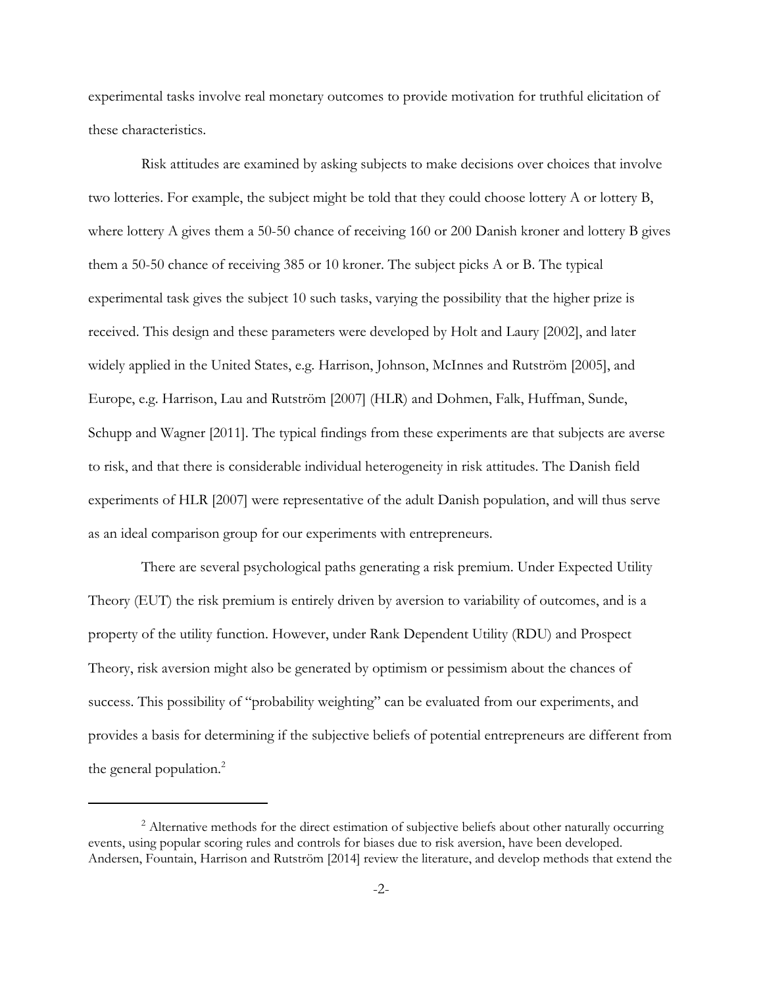experimental tasks involve real monetary outcomes to provide motivation for truthful elicitation of these characteristics.

Risk attitudes are examined by asking subjects to make decisions over choices that involve two lotteries. For example, the subject might be told that they could choose lottery A or lottery B, where lottery A gives them a 50-50 chance of receiving 160 or 200 Danish kroner and lottery B gives them a 50-50 chance of receiving 385 or 10 kroner. The subject picks A or B. The typical experimental task gives the subject 10 such tasks, varying the possibility that the higher prize is received. This design and these parameters were developed by Holt and Laury [2002], and later widely applied in the United States, e.g. Harrison, Johnson, McInnes and Rutström [2005], and Europe, e.g. Harrison, Lau and Rutström [2007] (HLR) and Dohmen, Falk, Huffman, Sunde, Schupp and Wagner [2011]. The typical findings from these experiments are that subjects are averse to risk, and that there is considerable individual heterogeneity in risk attitudes. The Danish field experiments of HLR [2007] were representative of the adult Danish population, and will thus serve as an ideal comparison group for our experiments with entrepreneurs.

There are several psychological paths generating a risk premium. Under Expected Utility Theory (EUT) the risk premium is entirely driven by aversion to variability of outcomes, and is a property of the utility function. However, under Rank Dependent Utility (RDU) and Prospect Theory, risk aversion might also be generated by optimism or pessimism about the chances of success. This possibility of "probability weighting" can be evaluated from our experiments, and provides a basis for determining if the subjective beliefs of potential entrepreneurs are different from the general population.<sup>2</sup>

<sup>&</sup>lt;sup>2</sup> Alternative methods for the direct estimation of subjective beliefs about other naturally occurring events, using popular scoring rules and controls for biases due to risk aversion, have been developed. Andersen, Fountain, Harrison and Rutström [2014] review the literature, and develop methods that extend the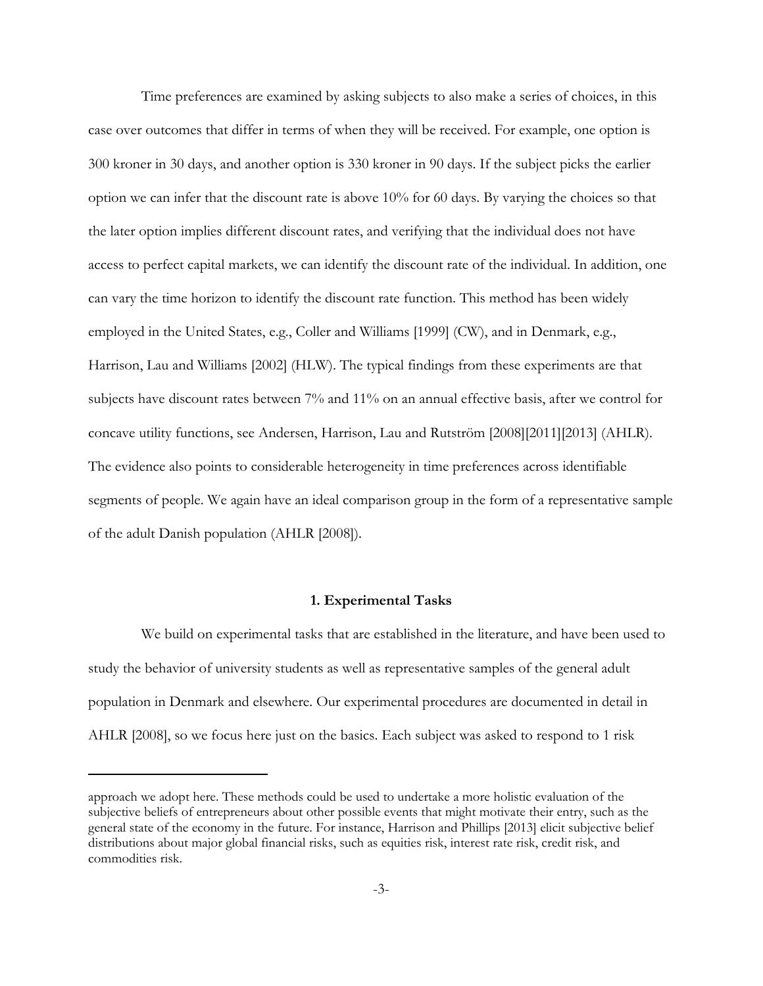Time preferences are examined by asking subjects to also make a series of choices, in this case over outcomes that differ in terms of when they will be received. For example, one option is 300 kroner in 30 days, and another option is 330 kroner in 90 days. If the subject picks the earlier option we can infer that the discount rate is above 10% for 60 days. By varying the choices so that the later option implies different discount rates, and verifying that the individual does not have access to perfect capital markets, we can identify the discount rate of the individual. In addition, one can vary the time horizon to identify the discount rate function. This method has been widely employed in the United States, e.g., Coller and Williams [1999] (CW), and in Denmark, e.g., Harrison, Lau and Williams [2002] (HLW). The typical findings from these experiments are that subjects have discount rates between 7% and 11% on an annual effective basis, after we control for concave utility functions, see Andersen, Harrison, Lau and Rutström [2008][2011][2013] (AHLR). The evidence also points to considerable heterogeneity in time preferences across identifiable segments of people. We again have an ideal comparison group in the form of a representative sample of the adult Danish population (AHLR [2008]).

### **1. Experimental Tasks**

We build on experimental tasks that are established in the literature, and have been used to study the behavior of university students as well as representative samples of the general adult population in Denmark and elsewhere. Our experimental procedures are documented in detail in AHLR [2008], so we focus here just on the basics. Each subject was asked to respond to 1 risk

approach we adopt here. These methods could be used to undertake a more holistic evaluation of the subjective beliefs of entrepreneurs about other possible events that might motivate their entry, such as the general state of the economy in the future. For instance, Harrison and Phillips [2013] elicit subjective belief distributions about major global financial risks, such as equities risk, interest rate risk, credit risk, and commodities risk.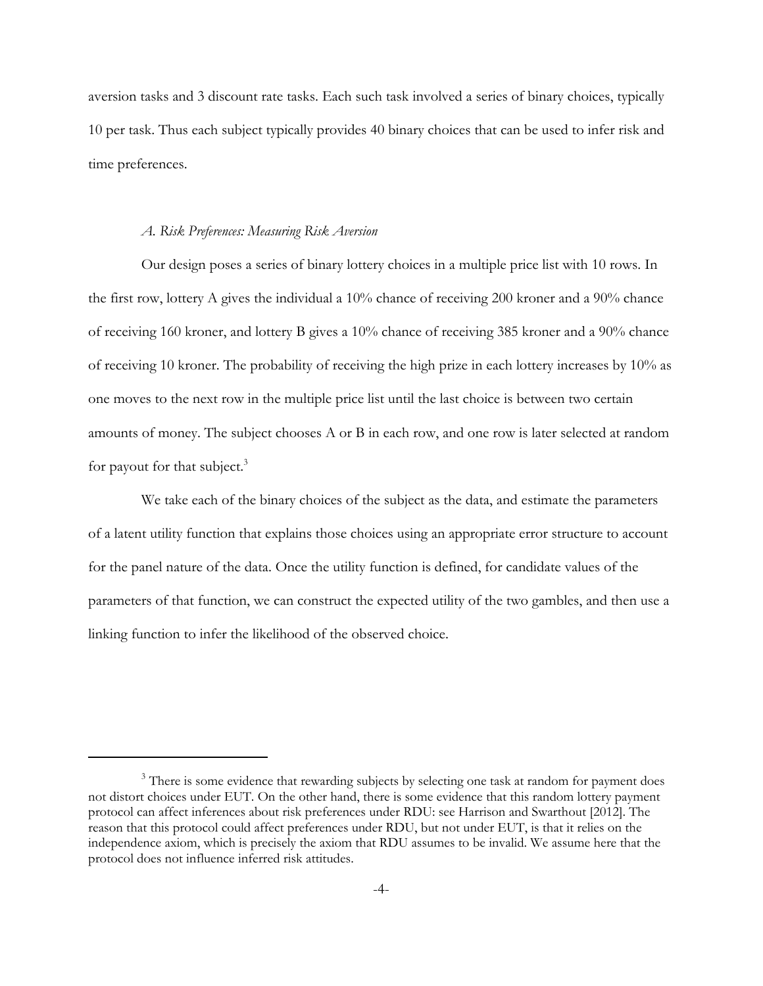aversion tasks and 3 discount rate tasks. Each such task involved a series of binary choices, typically 10 per task. Thus each subject typically provides 40 binary choices that can be used to infer risk and time preferences.

#### *A. Risk Preferences: Measuring Risk Aversion*

Our design poses a series of binary lottery choices in a multiple price list with 10 rows. In the first row, lottery A gives the individual a 10% chance of receiving 200 kroner and a 90% chance of receiving 160 kroner, and lottery B gives a 10% chance of receiving 385 kroner and a 90% chance of receiving 10 kroner. The probability of receiving the high prize in each lottery increases by 10% as one moves to the next row in the multiple price list until the last choice is between two certain amounts of money. The subject chooses A or B in each row, and one row is later selected at random for payout for that subject. $3$ 

We take each of the binary choices of the subject as the data, and estimate the parameters of a latent utility function that explains those choices using an appropriate error structure to account for the panel nature of the data. Once the utility function is defined, for candidate values of the parameters of that function, we can construct the expected utility of the two gambles, and then use a linking function to infer the likelihood of the observed choice.

<sup>&</sup>lt;sup>3</sup> There is some evidence that rewarding subjects by selecting one task at random for payment does not distort choices under EUT. On the other hand, there is some evidence that this random lottery payment protocol can affect inferences about risk preferences under RDU: see Harrison and Swarthout [2012]. The reason that this protocol could affect preferences under RDU, but not under EUT, is that it relies on the independence axiom, which is precisely the axiom that RDU assumes to be invalid. We assume here that the protocol does not influence inferred risk attitudes.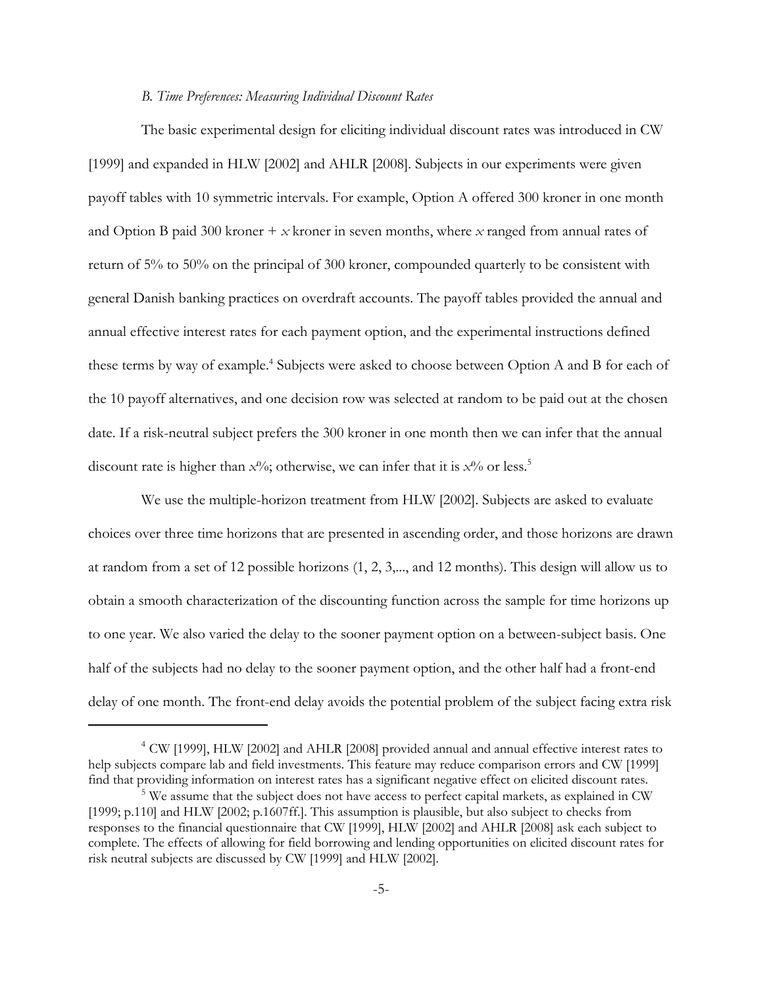### *B. Time Preferences: Measuring Individual Discount Rates*

The basic experimental design for eliciting individual discount rates was introduced in CW [1999] and expanded in HLW [2002] and AHLR [2008]. Subjects in our experiments were given payoff tables with 10 symmetric intervals. For example, Option A offered 300 kroner in one month and Option B paid 300 kroner + *x* kroner in seven months, where *x* ranged from annual rates of return of 5% to 50% on the principal of 300 kroner, compounded quarterly to be consistent with general Danish banking practices on overdraft accounts. The payoff tables provided the annual and annual effective interest rates for each payment option, and the experimental instructions defined these terms by way of example.<sup>4</sup> Subjects were asked to choose between Option A and B for each of the 10 payoff alternatives, and one decision row was selected at random to be paid out at the chosen date. If a risk-neutral subject prefers the 300 kroner in one month then we can infer that the annual discount rate is higher than  $x^0/6$ ; otherwise, we can infer that it is  $x^0/6$  or less.<sup>5</sup>

We use the multiple-horizon treatment from HLW [2002]. Subjects are asked to evaluate choices over three time horizons that are presented in ascending order, and those horizons are drawn at random from a set of 12 possible horizons (1, 2, 3,..., and 12 months). This design will allow us to obtain a smooth characterization of the discounting function across the sample for time horizons up to one year. We also varied the delay to the sooner payment option on a between-subject basis. One half of the subjects had no delay to the sooner payment option, and the other half had a front-end delay of one month. The front-end delay avoids the potential problem of the subject facing extra risk

<sup>4</sup> CW [1999], HLW [2002] and AHLR [2008] provided annual and annual effective interest rates to help subjects compare lab and field investments. This feature may reduce comparison errors and CW [1999] find that providing information on interest rates has a significant negative effect on elicited discount rates.

<sup>&</sup>lt;sup>5</sup> We assume that the subject does not have access to perfect capital markets, as explained in CW [1999; p.110] and HLW [2002; p.1607ff.]. This assumption is plausible, but also subject to checks from responses to the financial questionnaire that CW [1999], HLW [2002] and AHLR [2008] ask each subject to complete. The effects of allowing for field borrowing and lending opportunities on elicited discount rates for risk neutral subjects are discussed by CW [1999] and HLW [2002].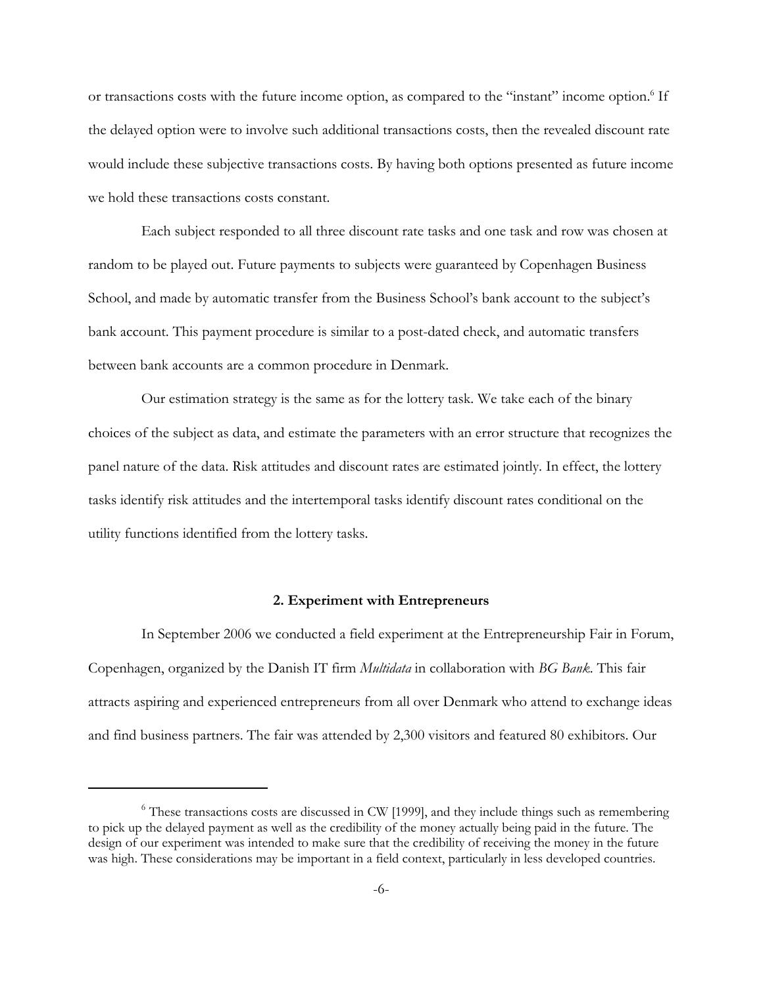or transactions costs with the future income option, as compared to the "instant" income option.<sup>6</sup> If the delayed option were to involve such additional transactions costs, then the revealed discount rate would include these subjective transactions costs. By having both options presented as future income we hold these transactions costs constant.

Each subject responded to all three discount rate tasks and one task and row was chosen at random to be played out. Future payments to subjects were guaranteed by Copenhagen Business School, and made by automatic transfer from the Business School's bank account to the subject's bank account. This payment procedure is similar to a post-dated check, and automatic transfers between bank accounts are a common procedure in Denmark.

Our estimation strategy is the same as for the lottery task. We take each of the binary choices of the subject as data, and estimate the parameters with an error structure that recognizes the panel nature of the data. Risk attitudes and discount rates are estimated jointly. In effect, the lottery tasks identify risk attitudes and the intertemporal tasks identify discount rates conditional on the utility functions identified from the lottery tasks.

### **2. Experiment with Entrepreneurs**

In September 2006 we conducted a field experiment at the Entrepreneurship Fair in Forum, Copenhagen, organized by the Danish IT firm *Multidata* in collaboration with *BG Bank*. This fair attracts aspiring and experienced entrepreneurs from all over Denmark who attend to exchange ideas and find business partners. The fair was attended by 2,300 visitors and featured 80 exhibitors. Our

<sup>&</sup>lt;sup>6</sup> These transactions costs are discussed in CW [1999], and they include things such as remembering to pick up the delayed payment as well as the credibility of the money actually being paid in the future. The design of our experiment was intended to make sure that the credibility of receiving the money in the future was high. These considerations may be important in a field context, particularly in less developed countries.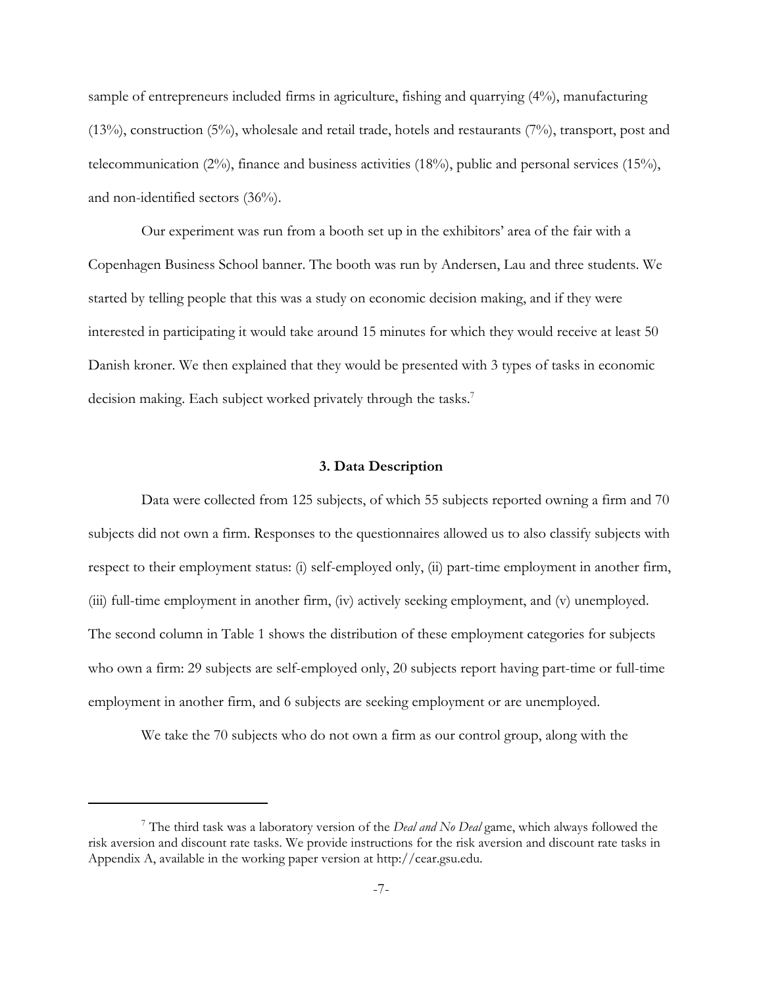sample of entrepreneurs included firms in agriculture, fishing and quarrying (4%), manufacturing (13%), construction (5%), wholesale and retail trade, hotels and restaurants (7%), transport, post and telecommunication (2%), finance and business activities (18%), public and personal services (15%), and non-identified sectors (36%).

Our experiment was run from a booth set up in the exhibitors' area of the fair with a Copenhagen Business School banner. The booth was run by Andersen, Lau and three students. We started by telling people that this was a study on economic decision making, and if they were interested in participating it would take around 15 minutes for which they would receive at least 50 Danish kroner. We then explained that they would be presented with 3 types of tasks in economic decision making. Each subject worked privately through the tasks.<sup>7</sup>

### **3. Data Description**

Data were collected from 125 subjects, of which 55 subjects reported owning a firm and 70 subjects did not own a firm. Responses to the questionnaires allowed us to also classify subjects with respect to their employment status: (i) self-employed only, (ii) part-time employment in another firm, (iii) full-time employment in another firm, (iv) actively seeking employment, and (v) unemployed. The second column in Table 1 shows the distribution of these employment categories for subjects who own a firm: 29 subjects are self-employed only, 20 subjects report having part-time or full-time employment in another firm, and 6 subjects are seeking employment or are unemployed.

We take the 70 subjects who do not own a firm as our control group, along with the

<sup>7</sup> The third task was a laboratory version of the *Deal and No Deal* game, which always followed the risk aversion and discount rate tasks. We provide instructions for the risk aversion and discount rate tasks in Appendix A, available in the working paper version at http://cear.gsu.edu.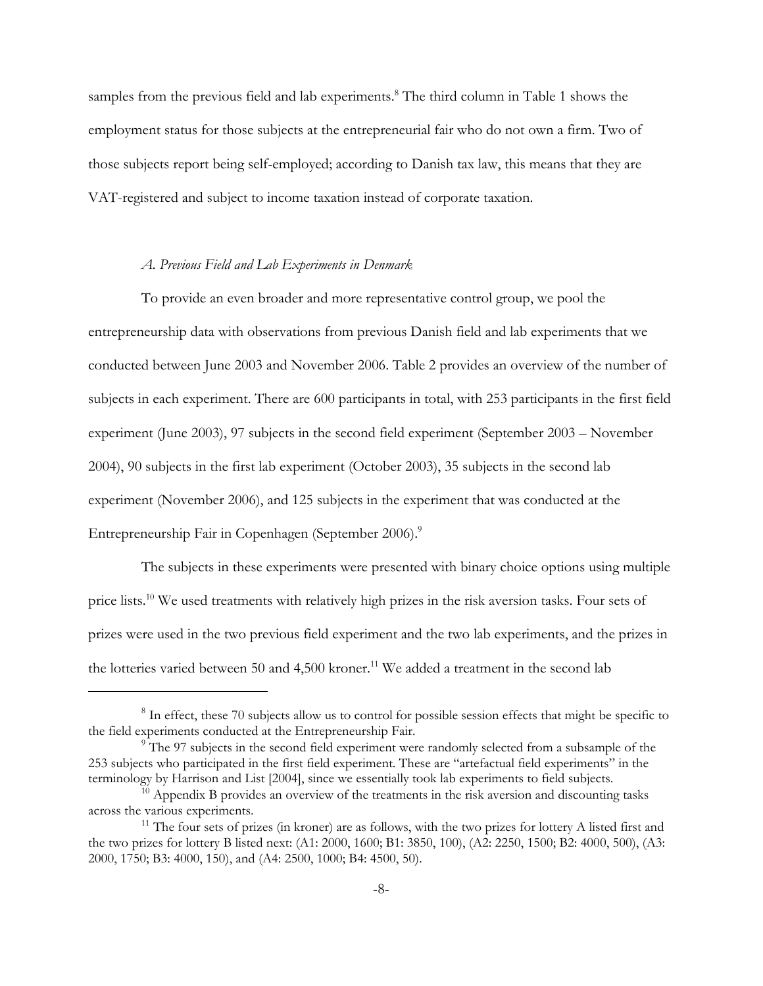samples from the previous field and lab experiments.<sup>8</sup> The third column in Table 1 shows the employment status for those subjects at the entrepreneurial fair who do not own a firm. Two of those subjects report being self-employed; according to Danish tax law, this means that they are VAT-registered and subject to income taxation instead of corporate taxation.

### *A. Previous Field and Lab Experiments in Denmark*

To provide an even broader and more representative control group, we pool the entrepreneurship data with observations from previous Danish field and lab experiments that we conducted between June 2003 and November 2006. Table 2 provides an overview of the number of subjects in each experiment. There are 600 participants in total, with 253 participants in the first field experiment (June 2003), 97 subjects in the second field experiment (September 2003 – November 2004), 90 subjects in the first lab experiment (October 2003), 35 subjects in the second lab experiment (November 2006), and 125 subjects in the experiment that was conducted at the Entrepreneurship Fair in Copenhagen (September 2006).<sup>9</sup>

The subjects in these experiments were presented with binary choice options using multiple price lists.10 We used treatments with relatively high prizes in the risk aversion tasks. Four sets of prizes were used in the two previous field experiment and the two lab experiments, and the prizes in the lotteries varied between 50 and 4,500 kroner.<sup>11</sup> We added a treatment in the second lab

<sup>&</sup>lt;sup>8</sup> In effect, these 70 subjects allow us to control for possible session effects that might be specific to the field experiments conducted at the Entrepreneurship Fair.

<sup>&</sup>lt;sup>9</sup> The 97 subjects in the second field experiment were randomly selected from a subsample of the 253 subjects who participated in the first field experiment. These are "artefactual field experiments" in the terminology by Harrison and List [2004], since we essentially took lab experiments to field subjects.

 $10$  Appendix B provides an overview of the treatments in the risk aversion and discounting tasks across the various experiments.

 $11$  The four sets of prizes (in kroner) are as follows, with the two prizes for lottery A listed first and the two prizes for lottery B listed next: (A1: 2000, 1600; B1: 3850, 100), (A2: 2250, 1500; B2: 4000, 500), (A3: 2000, 1750; B3: 4000, 150), and (A4: 2500, 1000; B4: 4500, 50).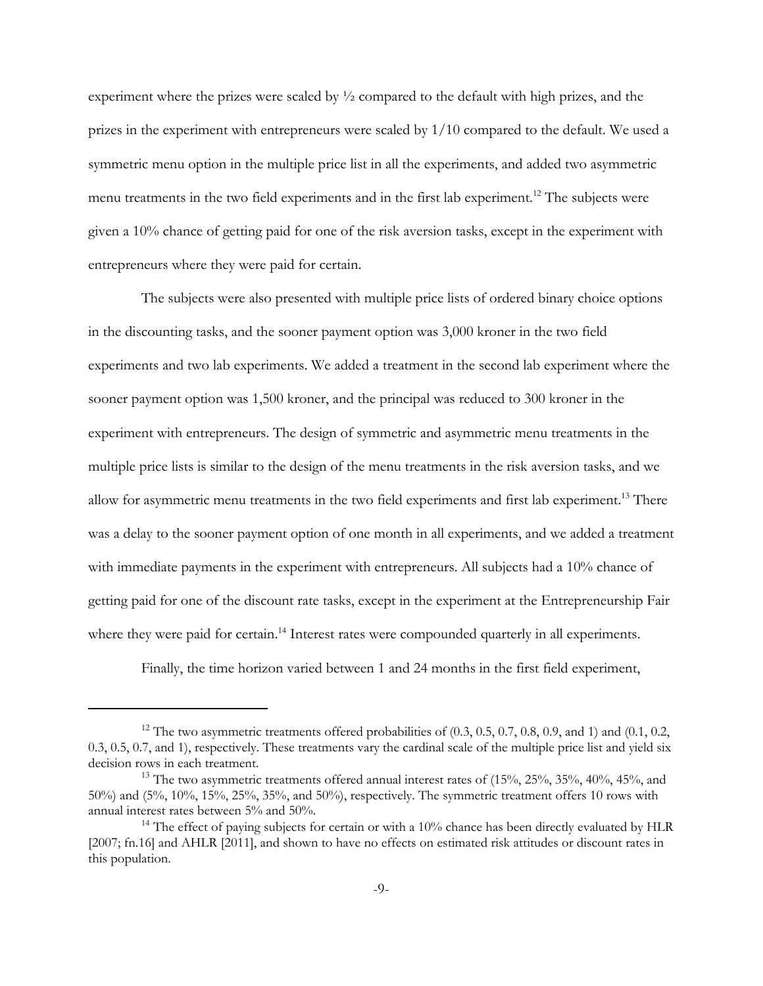experiment where the prizes were scaled by  $\frac{1}{2}$  compared to the default with high prizes, and the prizes in the experiment with entrepreneurs were scaled by 1/10 compared to the default. We used a symmetric menu option in the multiple price list in all the experiments, and added two asymmetric menu treatments in the two field experiments and in the first lab experiment.<sup>12</sup> The subjects were given a 10% chance of getting paid for one of the risk aversion tasks, except in the experiment with entrepreneurs where they were paid for certain.

The subjects were also presented with multiple price lists of ordered binary choice options in the discounting tasks, and the sooner payment option was 3,000 kroner in the two field experiments and two lab experiments. We added a treatment in the second lab experiment where the sooner payment option was 1,500 kroner, and the principal was reduced to 300 kroner in the experiment with entrepreneurs. The design of symmetric and asymmetric menu treatments in the multiple price lists is similar to the design of the menu treatments in the risk aversion tasks, and we allow for asymmetric menu treatments in the two field experiments and first lab experiment.<sup>13</sup> There was a delay to the sooner payment option of one month in all experiments, and we added a treatment with immediate payments in the experiment with entrepreneurs. All subjects had a 10% chance of getting paid for one of the discount rate tasks, except in the experiment at the Entrepreneurship Fair where they were paid for certain.<sup>14</sup> Interest rates were compounded quarterly in all experiments.

Finally, the time horizon varied between 1 and 24 months in the first field experiment,

<sup>&</sup>lt;sup>12</sup> The two asymmetric treatments offered probabilities of  $(0.3, 0.5, 0.7, 0.8, 0.9,$  and 1) and  $(0.1, 0.2,$ 0.3, 0.5, 0.7, and 1), respectively. These treatments vary the cardinal scale of the multiple price list and yield six decision rows in each treatment.

<sup>&</sup>lt;sup>13</sup> The two asymmetric treatments offered annual interest rates of  $(15%, 25%, 35%, 40%, 45%,$  and 50%) and (5%, 10%, 15%, 25%, 35%, and 50%), respectively. The symmetric treatment offers 10 rows with annual interest rates between 5% and 50%.

<sup>&</sup>lt;sup>14</sup> The effect of paying subjects for certain or with a  $10\%$  chance has been directly evaluated by HLR [2007; fn.16] and AHLR [2011], and shown to have no effects on estimated risk attitudes or discount rates in this population.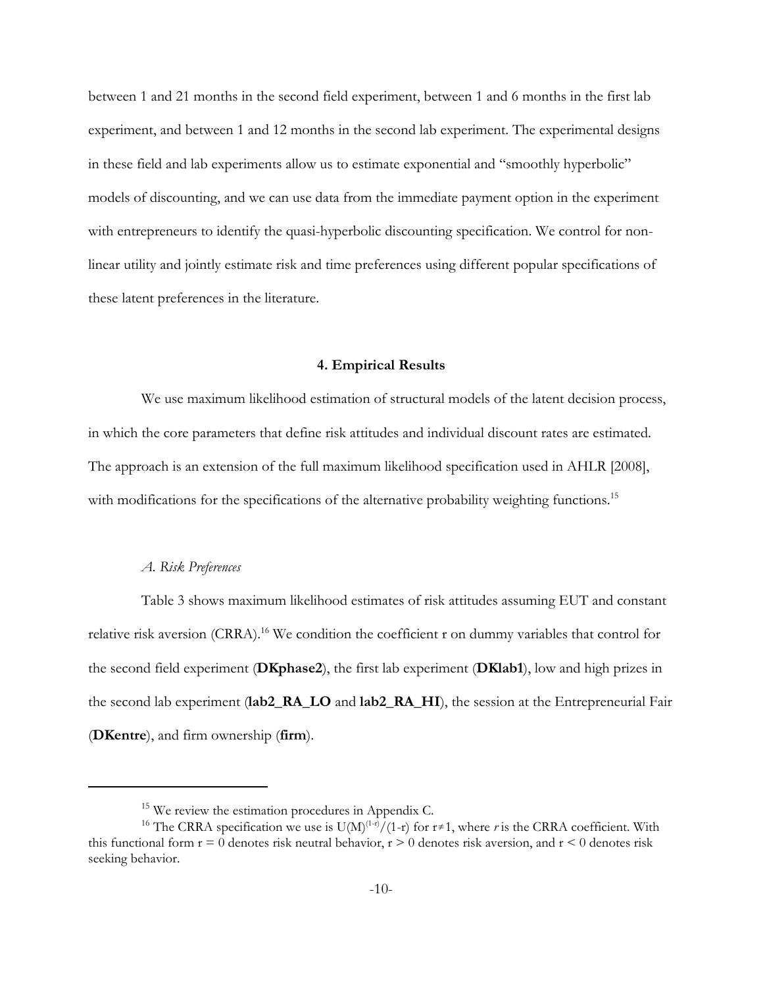between 1 and 21 months in the second field experiment, between 1 and 6 months in the first lab experiment, and between 1 and 12 months in the second lab experiment. The experimental designs in these field and lab experiments allow us to estimate exponential and "smoothly hyperbolic" models of discounting, and we can use data from the immediate payment option in the experiment with entrepreneurs to identify the quasi-hyperbolic discounting specification. We control for nonlinear utility and jointly estimate risk and time preferences using different popular specifications of these latent preferences in the literature.

#### **4. Empirical Results**

We use maximum likelihood estimation of structural models of the latent decision process, in which the core parameters that define risk attitudes and individual discount rates are estimated. The approach is an extension of the full maximum likelihood specification used in AHLR [2008], with modifications for the specifications of the alternative probability weighting functions.<sup>15</sup>

### *A. Risk Preferences*

Table 3 shows maximum likelihood estimates of risk attitudes assuming EUT and constant relative risk aversion  $(CRRA)^{16}$  We condition the coefficient r on dummy variables that control for the second field experiment (**DKphase2**), the first lab experiment (**DKlab1**), low and high prizes in the second lab experiment (**lab2\_RA\_LO** and **lab2\_RA\_HI**), the session at the Entrepreneurial Fair (**DKentre**), and firm ownership (**firm**).

 $15$  We review the estimation procedures in Appendix C.

<sup>&</sup>lt;sup>16</sup> The CRRA specification we use is  $U(M)^{(1-r)}/(1-r)$  for  $r \ne 1$ , where *r* is the CRRA coefficient. With this functional form  $r = 0$  denotes risk neutral behavior,  $r > 0$  denotes risk aversion, and  $r < 0$  denotes risk seeking behavior.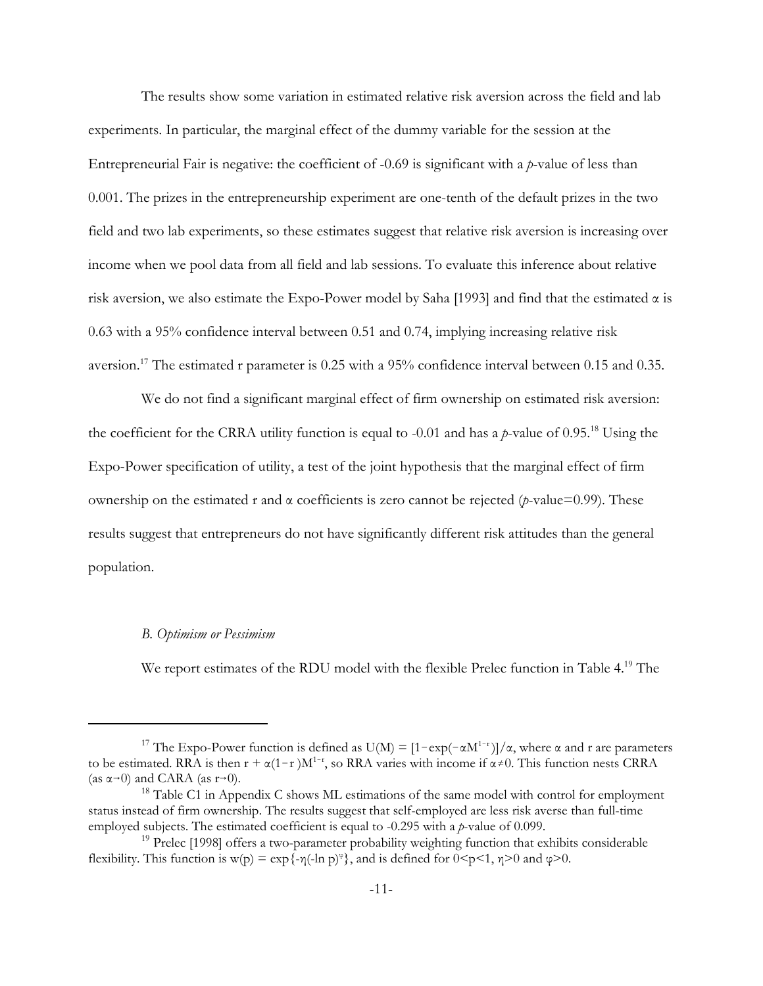The results show some variation in estimated relative risk aversion across the field and lab experiments. In particular, the marginal effect of the dummy variable for the session at the Entrepreneurial Fair is negative: the coefficient of -0.69 is significant with a *p*-value of less than 0.001. The prizes in the entrepreneurship experiment are one-tenth of the default prizes in the two field and two lab experiments, so these estimates suggest that relative risk aversion is increasing over income when we pool data from all field and lab sessions. To evaluate this inference about relative risk aversion, we also estimate the Expo-Power model by Saha [1993] and find that the estimated  $\alpha$  is 0.63 with a 95% confidence interval between 0.51 and 0.74, implying increasing relative risk aversion.<sup>17</sup> The estimated r parameter is  $0.25$  with a 95% confidence interval between 0.15 and 0.35.

We do not find a significant marginal effect of firm ownership on estimated risk aversion: the coefficient for the CRRA utility function is equal to -0.01 and has a *p*-value of 0.95.18 Using the Expo-Power specification of utility, a test of the joint hypothesis that the marginal effect of firm ownership on the estimated r and α coefficients is zero cannot be rejected (*p*-value=0.99). These results suggest that entrepreneurs do not have significantly different risk attitudes than the general population.

### *B. Optimism or Pessimism*

We report estimates of the RDU model with the flexible Prelec function in Table 4.<sup>19</sup> The

<sup>&</sup>lt;sup>17</sup> The Expo-Power function is defined as  $U(M) = \frac{1 - \exp(-\alpha M^{1-r})}{\alpha}$ , where  $\alpha$  and r are parameters to be estimated. RRA is then  $r + \alpha(1-r)M^{1-r}$ , so RRA varies with income if  $\alpha \neq 0$ . This function nests CRRA (as  $\alpha \rightarrow 0$ ) and CARA (as  $r \rightarrow 0$ ).

<sup>&</sup>lt;sup>18</sup> Table C1 in Appendix C shows ML estimations of the same model with control for employment status instead of firm ownership. The results suggest that self-employed are less risk averse than full-time employed subjects. The estimated coefficient is equal to -0.295 with a *p*-value of 0.099.

<sup>&</sup>lt;sup>19</sup> Prelec [1998] offers a two-parameter probability weighting function that exhibits considerable flexibility. This function is w(p) =  $\exp{\{-\eta(\text{-ln } p)^{\varphi}\}}$ , and is defined for  $0 \le p \le 1$ ,  $\eta \ge 0$  and  $\varphi \ge 0$ .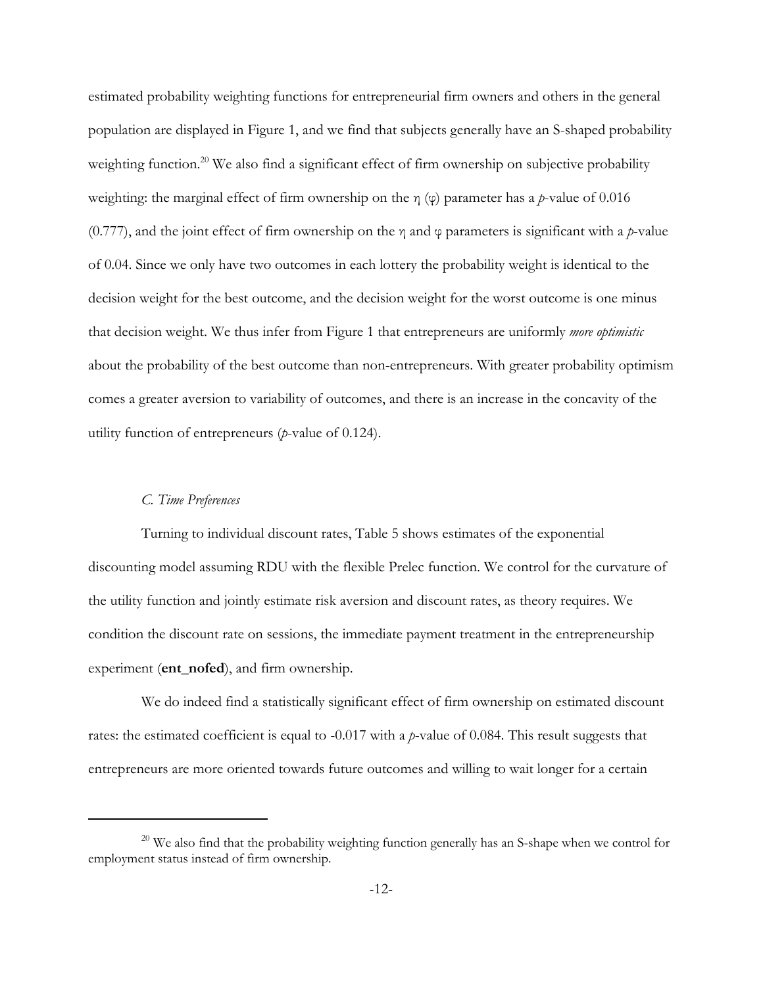estimated probability weighting functions for entrepreneurial firm owners and others in the general population are displayed in Figure 1, and we find that subjects generally have an S-shaped probability weighting function.<sup>20</sup> We also find a significant effect of firm ownership on subjective probability weighting: the marginal effect of firm ownership on the η (φ) parameter has a *p*-value of 0.016 (0.777), and the joint effect of firm ownership on the  $\eta$  and  $\varphi$  parameters is significant with a *p*-value of 0.04. Since we only have two outcomes in each lottery the probability weight is identical to the decision weight for the best outcome, and the decision weight for the worst outcome is one minus that decision weight. We thus infer from Figure 1 that entrepreneurs are uniformly *more optimistic* about the probability of the best outcome than non-entrepreneurs. With greater probability optimism comes a greater aversion to variability of outcomes, and there is an increase in the concavity of the utility function of entrepreneurs (*p*-value of 0.124).

### *C. Time Preferences*

Turning to individual discount rates, Table 5 shows estimates of the exponential discounting model assuming RDU with the flexible Prelec function. We control for the curvature of the utility function and jointly estimate risk aversion and discount rates, as theory requires. We condition the discount rate on sessions, the immediate payment treatment in the entrepreneurship experiment (**ent\_nofed**), and firm ownership.

We do indeed find a statistically significant effect of firm ownership on estimated discount rates: the estimated coefficient is equal to -0.017 with a *p*-value of 0.084. This result suggests that entrepreneurs are more oriented towards future outcomes and willing to wait longer for a certain

<sup>&</sup>lt;sup>20</sup> We also find that the probability weighting function generally has an S-shape when we control for employment status instead of firm ownership.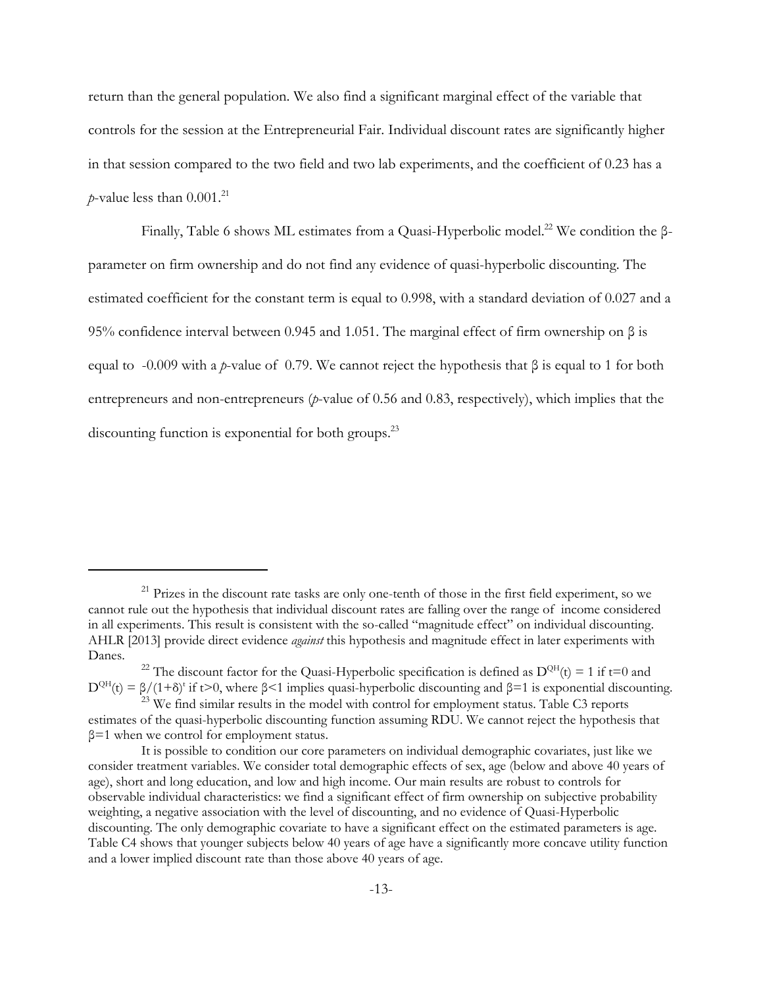return than the general population. We also find a significant marginal effect of the variable that controls for the session at the Entrepreneurial Fair. Individual discount rates are significantly higher in that session compared to the two field and two lab experiments, and the coefficient of 0.23 has a *p*-value less than  $0.001$ .<sup>21</sup>

Finally, Table 6 shows ML estimates from a Quasi-Hyperbolic model.22 We condition the βparameter on firm ownership and do not find any evidence of quasi-hyperbolic discounting. The estimated coefficient for the constant term is equal to 0.998, with a standard deviation of 0.027 and a 95% confidence interval between 0.945 and 1.051. The marginal effect of firm ownership on β is equal to -0.009 with a *p*-value of 0.79. We cannot reject the hypothesis that β is equal to 1 for both entrepreneurs and non-entrepreneurs (*p*-value of 0.56 and 0.83, respectively), which implies that the discounting function is exponential for both groups.<sup>23</sup>

<sup>&</sup>lt;sup>21</sup> Prizes in the discount rate tasks are only one-tenth of those in the first field experiment, so we cannot rule out the hypothesis that individual discount rates are falling over the range of income considered in all experiments. This result is consistent with the so-called "magnitude effect" on individual discounting. AHLR [2013] provide direct evidence *against* this hypothesis and magnitude effect in later experiments with Danes.

<sup>&</sup>lt;sup>22</sup> The discount factor for the Quasi-Hyperbolic specification is defined as  $D^{QH}(t) = 1$  if t=0 and  $D^{QH}(t) = \beta/(1+\delta)^t$  if t>0, where  $\beta$ <1 implies quasi-hyperbolic discounting and  $\beta$ =1 is exponential discounting.

<sup>&</sup>lt;sup>23</sup> We find similar results in the model with control for employment status. Table C3 reports estimates of the quasi-hyperbolic discounting function assuming RDU. We cannot reject the hypothesis that  $\beta$ =1 when we control for employment status.

It is possible to condition our core parameters on individual demographic covariates, just like we consider treatment variables. We consider total demographic effects of sex, age (below and above 40 years of age), short and long education, and low and high income. Our main results are robust to controls for observable individual characteristics: we find a significant effect of firm ownership on subjective probability weighting, a negative association with the level of discounting, and no evidence of Quasi-Hyperbolic discounting. The only demographic covariate to have a significant effect on the estimated parameters is age. Table C4 shows that younger subjects below 40 years of age have a significantly more concave utility function and a lower implied discount rate than those above 40 years of age.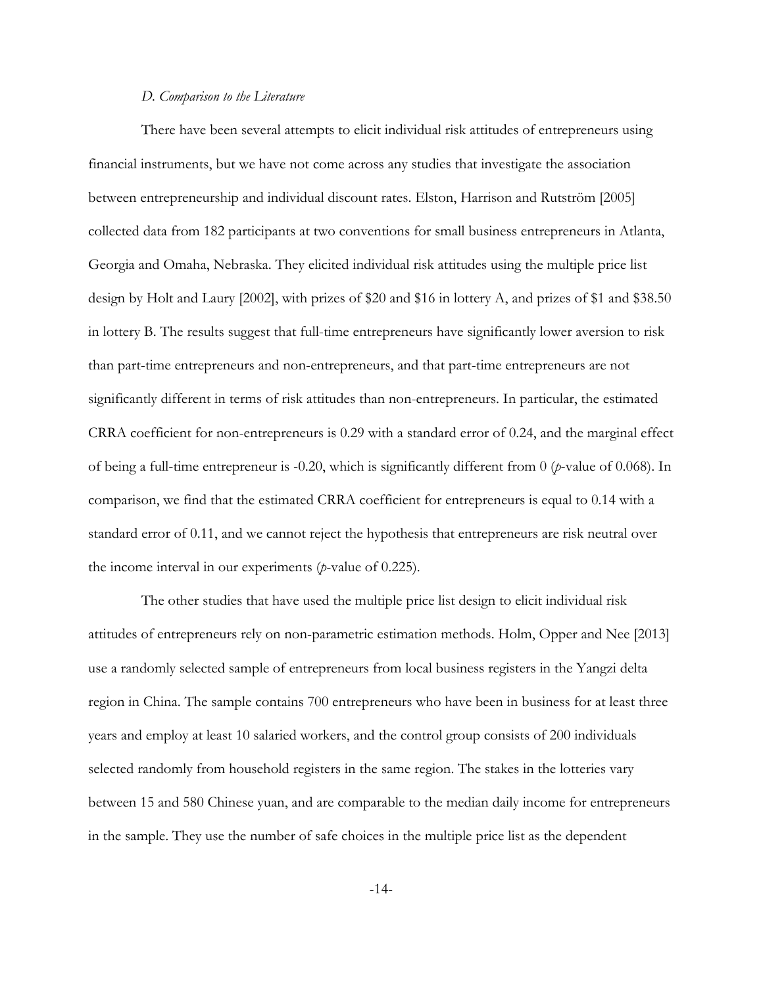### *D. Comparison to the Literature*

There have been several attempts to elicit individual risk attitudes of entrepreneurs using financial instruments, but we have not come across any studies that investigate the association between entrepreneurship and individual discount rates. Elston, Harrison and Rutström [2005] collected data from 182 participants at two conventions for small business entrepreneurs in Atlanta, Georgia and Omaha, Nebraska. They elicited individual risk attitudes using the multiple price list design by Holt and Laury [2002], with prizes of \$20 and \$16 in lottery A, and prizes of \$1 and \$38.50 in lottery B. The results suggest that full-time entrepreneurs have significantly lower aversion to risk than part-time entrepreneurs and non-entrepreneurs, and that part-time entrepreneurs are not significantly different in terms of risk attitudes than non-entrepreneurs. In particular, the estimated CRRA coefficient for non-entrepreneurs is 0.29 with a standard error of 0.24, and the marginal effect of being a full-time entrepreneur is -0.20, which is significantly different from 0 (*p*-value of 0.068). In comparison, we find that the estimated CRRA coefficient for entrepreneurs is equal to 0.14 with a standard error of 0.11, and we cannot reject the hypothesis that entrepreneurs are risk neutral over the income interval in our experiments (*p*-value of 0.225).

The other studies that have used the multiple price list design to elicit individual risk attitudes of entrepreneurs rely on non-parametric estimation methods. Holm, Opper and Nee [2013] use a randomly selected sample of entrepreneurs from local business registers in the Yangzi delta region in China. The sample contains 700 entrepreneurs who have been in business for at least three years and employ at least 10 salaried workers, and the control group consists of 200 individuals selected randomly from household registers in the same region. The stakes in the lotteries vary between 15 and 580 Chinese yuan, and are comparable to the median daily income for entrepreneurs in the sample. They use the number of safe choices in the multiple price list as the dependent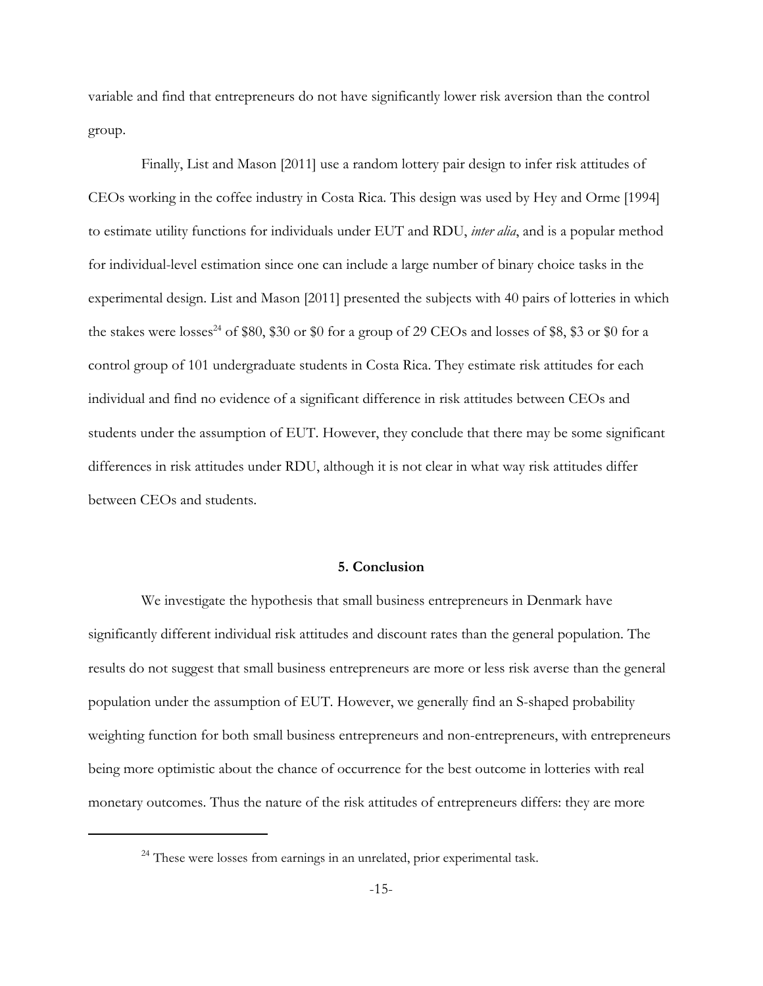variable and find that entrepreneurs do not have significantly lower risk aversion than the control group.

Finally, List and Mason [2011] use a random lottery pair design to infer risk attitudes of CEOs working in the coffee industry in Costa Rica. This design was used by Hey and Orme [1994] to estimate utility functions for individuals under EUT and RDU, *inter alia*, and is a popular method for individual-level estimation since one can include a large number of binary choice tasks in the experimental design. List and Mason [2011] presented the subjects with 40 pairs of lotteries in which the stakes were losses<sup>24</sup> of \$80, \$30 or \$0 for a group of 29 CEOs and losses of \$8, \$3 or \$0 for a control group of 101 undergraduate students in Costa Rica. They estimate risk attitudes for each individual and find no evidence of a significant difference in risk attitudes between CEOs and students under the assumption of EUT. However, they conclude that there may be some significant differences in risk attitudes under RDU, although it is not clear in what way risk attitudes differ between CEOs and students.

### **5. Conclusion**

We investigate the hypothesis that small business entrepreneurs in Denmark have significantly different individual risk attitudes and discount rates than the general population. The results do not suggest that small business entrepreneurs are more or less risk averse than the general population under the assumption of EUT. However, we generally find an S-shaped probability weighting function for both small business entrepreneurs and non-entrepreneurs, with entrepreneurs being more optimistic about the chance of occurrence for the best outcome in lotteries with real monetary outcomes. Thus the nature of the risk attitudes of entrepreneurs differs: they are more

 $24$  These were losses from earnings in an unrelated, prior experimental task.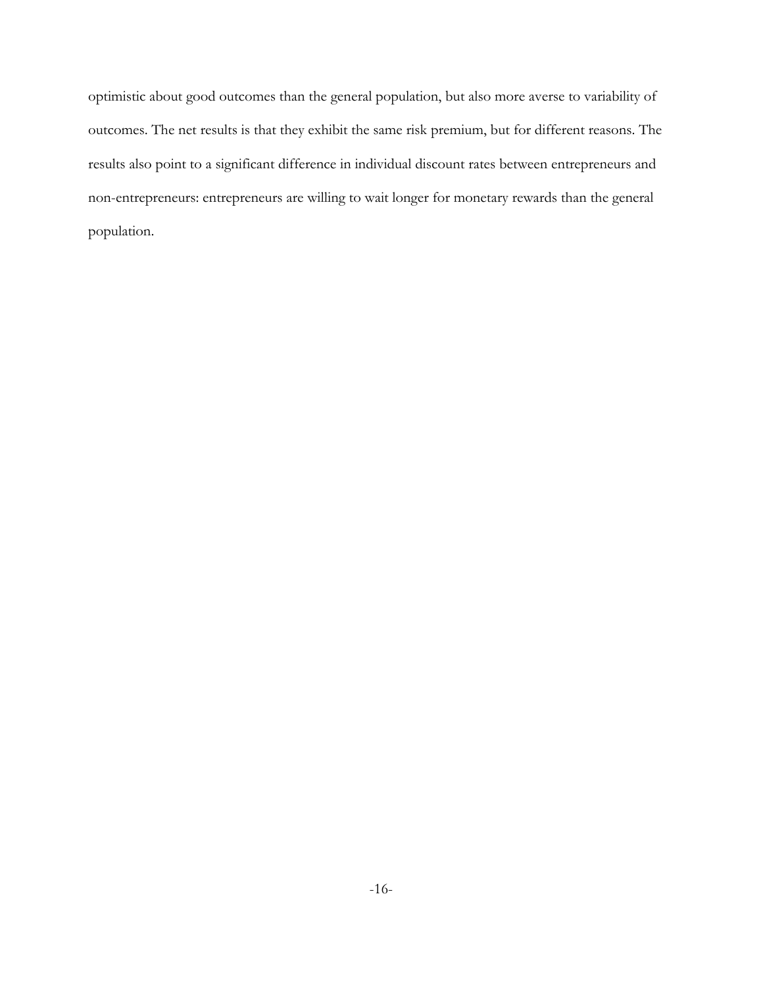optimistic about good outcomes than the general population, but also more averse to variability of outcomes. The net results is that they exhibit the same risk premium, but for different reasons. The results also point to a significant difference in individual discount rates between entrepreneurs and non-entrepreneurs: entrepreneurs are willing to wait longer for monetary rewards than the general population.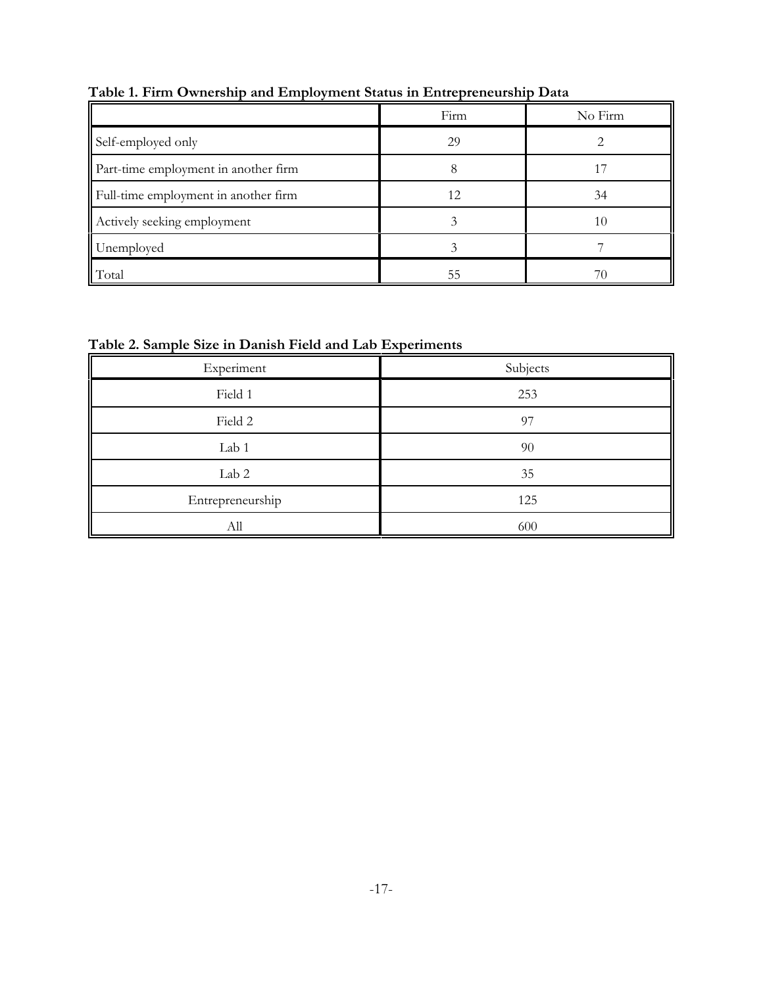|                                      | Firm | No Firm |
|--------------------------------------|------|---------|
| Self-employed only                   | 29   |         |
| Part-time employment in another firm |      |         |
| Full-time employment in another firm | 12   | 34      |
| Actively seeking employment          |      | 10      |
| Unemployed                           |      |         |
| Total                                | 55   |         |

**Table 1. Firm Ownership and Employment Status in Entrepreneurship Data**

# **Table 2. Sample Size in Danish Field and Lab Experiments**

| Experiment       | Subjects |
|------------------|----------|
| Field 1          | 253      |
| Field 2          | 97       |
| Lab 1            | 90       |
| Lab 2            | 35       |
| Entrepreneurship | 125      |
| All              | 600      |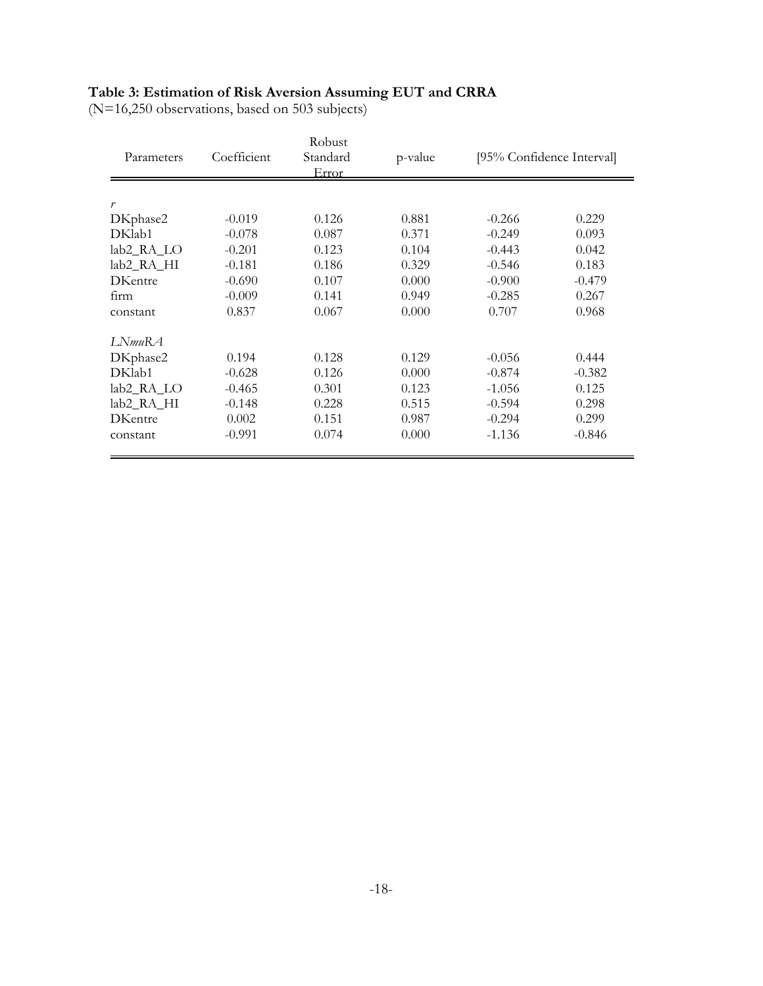# **Table 3: Estimation of Risk Aversion Assuming EUT and CRRA**

(N=16,250 observations, based on 503 subjects)

| Parameters     | Coefficient | Robust<br>Standard<br>Error | p-value |          | [95% Confidence Interval] |
|----------------|-------------|-----------------------------|---------|----------|---------------------------|
| r              |             |                             |         |          |                           |
| DKphase2       | $-0.019$    | 0.126                       | 0.881   | $-0.266$ | 0.229                     |
| DKlab1         | $-0.078$    | 0.087                       | 0.371   | $-0.249$ | 0.093                     |
| lab2_RA_LO     | $-0.201$    | 0.123                       | 0.104   | $-0.443$ | 0.042                     |
| lab2_RA_HI     | $-0.181$    | 0.186                       | 0.329   | $-0.546$ | 0.183                     |
| <b>DKentre</b> | $-0.690$    | 0.107                       | 0.000   | $-0.900$ | $-0.479$                  |
| firm           | $-0.009$    | 0.141                       | 0.949   | $-0.285$ | 0.267                     |
| constant       | 0.837       | 0.067                       | 0.000   | 0.707    | 0.968                     |
| LNmuRA         |             |                             |         |          |                           |
| DKphase2       | 0.194       | 0.128                       | 0.129   | $-0.056$ | 0.444                     |
| DKlab1         | $-0.628$    | 0.126                       | 0.000   | $-0.874$ | $-0.382$                  |
| lab2_RA_LO     | $-0.465$    | 0.301                       | 0.123   | $-1.056$ | 0.125                     |
| lab2_RA_HI     | $-0.148$    | 0.228                       | 0.515   | $-0.594$ | 0.298                     |
| <b>DKentre</b> | 0.002       | 0.151                       | 0.987   | $-0.294$ | 0.299                     |
| constant       | $-0.991$    | 0.074                       | 0.000   | $-1.136$ | $-0.846$                  |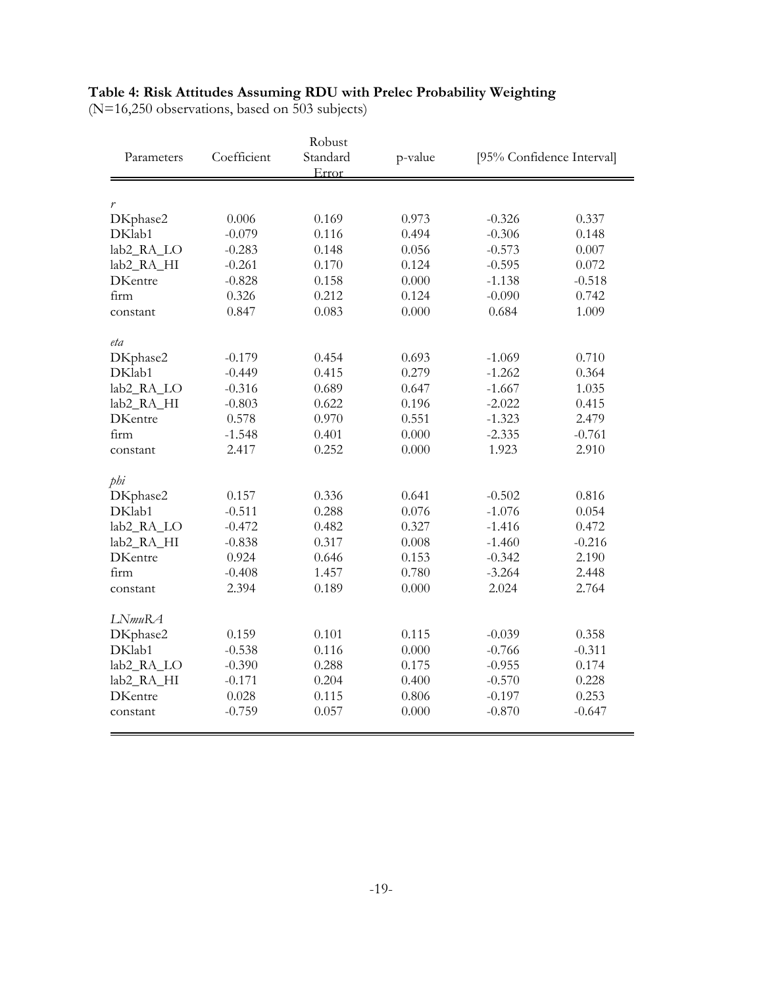### **Table 4: Risk Attitudes Assuming RDU with Prelec Probability Weighting**

(N=16,250 observations, based on 503 subjects)

| Robust                                   |                      |                |         |          |                           |
|------------------------------------------|----------------------|----------------|---------|----------|---------------------------|
| Parameters                               | Coefficient          | Standard       | p-value |          | [95% Confidence Interval] |
|                                          |                      | Error          |         |          |                           |
|                                          |                      |                |         |          |                           |
| r                                        |                      |                |         |          |                           |
| DKphase2                                 | 0.006                | 0.169          | 0.973   | $-0.326$ | 0.337                     |
| DKlab1                                   | $-0.079$             | 0.116          | 0.494   | $-0.306$ | 0.148                     |
| lab2_RA_LO                               | $-0.283$             | 0.148          | 0.056   | $-0.573$ | 0.007                     |
| lab2_RA_HI                               | $-0.261$             | 0.170          | 0.124   | $-0.595$ | 0.072                     |
| <b>DKentre</b>                           | $-0.828$             | 0.158          | 0.000   | $-1.138$ | $-0.518$                  |
| firm                                     | 0.326                | 0.212          | 0.124   | $-0.090$ | 0.742                     |
| constant                                 | 0.847                | 0.083          | 0.000   | 0.684    | 1.009                     |
| eta                                      |                      |                |         |          |                           |
| DKphase2                                 | $-0.179$             | 0.454          | 0.693   | $-1.069$ | 0.710                     |
| DKlab1                                   | $-0.449$             | 0.415          | 0.279   | $-1.262$ | 0.364                     |
| lab2_RA_LO                               | $-0.316$             | 0.689          | 0.647   | $-1.667$ | 1.035                     |
| lab <sub>2_RA_HI</sub>                   | $-0.803$             | 0.622          | 0.196   | $-2.022$ | 0.415                     |
| <b>DKentre</b>                           | 0.578                | 0.970          | 0.551   | $-1.323$ | 2.479                     |
| firm                                     | $-1.548$             | 0.401          | 0.000   | $-2.335$ | $-0.761$                  |
| constant                                 | 2.417                | 0.252          | 0.000   | 1.923    | 2.910                     |
| phi                                      |                      |                |         |          |                           |
| DKphase2                                 | 0.157                | 0.336          | 0.641   | $-0.502$ | 0.816                     |
| DKlab1                                   | $-0.511$             | 0.288          | 0.076   | $-1.076$ | 0.054                     |
| lab2_RA_LO                               | $-0.472$             | 0.482          | 0.327   | $-1.416$ | 0.472                     |
| lab2_RA_HI                               | $-0.838$             | 0.317          | 0.008   | $-1.460$ | $-0.216$                  |
| <b>DKentre</b>                           | 0.924                | 0.646          | 0.153   | $-0.342$ | 2.190                     |
| firm                                     | $-0.408$             | 1.457          | 0.780   | $-3.264$ | 2.448                     |
| constant                                 | 2.394                | 0.189          | 0.000   | 2.024    | 2.764                     |
| LNmuRA                                   |                      |                |         |          |                           |
|                                          | 0.159                | 0.101          | 0.115   | $-0.039$ | 0.358                     |
| DKphase2<br>DKlab1                       |                      |                | 0.000   | $-0.766$ | $-0.311$                  |
|                                          | $-0.538$<br>$-0.390$ | 0.116<br>0.288 | 0.175   | $-0.955$ | 0.174                     |
| lab <sub>2_RA_LO</sub>                   |                      | 0.204          | 0.400   | $-0.570$ | 0.228                     |
| lab <sub>2_RA_HI</sub><br><b>DKentre</b> | $-0.171$             |                |         |          | 0.253                     |
|                                          | 0.028                | 0.115          | 0.806   | $-0.197$ |                           |
| constant                                 | $-0.759$             | 0.057          | 0.000   | $-0.870$ | $-0.647$                  |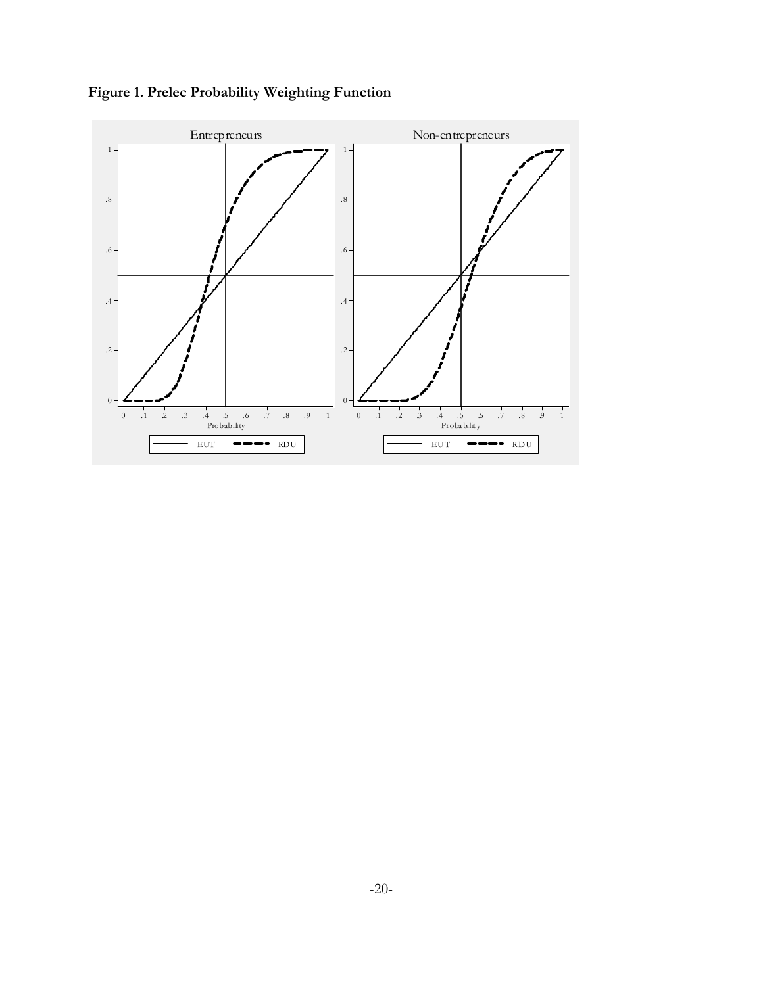

**Figure 1. Prelec Probability Weighting Function**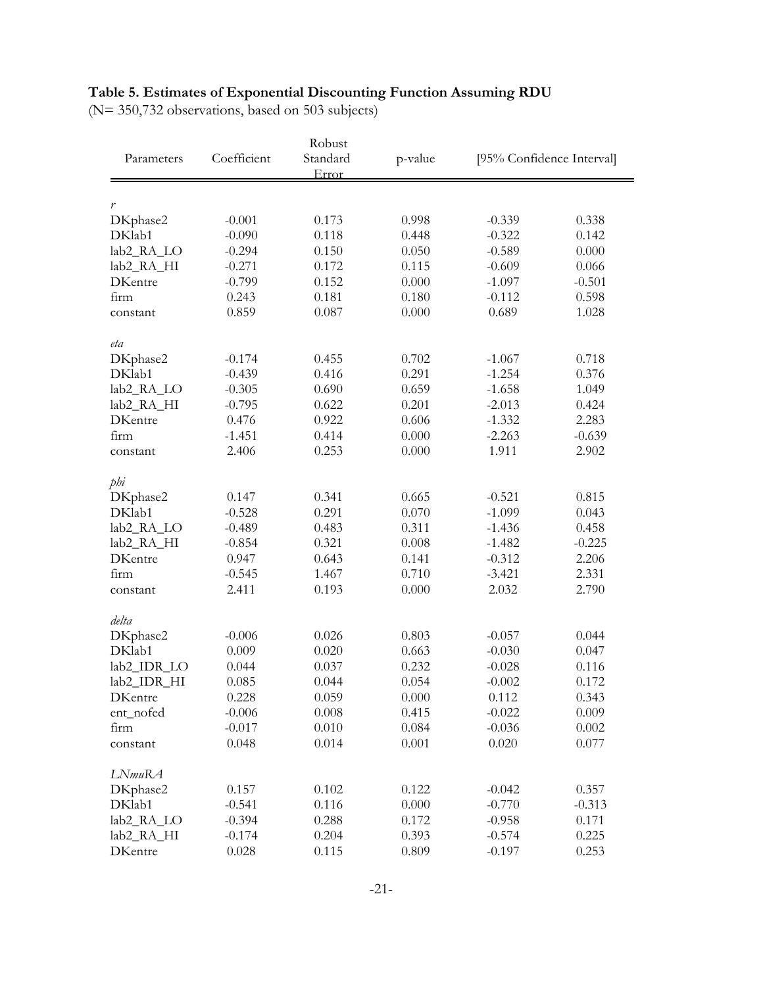# **Table 5. Estimates of Exponential Discounting Function Assuming RDU**

(N= 350,732 observations, based on 503 subjects)

| Robust                 |             |                   |         |          |                           |
|------------------------|-------------|-------------------|---------|----------|---------------------------|
| Parameters             | Coefficient | Standard<br>Error | p-value |          | [95% Confidence Interval] |
|                        |             |                   |         |          |                           |
| $\boldsymbol{r}$       |             |                   |         |          |                           |
| DKphase2               | $-0.001$    | 0.173             | 0.998   | $-0.339$ | 0.338                     |
| DKlab1                 | $-0.090$    | 0.118             | 0.448   | $-0.322$ | 0.142                     |
| lab2_RA_LO             | $-0.294$    | 0.150             | 0.050   | $-0.589$ | 0.000                     |
| lab <sub>2_RA_HI</sub> | $-0.271$    | 0.172             | 0.115   | $-0.609$ | 0.066                     |
| <b>DKentre</b>         | $-0.799$    | 0.152             | 0.000   | $-1.097$ | $-0.501$                  |
| firm                   | 0.243       | 0.181             | 0.180   | $-0.112$ | 0.598                     |
| constant               | 0.859       | 0.087             | 0.000   | 0.689    | 1.028                     |
| eta                    |             |                   |         |          |                           |
| DKphase2               | $-0.174$    | 0.455             | 0.702   | $-1.067$ | 0.718                     |
| DKlab1                 | $-0.439$    | 0.416             | 0.291   | $-1.254$ | 0.376                     |
| lab2_RA_LO             | $-0.305$    | 0.690             | 0.659   | $-1.658$ | 1.049                     |
| lab <sub>2_RA_HI</sub> | $-0.795$    | 0.622             | 0.201   | $-2.013$ | 0.424                     |
| <b>DKentre</b>         | 0.476       | 0.922             | 0.606   | $-1.332$ | 2.283                     |
| firm                   | $-1.451$    | 0.414             | 0.000   | $-2.263$ | $-0.639$                  |
| constant               | 2.406       | 0.253             | 0.000   | 1.911    | 2.902                     |
| phi                    |             |                   |         |          |                           |
| DKphase2               | 0.147       | 0.341             | 0.665   | $-0.521$ | 0.815                     |
| DKlab1                 | $-0.528$    | 0.291             | 0.070   | $-1.099$ | 0.043                     |
| lab2_RA_LO             | $-0.489$    | 0.483             | 0.311   | $-1.436$ | 0.458                     |
| lab2_RA_HI             | $-0.854$    | 0.321             | 0.008   | $-1.482$ | $-0.225$                  |
| <b>DKentre</b>         | 0.947       | 0.643             | 0.141   | $-0.312$ | 2.206                     |
| firm                   | $-0.545$    | 1.467             | 0.710   | $-3.421$ | 2.331                     |
| constant               | 2.411       | 0.193             | 0.000   | 2.032    | 2.790                     |
| delta                  |             |                   |         |          |                           |
| DKphase2               | $-0.006$    | 0.026             | 0.803   | $-0.057$ | 0.044                     |
| DKlab1                 | 0.009       | 0.020             | 0.663   | $-0.030$ | 0.047                     |
| lab2_IDR_LO            | 0.044       | 0.037             | 0.232   | $-0.028$ | 0.116                     |
| lab2_IDR_HI            | 0.085       | 0.044             | 0.054   | $-0.002$ | 0.172                     |
| DKentre                | 0.228       | 0.059             | 0.000   | 0.112    | 0.343                     |
| ent_nofed              | $-0.006$    | 0.008             | 0.415   | $-0.022$ | 0.009                     |
| firm                   | $-0.017$    | 0.010             | 0.084   | $-0.036$ | 0.002                     |
| constant               | 0.048       | 0.014             | 0.001   | 0.020    | 0.077                     |
| LNmuRA                 |             |                   |         |          |                           |
| DKphase2               | 0.157       | 0.102             | 0.122   | $-0.042$ | 0.357                     |
| DKlab1                 | $-0.541$    | 0.116             | 0.000   | $-0.770$ | $-0.313$                  |
| lab <sub>2_RA_LO</sub> | $-0.394$    | 0.288             | 0.172   | $-0.958$ | 0.171                     |
| lab2_RA_HI             | $-0.174$    | 0.204             | 0.393   | $-0.574$ | 0.225                     |
| <b>DKentre</b>         | 0.028       | 0.115             | 0.809   | $-0.197$ | 0.253                     |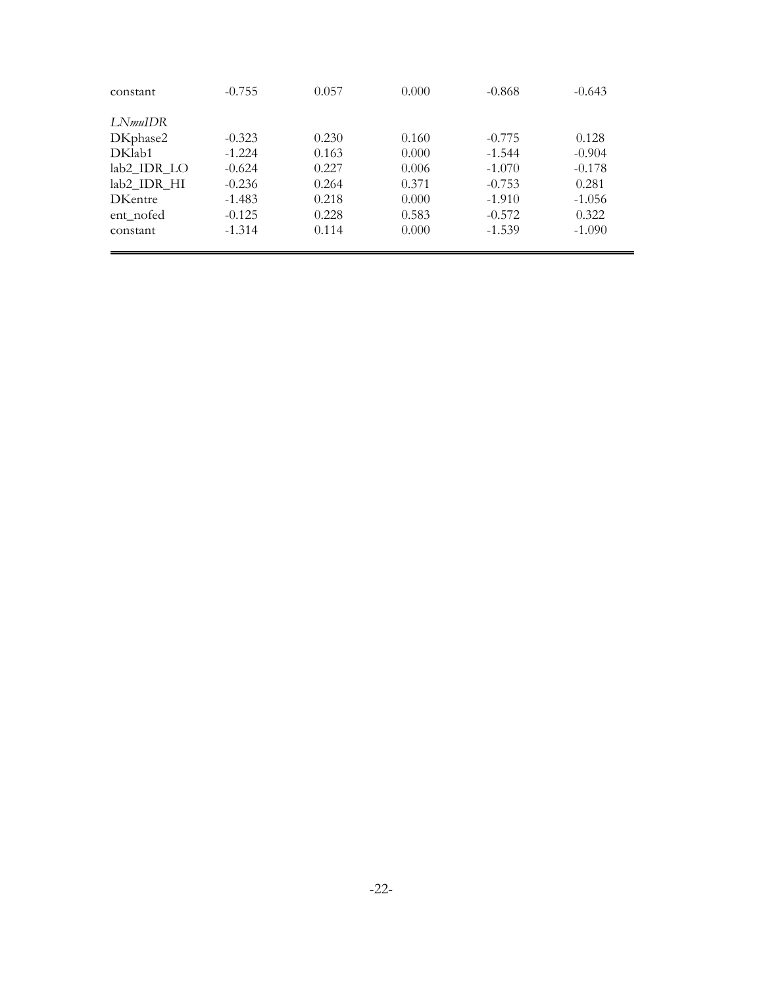| constant        | $-0.755$ | 0.057 | 0.000 | $-0.868$ | $-0.643$ |
|-----------------|----------|-------|-------|----------|----------|
| LN <i>muIDR</i> |          |       |       |          |          |
| DKphase2        | $-0.323$ | 0.230 | 0.160 | $-0.775$ | 0.128    |
| DKlab1          | $-1.224$ | 0.163 | 0.000 | $-1.544$ | $-0.904$ |
| lab2 IDR LO     | $-0.624$ | 0.227 | 0.006 | $-1.070$ | $-0.178$ |
| lab2 IDR HI     | $-0.236$ | 0.264 | 0.371 | $-0.753$ | 0.281    |
| <b>DKentre</b>  | $-1.483$ | 0.218 | 0.000 | $-1.910$ | $-1.056$ |
| ent_nofed       | $-0.125$ | 0.228 | 0.583 | $-0.572$ | 0.322    |
| constant        | $-1.314$ | 0.114 | 0.000 | $-1.539$ | $-1.090$ |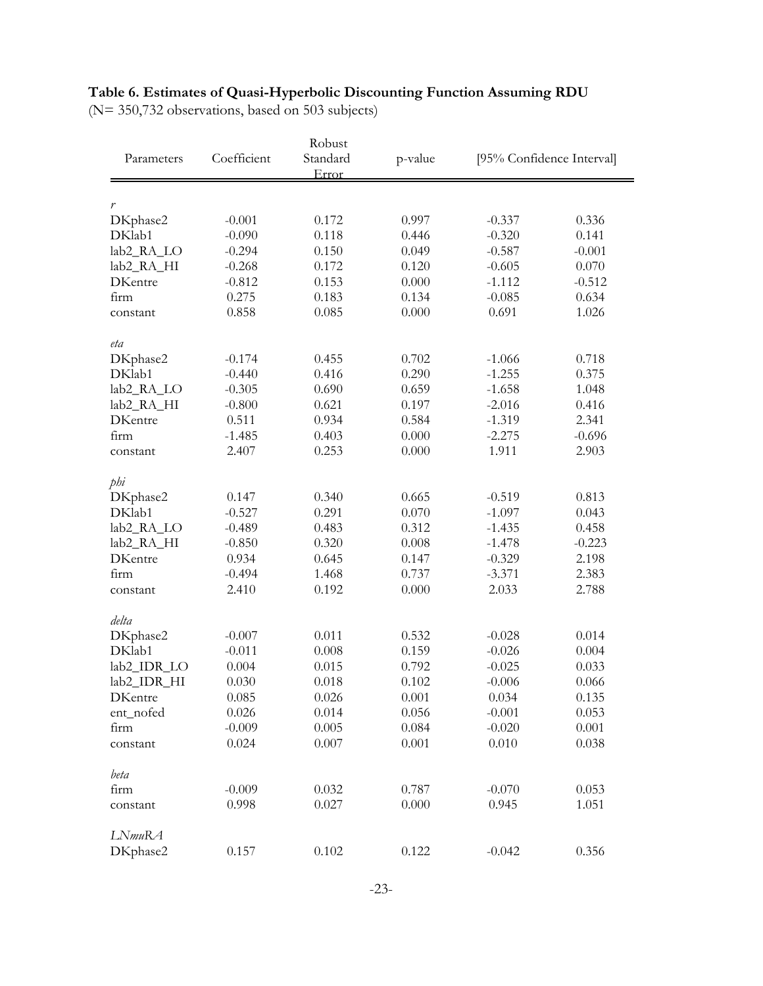# **Table 6. Estimates of Quasi-Hyperbolic Discounting Function Assuming RDU**

(N= 350,732 observations, based on 503 subjects)

| Robust                 |             |                   |         |          |                           |
|------------------------|-------------|-------------------|---------|----------|---------------------------|
| Parameters             | Coefficient | Standard<br>Error | p-value |          | [95% Confidence Interval] |
|                        |             |                   |         |          |                           |
| r                      |             |                   |         |          |                           |
| DKphase2               | $-0.001$    | 0.172             | 0.997   | $-0.337$ | 0.336                     |
| DKlab1                 | $-0.090$    | 0.118             | 0.446   | $-0.320$ | 0.141                     |
| lab2_RA_LO             | $-0.294$    | 0.150             | 0.049   | $-0.587$ | $-0.001$                  |
| lab2_RA_HI             | $-0.268$    | 0.172             | 0.120   | $-0.605$ | 0.070                     |
| <b>DKentre</b>         | $-0.812$    | 0.153             | 0.000   | $-1.112$ | $-0.512$                  |
| firm                   | 0.275       | 0.183             | 0.134   | $-0.085$ | 0.634                     |
| constant               | 0.858       | 0.085             | 0.000   | 0.691    | 1.026                     |
| eta                    |             |                   |         |          |                           |
| DKphase2               | $-0.174$    | 0.455             | 0.702   | $-1.066$ | 0.718                     |
| DKlab1                 | $-0.440$    | 0.416             | 0.290   | $-1.255$ | 0.375                     |
| lab2_RA_LO             | $-0.305$    | 0.690             | 0.659   | $-1.658$ | 1.048                     |
| lab <sub>2_RA_HI</sub> | $-0.800$    | 0.621             | 0.197   | $-2.016$ | 0.416                     |
| <b>DKentre</b>         | 0.511       | 0.934             | 0.584   | $-1.319$ | 2.341                     |
| firm                   | $-1.485$    | 0.403             | 0.000   | $-2.275$ | $-0.696$                  |
| constant               | 2.407       | 0.253             | 0.000   | 1.911    | 2.903                     |
| phi                    |             |                   |         |          |                           |
| DKphase2               | 0.147       | 0.340             | 0.665   | $-0.519$ | 0.813                     |
| DKlab1                 | $-0.527$    | 0.291             | 0.070   | $-1.097$ | 0.043                     |
| lab2_RA_LO             | $-0.489$    | 0.483             | 0.312   | $-1.435$ | 0.458                     |
| lab2_RA_HI             | $-0.850$    | 0.320             | 0.008   | $-1.478$ | $-0.223$                  |
| <b>DKentre</b>         | 0.934       | 0.645             | 0.147   | $-0.329$ | 2.198                     |
| firm                   | $-0.494$    | 1.468             | 0.737   | $-3.371$ | 2.383                     |
| constant               | 2.410       | 0.192             | 0.000   | 2.033    | 2.788                     |
| delta                  |             |                   |         |          |                           |
| DKphase2               | $-0.007$    | 0.011             | 0.532   | $-0.028$ | 0.014                     |
| DKlab1                 | $-0.011$    | 0.008             | 0.159   | $-0.026$ | 0.004                     |
| lab2_IDR_LO            | 0.004       | 0.015             | 0.792   | $-0.025$ | 0.033                     |
| lab2_IDR_HI            | 0.030       | 0.018             | 0.102   | $-0.006$ | 0.066                     |
| DKentre                | 0.085       | 0.026             | 0.001   | 0.034    | 0.135                     |
| ent_nofed              | 0.026       | 0.014             | 0.056   | $-0.001$ | 0.053                     |
| firm                   | $-0.009$    | 0.005             | 0.084   | $-0.020$ | 0.001                     |
| constant               | 0.024       | 0.007             | 0.001   | 0.010    | 0.038                     |
| beta                   |             |                   |         |          |                           |
| firm                   | $-0.009$    | 0.032             | 0.787   | $-0.070$ | 0.053                     |
| constant               | 0.998       | 0.027             | 0.000   | 0.945    | 1.051                     |
| LNmuRA                 |             |                   |         |          |                           |
| DKphase2               | 0.157       | 0.102             | 0.122   | $-0.042$ | 0.356                     |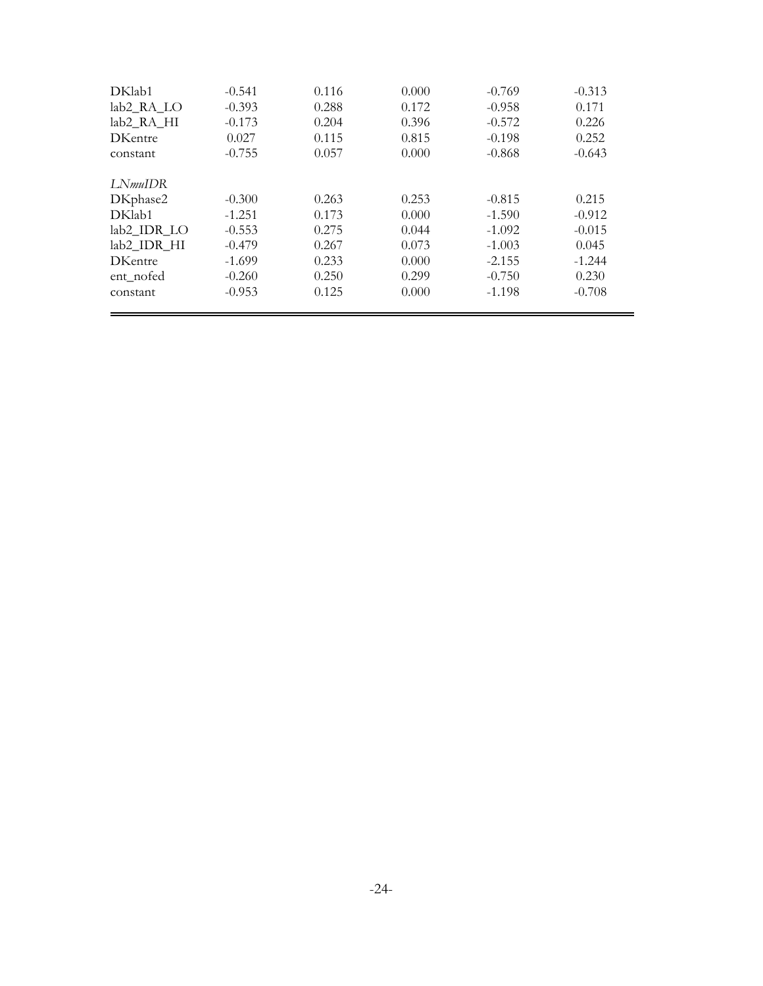| DKlab1             | $-0.541$ | 0.116 | 0.000 | $-0.769$ | $-0.313$ |
|--------------------|----------|-------|-------|----------|----------|
| lab2 RA LO         | $-0.393$ | 0.288 | 0.172 | $-0.958$ | 0.171    |
| lab2 RA HI         | $-0.173$ | 0.204 | 0.396 | $-0.572$ | 0.226    |
| <b>DKentre</b>     | 0.027    | 0.115 | 0.815 | $-0.198$ | 0.252    |
| constant           | $-0.755$ | 0.057 | 0.000 | $-0.868$ | $-0.643$ |
| LN <i>muIDR</i>    |          |       |       |          |          |
| DKphase2           | $-0.300$ | 0.263 | 0.253 | $-0.815$ | 0.215    |
| DK <sub>lab1</sub> | $-1.251$ | 0.173 | 0.000 | $-1.590$ | $-0.912$ |
| lab2 IDR LO        | $-0.553$ | 0.275 | 0.044 | $-1.092$ | $-0.015$ |
| lab2_IDR_HI        | $-0.479$ | 0.267 | 0.073 | $-1.003$ | 0.045    |
| <b>DKentre</b>     | $-1.699$ | 0.233 | 0.000 | $-2.155$ | $-1.244$ |
| ent_nofed          | $-0.260$ | 0.250 | 0.299 | $-0.750$ | 0.230    |
| constant           | $-0.953$ | 0.125 | 0.000 | $-1.198$ | $-0.708$ |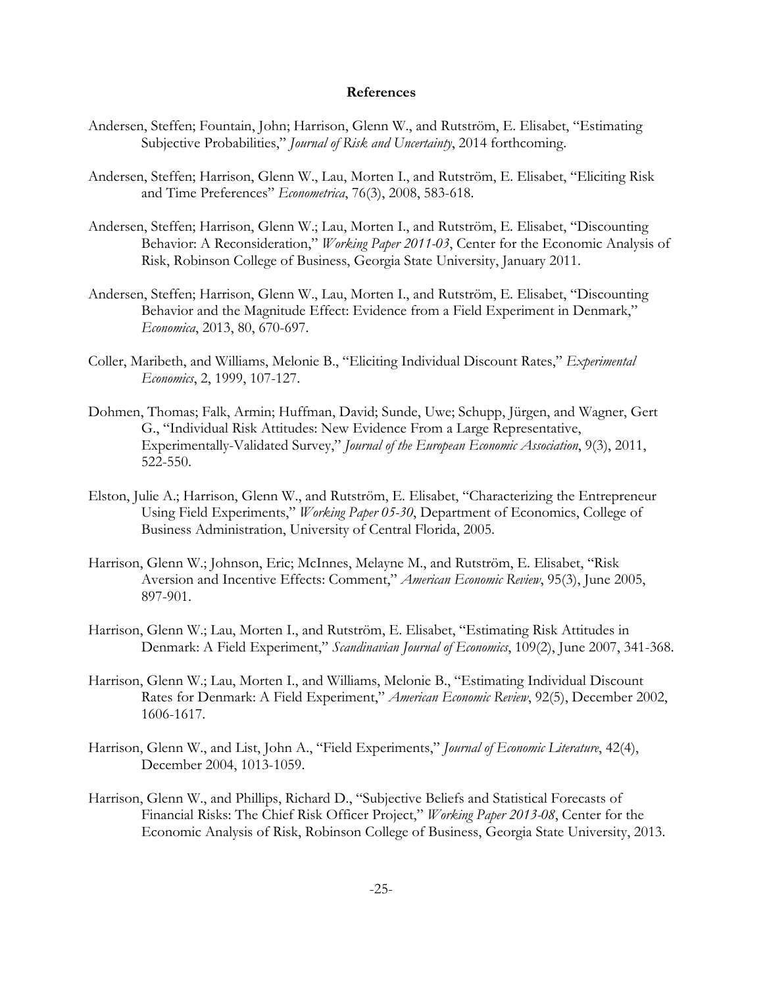### **References**

- Andersen, Steffen; Fountain, John; Harrison, Glenn W., and Rutström, E. Elisabet, "Estimating Subjective Probabilities," *Journal of Risk and Uncertainty*, 2014 forthcoming.
- Andersen, Steffen; Harrison, Glenn W., Lau, Morten I., and Rutström, E. Elisabet, "Eliciting Risk and Time Preferences" *Econometrica*, 76(3), 2008, 583-618.
- Andersen, Steffen; Harrison, Glenn W.; Lau, Morten I., and Rutström, E. Elisabet, "Discounting Behavior: A Reconsideration," *Working Paper 2011-03*, Center for the Economic Analysis of Risk, Robinson College of Business, Georgia State University, January 2011.
- Andersen, Steffen; Harrison, Glenn W., Lau, Morten I., and Rutström, E. Elisabet, "Discounting Behavior and the Magnitude Effect: Evidence from a Field Experiment in Denmark," *Economica*, 2013, 80, 670-697.
- Coller, Maribeth, and Williams, Melonie B., "Eliciting Individual Discount Rates," *Experimental Economics*, 2, 1999, 107-127.
- Dohmen, Thomas; Falk, Armin; Huffman, David; Sunde, Uwe; Schupp, Jürgen, and Wagner, Gert G., "Individual Risk Attitudes: New Evidence From a Large Representative, Experimentally-Validated Survey," *Journal of the European Economic Association*, 9(3), 2011, 522-550.
- Elston, Julie A.; Harrison, Glenn W., and Rutström, E. Elisabet, "Characterizing the Entrepreneur Using Field Experiments," *Working Paper 05-30*, Department of Economics, College of Business Administration, University of Central Florida, 2005.
- Harrison, Glenn W.; Johnson, Eric; McInnes, Melayne M., and Rutström, E. Elisabet, "Risk Aversion and Incentive Effects: Comment," *American Economic Review*, 95(3), June 2005, 897-901.
- Harrison, Glenn W.; Lau, Morten I., and Rutström, E. Elisabet, "Estimating Risk Attitudes in Denmark: A Field Experiment," *Scandinavian Journal of Economics*, 109(2), June 2007, 341-368.
- Harrison, Glenn W.; Lau, Morten I., and Williams, Melonie B., "Estimating Individual Discount Rates for Denmark: A Field Experiment," *American Economic Review*, 92(5), December 2002, 1606-1617.
- Harrison, Glenn W., and List, John A., "Field Experiments," *Journal of Economic Literature*, 42(4), December 2004, 1013-1059.
- Harrison, Glenn W., and Phillips, Richard D., "Subjective Beliefs and Statistical Forecasts of Financial Risks: The Chief Risk Officer Project," *Working Paper 2013-08*, Center for the Economic Analysis of Risk, Robinson College of Business, Georgia State University, 2013.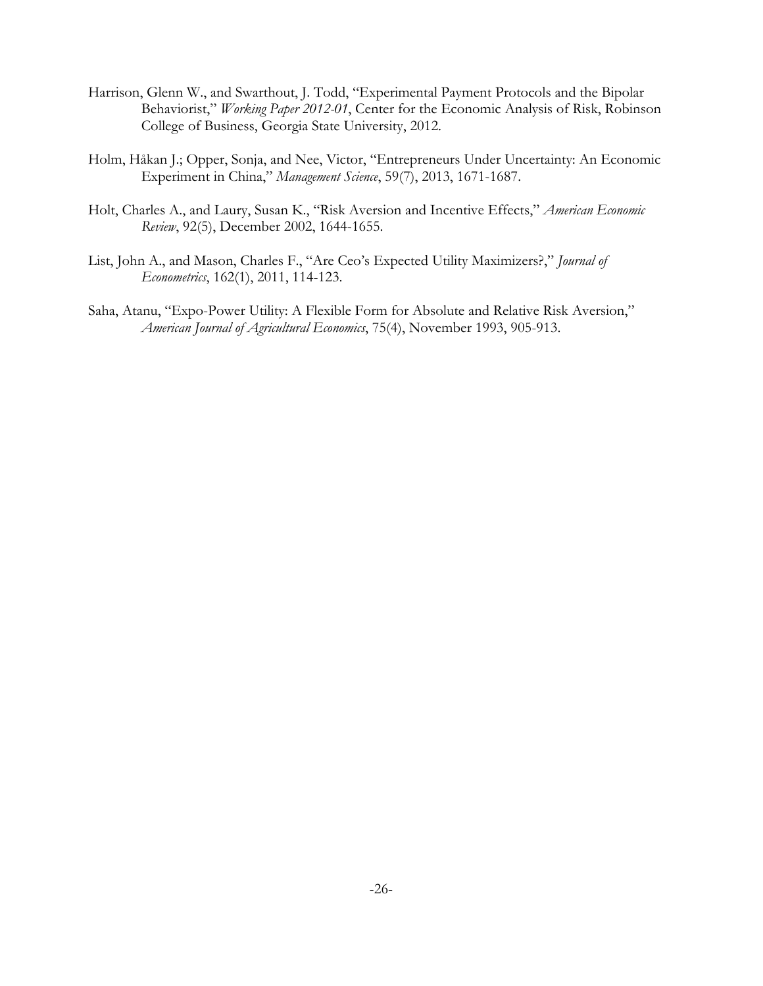- Harrison, Glenn W., and Swarthout, J. Todd, "Experimental Payment Protocols and the Bipolar Behaviorist," *Working Paper 2012-01*, Center for the Economic Analysis of Risk, Robinson College of Business, Georgia State University, 2012.
- Holm, Håkan J.; Opper, Sonja, and Nee, Victor, "Entrepreneurs Under Uncertainty: An Economic Experiment in China," *Management Science*, 59(7), 2013, 1671-1687.
- Holt, Charles A., and Laury, Susan K., "Risk Aversion and Incentive Effects," *American Economic Review*, 92(5), December 2002, 1644-1655.
- List, John A., and Mason, Charles F., "Are Ceo's Expected Utility Maximizers?," *Journal of Econometrics*, 162(1), 2011, 114-123.
- Saha, Atanu, "Expo-Power Utility: A Flexible Form for Absolute and Relative Risk Aversion," *American Journal of Agricultural Economics*, 75(4), November 1993, 905-913.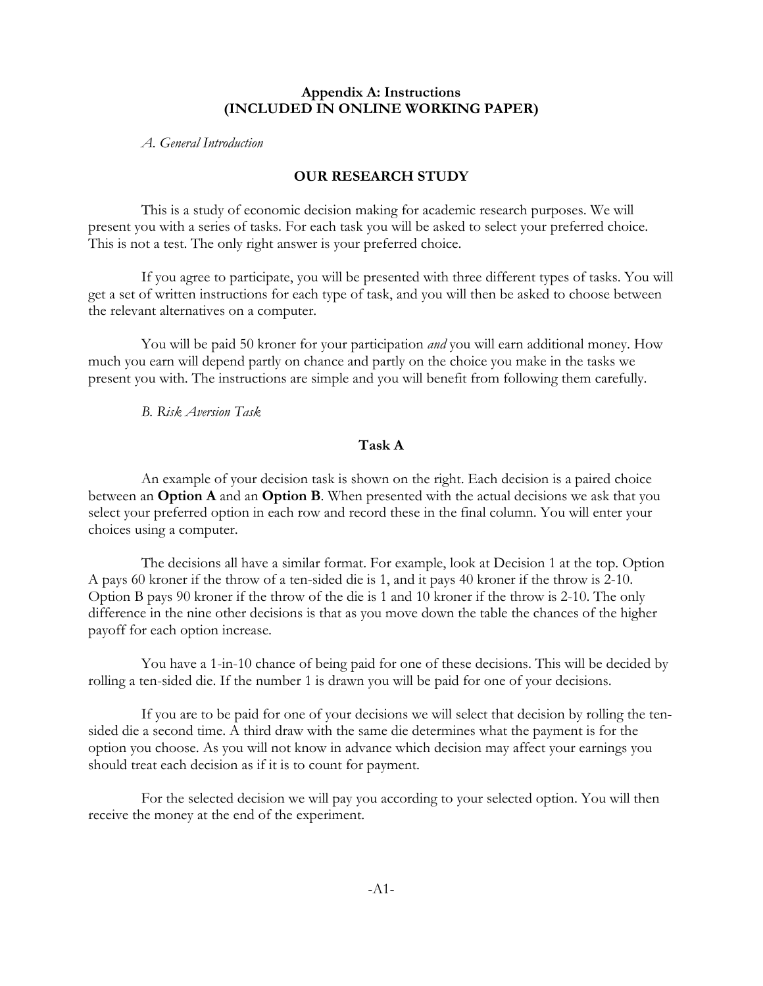### **Appendix A: Instructions (INCLUDED IN ONLINE WORKING PAPER)**

*A. General Introduction*

# **OUR RESEARCH STUDY**

This is a study of economic decision making for academic research purposes. We will present you with a series of tasks. For each task you will be asked to select your preferred choice. This is not a test. The only right answer is your preferred choice.

If you agree to participate, you will be presented with three different types of tasks. You will get a set of written instructions for each type of task, and you will then be asked to choose between the relevant alternatives on a computer.

You will be paid 50 kroner for your participation *and* you will earn additional money. How much you earn will depend partly on chance and partly on the choice you make in the tasks we present you with. The instructions are simple and you will benefit from following them carefully.

*B. Risk Aversion Task*

# **Task A**

An example of your decision task is shown on the right. Each decision is a paired choice between an **Option A** and an **Option B**. When presented with the actual decisions we ask that you select your preferred option in each row and record these in the final column. You will enter your choices using a computer.

The decisions all have a similar format. For example, look at Decision 1 at the top. Option A pays 60 kroner if the throw of a ten-sided die is 1, and it pays 40 kroner if the throw is 2-10. Option B pays 90 kroner if the throw of the die is 1 and 10 kroner if the throw is 2-10. The only difference in the nine other decisions is that as you move down the table the chances of the higher payoff for each option increase.

You have a 1-in-10 chance of being paid for one of these decisions. This will be decided by rolling a ten-sided die. If the number 1 is drawn you will be paid for one of your decisions.

If you are to be paid for one of your decisions we will select that decision by rolling the tensided die a second time. A third draw with the same die determines what the payment is for the option you choose. As you will not know in advance which decision may affect your earnings you should treat each decision as if it is to count for payment.

For the selected decision we will pay you according to your selected option. You will then receive the money at the end of the experiment.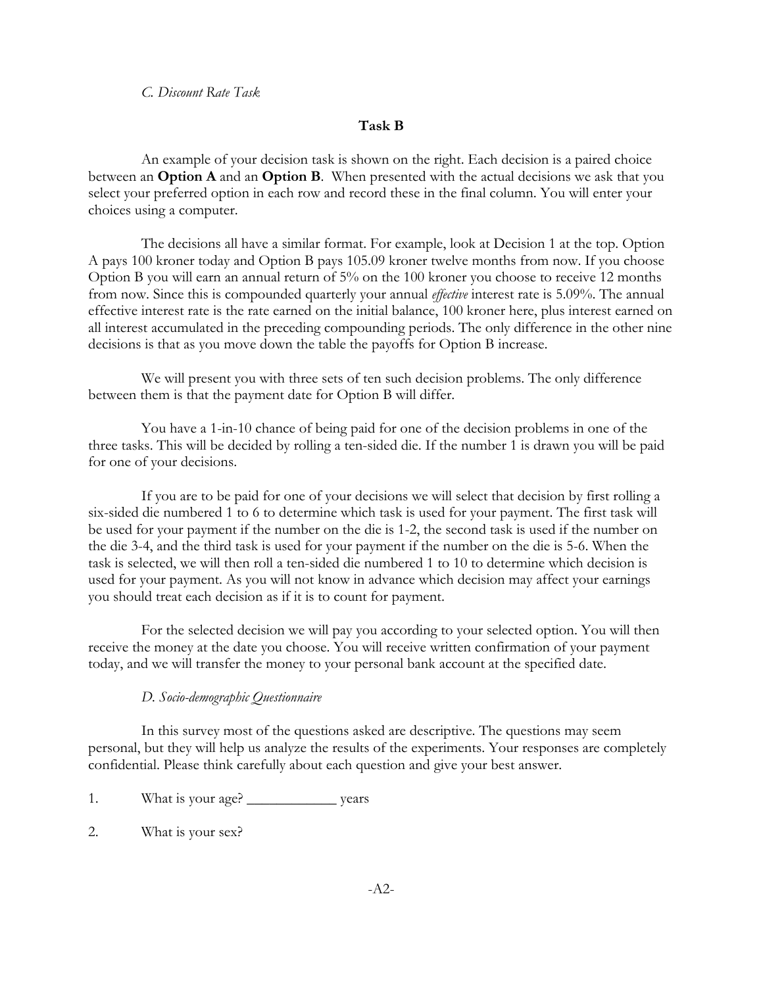*C. Discount Rate Task*

### **Task B**

An example of your decision task is shown on the right. Each decision is a paired choice between an **Option A** and an **Option B**. When presented with the actual decisions we ask that you select your preferred option in each row and record these in the final column. You will enter your choices using a computer.

The decisions all have a similar format. For example, look at Decision 1 at the top. Option A pays 100 kroner today and Option B pays 105.09 kroner twelve months from now. If you choose Option B you will earn an annual return of 5% on the 100 kroner you choose to receive 12 months from now. Since this is compounded quarterly your annual *effective* interest rate is 5.09%. The annual effective interest rate is the rate earned on the initial balance, 100 kroner here, plus interest earned on all interest accumulated in the preceding compounding periods. The only difference in the other nine decisions is that as you move down the table the payoffs for Option B increase.

We will present you with three sets of ten such decision problems. The only difference between them is that the payment date for Option B will differ.

You have a 1-in-10 chance of being paid for one of the decision problems in one of the three tasks. This will be decided by rolling a ten-sided die. If the number 1 is drawn you will be paid for one of your decisions.

If you are to be paid for one of your decisions we will select that decision by first rolling a six-sided die numbered 1 to 6 to determine which task is used for your payment. The first task will be used for your payment if the number on the die is 1-2, the second task is used if the number on the die 3-4, and the third task is used for your payment if the number on the die is 5-6. When the task is selected, we will then roll a ten-sided die numbered 1 to 10 to determine which decision is used for your payment. As you will not know in advance which decision may affect your earnings you should treat each decision as if it is to count for payment.

For the selected decision we will pay you according to your selected option. You will then receive the money at the date you choose. You will receive written confirmation of your payment today, and we will transfer the money to your personal bank account at the specified date.

### *D. Socio-demographic Questionnaire*

In this survey most of the questions asked are descriptive. The questions may seem personal, but they will help us analyze the results of the experiments. Your responses are completely confidential. Please think carefully about each question and give your best answer.

1. What is your age? \_\_\_\_\_\_\_\_\_\_\_\_\_\_\_\_\_\_ years

2. What is your sex?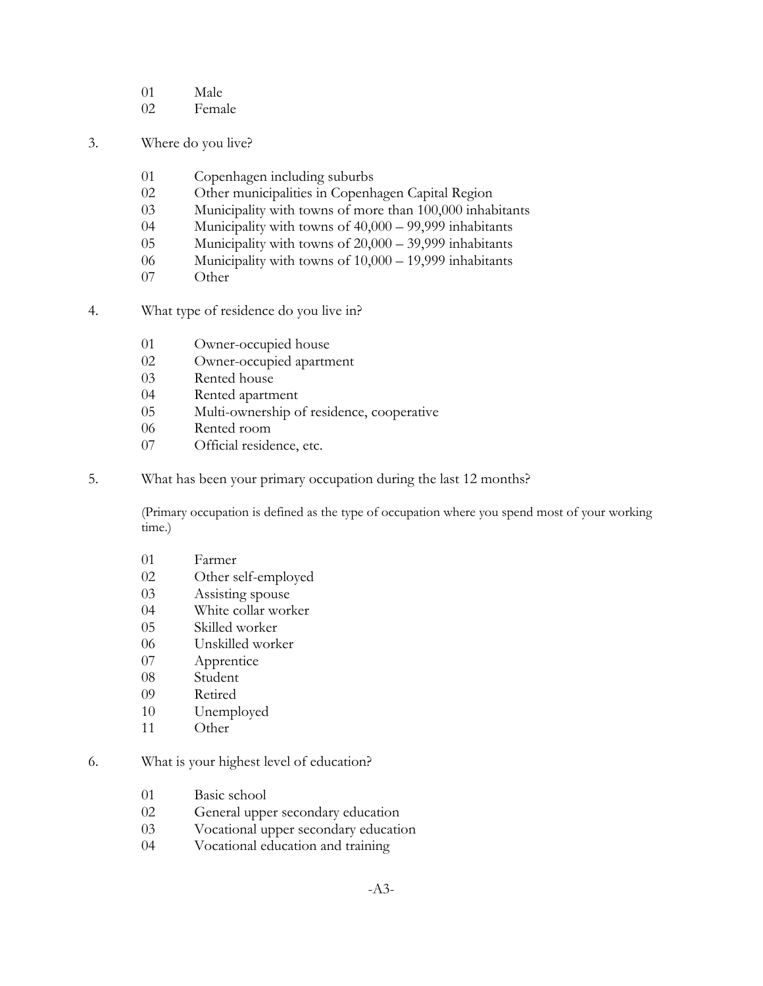- 01 Male
- 02 Female
- 3. Where do you live?
	- 01 Copenhagen including suburbs
	- 02 Other municipalities in Copenhagen Capital Region
	- 03 Municipality with towns of more than 100,000 inhabitants
	- 04 Municipality with towns of 40,000 99,999 inhabitants
	- 05 Municipality with towns of 20,000 39,999 inhabitants
	- 06 Municipality with towns of 10,000 19,999 inhabitants
	- 07 Other
- 4. What type of residence do you live in?
	- 01 Owner-occupied house
	- 02 Owner-occupied apartment
	- 03 Rented house
	- 04 Rented apartment
	- 05 Multi-ownership of residence, cooperative
	- 06 Rented room
	- 07 Official residence, etc.
- 5. What has been your primary occupation during the last 12 months?

(Primary occupation is defined as the type of occupation where you spend most of your working time.)

- 01 Farmer
- 02 Other self-employed
- 03 Assisting spouse
- 04 White collar worker
- 05 Skilled worker
- 06 Unskilled worker
- 07 Apprentice
- 08 Student
- 09 Retired
- 10 Unemployed
- 11 Other

### 6. What is your highest level of education?

- 01 Basic school
- 02 General upper secondary education
- 03 Vocational upper secondary education
- 04 Vocational education and training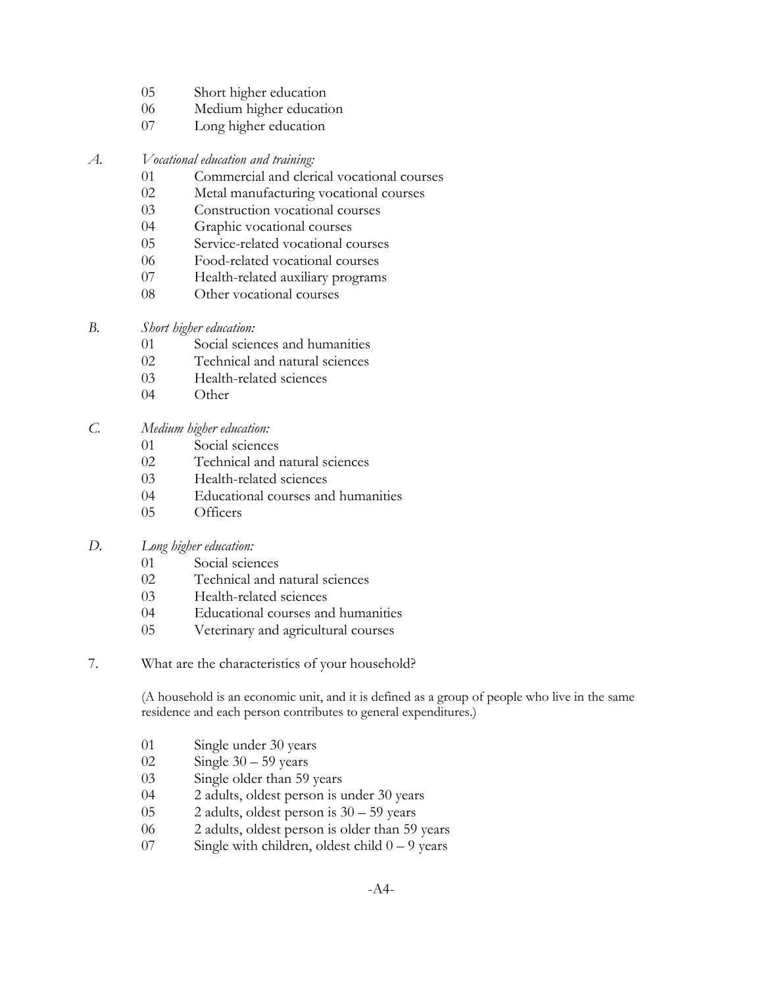- 05 Short higher education
- 06 Medium higher education
- 07 Long higher education
- *A. Vocational education and training:*
	- 01 Commercial and clerical vocational courses
	- 02 Metal manufacturing vocational courses
	- 03 Construction vocational courses
	- 04 Graphic vocational courses
	- 05 Service-related vocational courses
	- 06 Food-related vocational courses
	- 07 Health-related auxiliary programs
	- 08 Other vocational courses
- *B. Short higher education:*
	- 01 Social sciences and humanities
	- 02 Technical and natural sciences
	- 03 Health-related sciences
	- 04 Other
- *C. Medium higher education:*
	- 01 Social sciences
	- 02 Technical and natural sciences
	- 03 Health-related sciences
	- 04 Educational courses and humanities
	- 05 Officers
- *D. Long higher education:*
	- 01 Social sciences
	- 02 Technical and natural sciences
	- 03 Health-related sciences
	- 04 Educational courses and humanities
	- 05 Veterinary and agricultural courses
- 7. What are the characteristics of your household?

(A household is an economic unit, and it is defined as a group of people who live in the same residence and each person contributes to general expenditures.)

- 01 Single under 30 years
- 02 Single 30 59 years
- 03 Single older than 59 years
- 04 2 adults, oldest person is under 30 years
- 05 2 adults, oldest person is 30 59 years
- 06 2 adults, oldest person is older than 59 years
- 07 Single with children, oldest child 0 9 years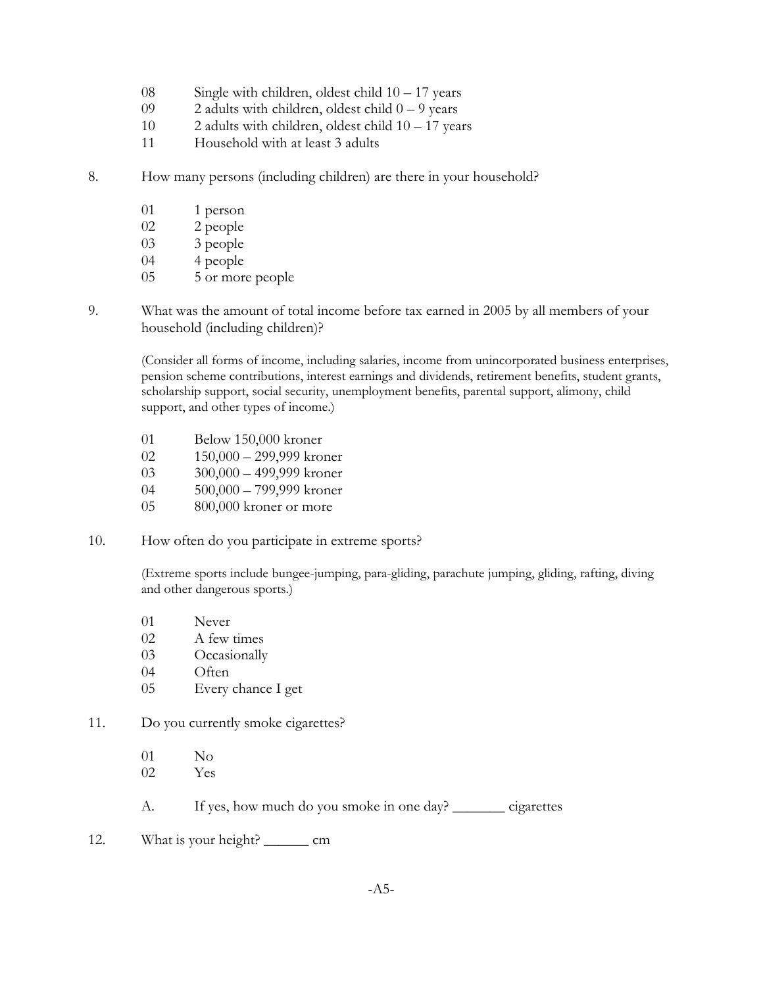- 08 Single with children, oldest child 10 17 years
- 09 2 adults with children, oldest child  $0 9$  years
- 10 2 adults with children, oldest child 10 17 years
- 11 Household with at least 3 adults
- 8. How many persons (including children) are there in your household?
	- 01 1 person
	- 02 2 people
	- 03 3 people
	- 04 4 people
	- 05 5 or more people
- 9. What was the amount of total income before tax earned in 2005 by all members of your household (including children)?

(Consider all forms of income, including salaries, income from unincorporated business enterprises, pension scheme contributions, interest earnings and dividends, retirement benefits, student grants, scholarship support, social security, unemployment benefits, parental support, alimony, child support, and other types of income.)

- 01 Below 150,000 kroner
- 02 150,000 299,999 kroner
- 03 300,000 499,999 kroner
- 04 500,000 799,999 kroner
- 05 800,000 kroner or more
- 10. How often do you participate in extreme sports?

(Extreme sports include bungee-jumping, para-gliding, parachute jumping, gliding, rafting, diving and other dangerous sports.)

- 01 Never
- 02 A few times
- 03 Occasionally
- 04 Often
- 05 Every chance I get
- 11. Do you currently smoke cigarettes?
	- 01 No 02 Yes
	- A. If yes, how much do you smoke in one day? \_\_\_\_\_\_\_\_ cigarettes
- 12. What is your height? \_\_\_\_\_\_\_\_ cm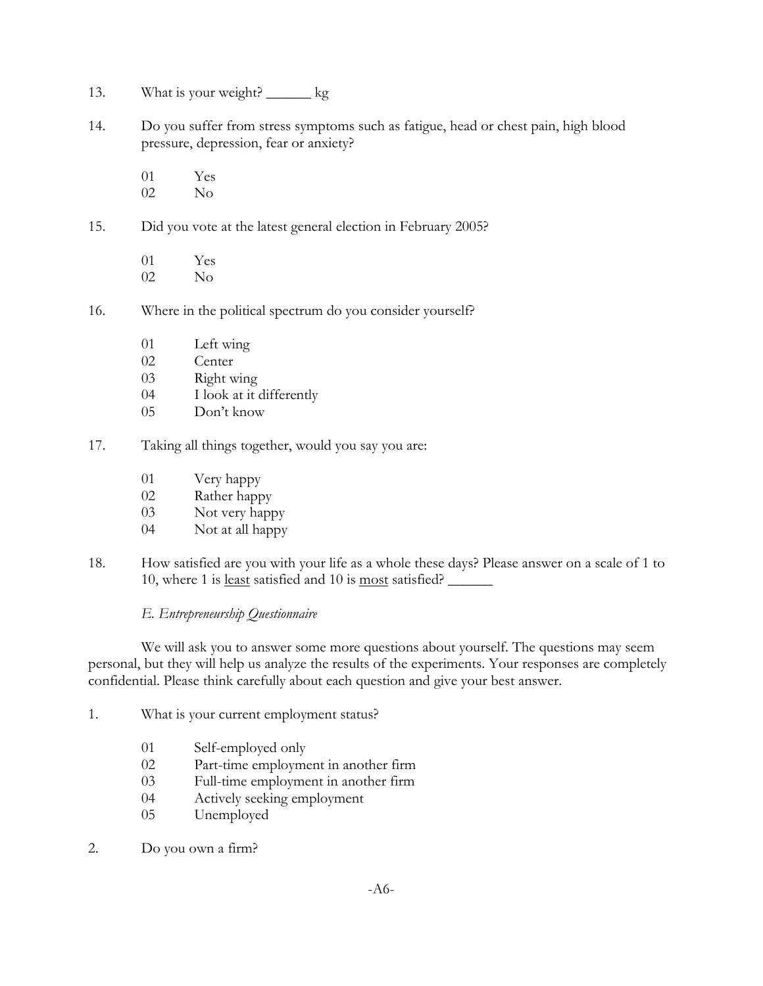- 13. What is your weight? \_\_\_\_\_\_ kg
- 14. Do you suffer from stress symptoms such as fatigue, head or chest pain, high blood pressure, depression, fear or anxiety?

01 Yes 02 No

15. Did you vote at the latest general election in February 2005?

01 Yes 02 No

- 16. Where in the political spectrum do you consider yourself?
	- 01 Left wing
	- 02 Center
	- 03 Right wing
	- 04 I look at it differently
	- 05 Don't know
- 17. Taking all things together, would you say you are:
	- 01 Very happy
	- 02 Rather happy
	- 03 Not very happy
	- 04 Not at all happy
- 18. How satisfied are you with your life as a whole these days? Please answer on a scale of 1 to 10, where 1 is least satisfied and 10 is most satisfied? \_\_\_\_\_\_

### *E. Entrepreneurship Questionnaire*

We will ask you to answer some more questions about yourself. The questions may seem personal, but they will help us analyze the results of the experiments. Your responses are completely confidential. Please think carefully about each question and give your best answer.

- 1. What is your current employment status?
	- 01 Self-employed only
	- 02 Part-time employment in another firm
	- 03 Full-time employment in another firm
	- 04 Actively seeking employment
	- 05 Unemployed
- 2. Do you own a firm?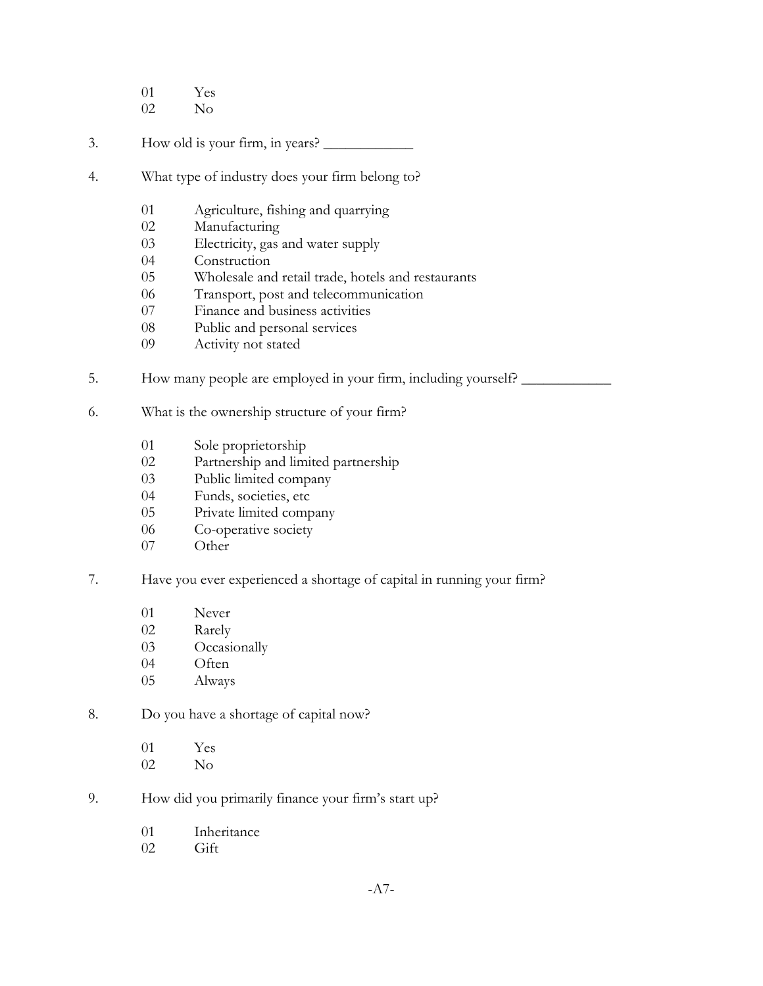- 01 Yes
- 02 No
- 3. How old is your firm, in years? \_\_\_\_\_\_\_\_\_\_\_\_
- 4. What type of industry does your firm belong to?
	- 01 Agriculture, fishing and quarrying
	- 02 Manufacturing
	- 03 Electricity, gas and water supply
	- 04 Construction
	- 05 Wholesale and retail trade, hotels and restaurants
	- 06 Transport, post and telecommunication
	- 07 Finance and business activities
	- 08 Public and personal services
	- 09 Activity not stated
- 5. How many people are employed in your firm, including yourself? \_\_\_\_\_\_\_\_\_\_\_\_\_\_
- 6. What is the ownership structure of your firm?
	- 01 Sole proprietorship
	- 02 Partnership and limited partnership
	- 03 Public limited company
	- 04 Funds, societies, etc
	- 05 Private limited company
	- 06 Co-operative society
	- 07 Other
- 7. Have you ever experienced a shortage of capital in running your firm?
	- 01 Never
	- 02 Rarely
	- 03 Occasionally
	- 04 Often
	- 05 Always
- 8. Do you have a shortage of capital now?
	- 01 Yes 02 No
- 9. How did you primarily finance your firm's start up?
	- 01 Inheritance
	- 02 Gift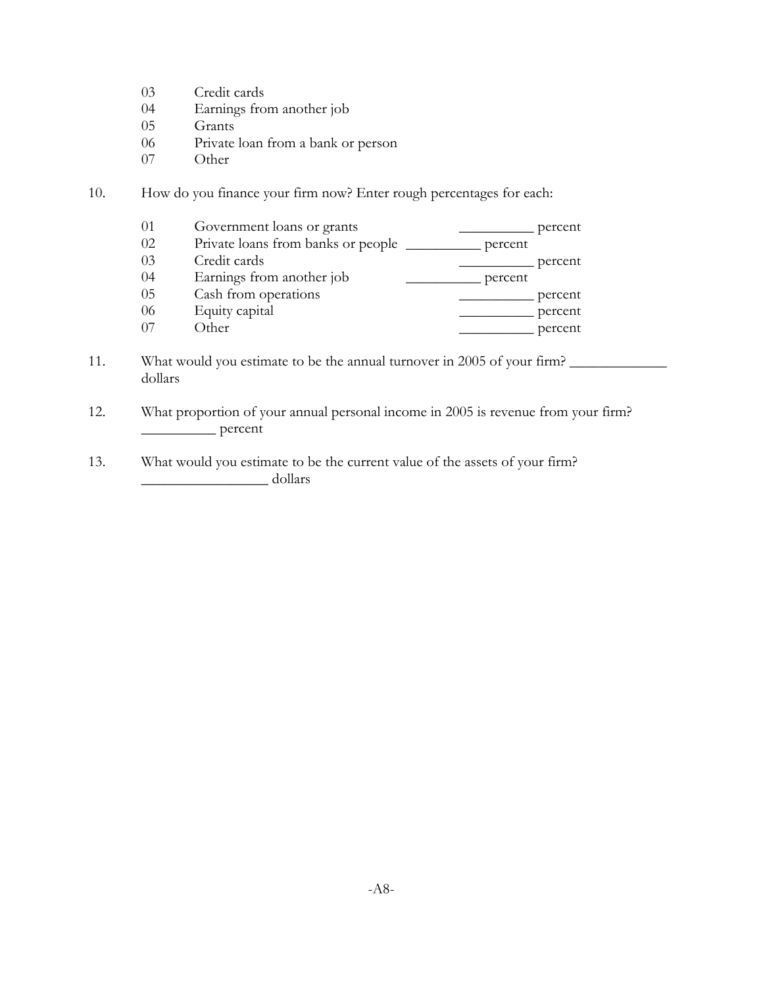- 03 Credit cards
- 04 Earnings from another job
- 05 Grants
- 06 Private loan from a bank or person
- 07 Other
- 10. How do you finance your firm now? Enter rough percentages for each:

| 01 | Government loans or grants         |         | percent |
|----|------------------------------------|---------|---------|
| 02 | Private loans from banks or people | percent |         |
| 03 | Credit cards                       |         | percent |
| 04 | Earnings from another job          | percent |         |
| 05 | Cash from operations               |         | percent |
| 06 | Equity capital                     |         | percent |
| 07 | Other                              |         | percent |

- 11. What would you estimate to be the annual turnover in 2005 of your firm? dollars
- 12. What proportion of your annual personal income in 2005 is revenue from your firm? \_\_\_\_\_\_\_\_\_\_ percent
- 13. What would you estimate to be the current value of the assets of your firm? \_\_\_\_\_\_\_\_\_\_\_\_\_\_\_\_\_ dollars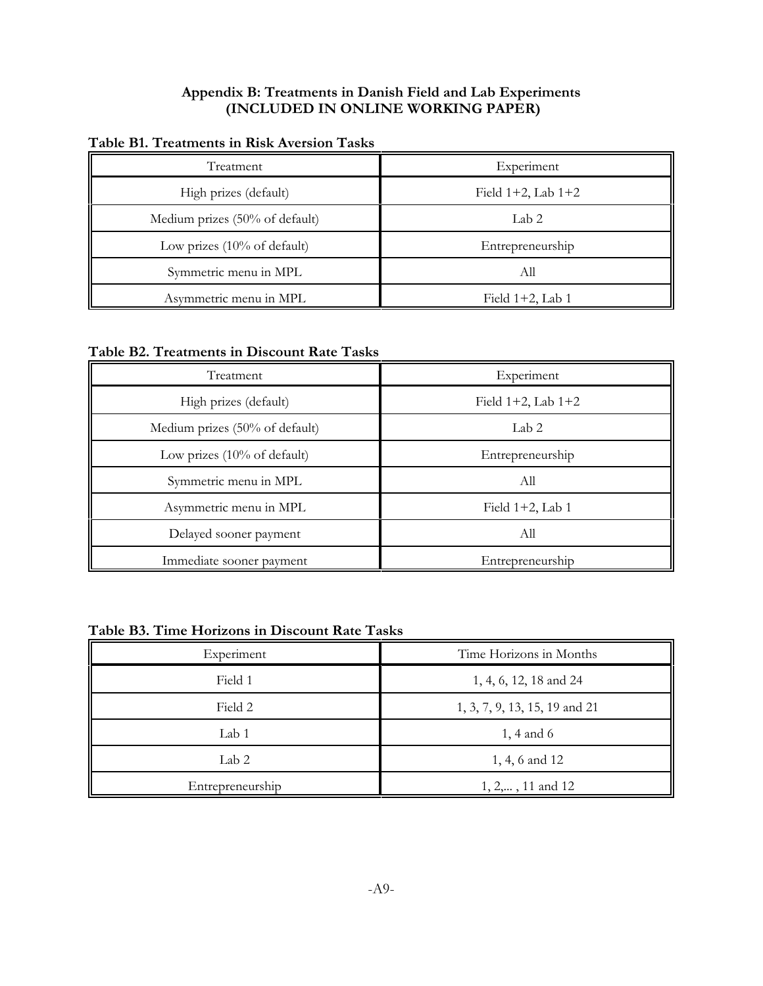# **Appendix B: Treatments in Danish Field and Lab Experiments (INCLUDED IN ONLINE WORKING PAPER)**

| Treatment                              | Experiment              |
|----------------------------------------|-------------------------|
| High prizes (default)                  | Field $1+2$ , Lab $1+2$ |
| Medium prizes (50% of default)         | Lab <sub>2</sub>        |
| Low prizes $(10\% \text{ of default})$ | Entrepreneurship        |
| Symmetric menu in MPL                  | All                     |
| Asymmetric menu in MPL                 | Field $1+2$ , Lab 1     |

# **Table B1. Treatments in Risk Aversion Tasks**

**Table B2. Treatments in Discount Rate Tasks**

| Treatment                              | Experiment              |
|----------------------------------------|-------------------------|
| High prizes (default)                  | Field $1+2$ , Lab $1+2$ |
| Medium prizes (50% of default)         | Lab <sub>2</sub>        |
| Low prizes $(10\% \text{ of default})$ | Entrepreneurship        |
| Symmetric menu in MPL                  | All                     |
| Asymmetric menu in MPL                 | Field $1+2$ , Lab 1     |
| Delayed sooner payment                 | All                     |
| Immediate sooner payment               | Entrepreneurship        |

# **Table B3. Time Horizons in Discount Rate Tasks**

| Experiment       | Time Horizons in Months       |
|------------------|-------------------------------|
| Field 1          | 1, 4, 6, 12, 18 and 24        |
| Field 2          | 1, 3, 7, 9, 13, 15, 19 and 21 |
| Lab 1            | $1, 4$ and 6                  |
| Lab 2            | 1, 4, 6 and 12                |
| Entrepreneurship | $1, 2,, 11$ and $12$          |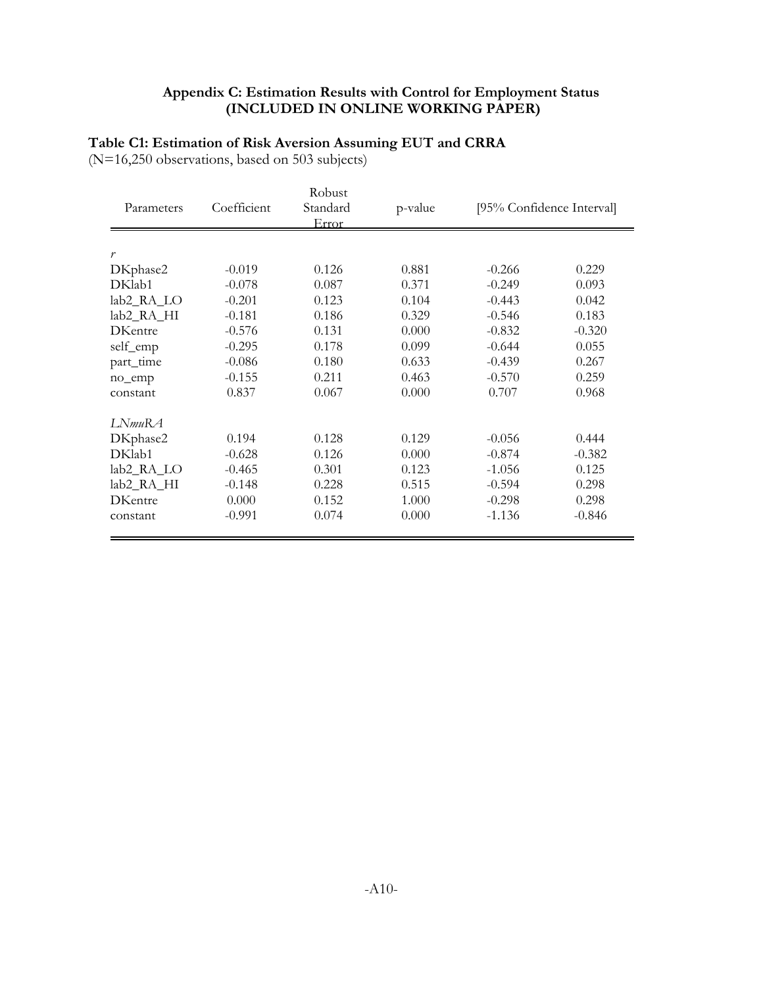# **Appendix C: Estimation Results with Control for Employment Status (INCLUDED IN ONLINE WORKING PAPER)**

# **Table C1: Estimation of Risk Aversion Assuming EUT and CRRA**

(N=16,250 observations, based on 503 subjects)

| Parameters             | Coefficient | Robust<br>Standard<br>Error | p-value | [95% Confidence Interval] |          |
|------------------------|-------------|-----------------------------|---------|---------------------------|----------|
| r                      |             |                             |         |                           |          |
| DKphase2               | $-0.019$    | 0.126                       | 0.881   | $-0.266$                  | 0.229    |
| DKlab1                 | $-0.078$    | 0.087                       | 0.371   | $-0.249$                  | 0.093    |
| lab2_RA_LO             | $-0.201$    | 0.123                       | 0.104   | $-0.443$                  | 0.042    |
| lab <sub>2_RA_HI</sub> | $-0.181$    | 0.186                       | 0.329   | $-0.546$                  | 0.183    |
| <b>DKentre</b>         | $-0.576$    | 0.131                       | 0.000   | $-0.832$                  | $-0.320$ |
| self_emp               | $-0.295$    | 0.178                       | 0.099   | $-0.644$                  | 0.055    |
| part_time              | $-0.086$    | 0.180                       | 0.633   | $-0.439$                  | 0.267    |
| no_emp                 | $-0.155$    | 0.211                       | 0.463   | $-0.570$                  | 0.259    |
| constant               | 0.837       | 0.067                       | 0.000   | 0.707                     | 0.968    |
| LNmuRA                 |             |                             |         |                           |          |
| DKphase2               | 0.194       | 0.128                       | 0.129   | $-0.056$                  | 0.444    |
| DKlab1                 | $-0.628$    | 0.126                       | 0.000   | $-0.874$                  | $-0.382$ |
| lab2_RA_LO             | $-0.465$    | 0.301                       | 0.123   | $-1.056$                  | 0.125    |
| lab2_RA_HI             | $-0.148$    | 0.228                       | 0.515   | $-0.594$                  | 0.298    |
| <b>DKentre</b>         | 0.000       | 0.152                       | 1.000   | $-0.298$                  | 0.298    |
| constant               | $-0.991$    | 0.074                       | 0.000   | $-1.136$                  | $-0.846$ |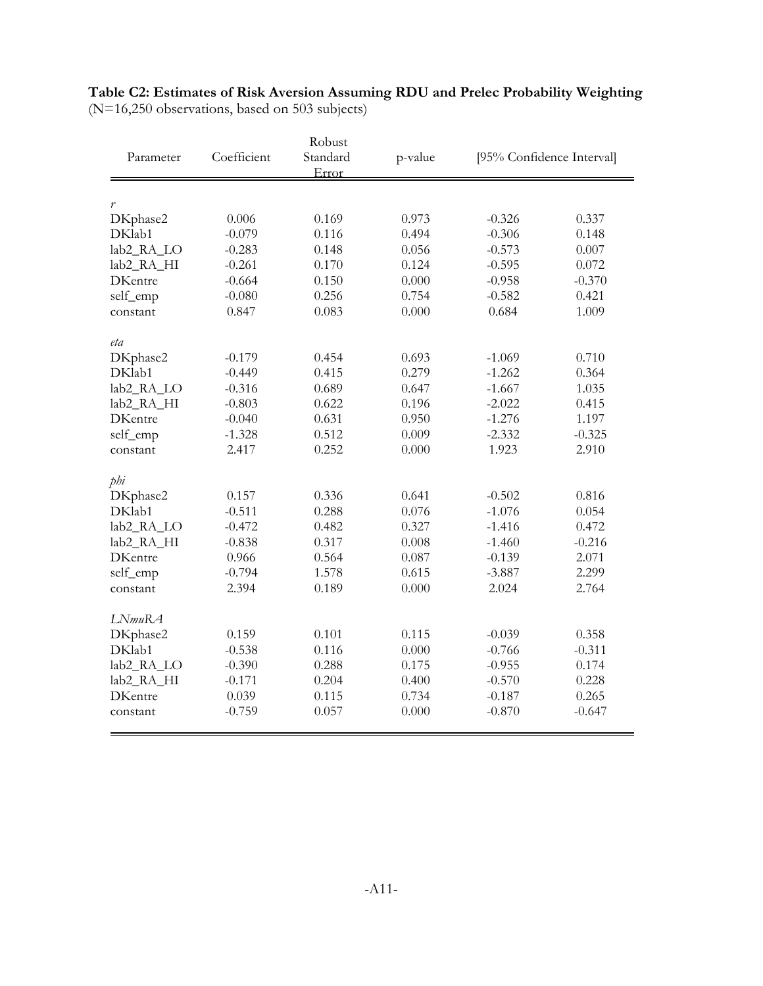| Parameter              | Coefficient | Robust<br>Standard | p-value | [95% Confidence Interval] |          |  |
|------------------------|-------------|--------------------|---------|---------------------------|----------|--|
|                        |             | Error              |         |                           |          |  |
|                        |             |                    |         |                           |          |  |
| $\boldsymbol{r}$       |             |                    |         |                           |          |  |
| DKphase2               | 0.006       | 0.169              | 0.973   | $-0.326$                  | 0.337    |  |
| DKlab1                 | $-0.079$    | 0.116              | 0.494   | $-0.306$                  | 0.148    |  |
| lab2_RA_LO             | $-0.283$    | 0.148              | 0.056   | $-0.573$                  | 0.007    |  |
| lab <sub>2_RA_HI</sub> | $-0.261$    | 0.170              | 0.124   | $-0.595$                  | 0.072    |  |
| <b>DKentre</b>         | $-0.664$    | 0.150              | 0.000   | $-0.958$                  | $-0.370$ |  |
| self_emp               | $-0.080$    | 0.256              | 0.754   | $-0.582$                  | 0.421    |  |
| constant               | 0.847       | 0.083              | 0.000   | 0.684                     | 1.009    |  |
|                        |             |                    |         |                           |          |  |
| eta                    |             |                    |         |                           |          |  |
| DKphase2               | $-0.179$    | 0.454              | 0.693   | $-1.069$                  | 0.710    |  |
| DKlab1                 | $-0.449$    | 0.415              | 0.279   | $-1.262$                  | 0.364    |  |
| lab2_RA_LO             | $-0.316$    | 0.689              | 0.647   | $-1.667$                  | 1.035    |  |
| lab <sub>2_RA_HI</sub> | $-0.803$    | 0.622              | 0.196   | $-2.022$                  | 0.415    |  |
| <b>DKentre</b>         | $-0.040$    | 0.631              | 0.950   | $-1.276$                  | 1.197    |  |
| self_emp               | $-1.328$    | 0.512              | 0.009   | $-2.332$                  | $-0.325$ |  |
| constant               | 2.417       | 0.252              | 0.000   | 1.923                     | 2.910    |  |
|                        |             |                    |         |                           |          |  |
| phi                    |             |                    |         |                           |          |  |
| DKphase2               | 0.157       | 0.336              | 0.641   | $-0.502$                  | 0.816    |  |
| DKlab1                 | $-0.511$    | 0.288              | 0.076   | $-1.076$                  | 0.054    |  |
| lab2_RA_LO             | $-0.472$    | 0.482              | 0.327   | $-1.416$                  | 0.472    |  |
| lab <sub>2_RA_HI</sub> | $-0.838$    | 0.317              | 0.008   | $-1.460$                  | $-0.216$ |  |
| <b>DKentre</b>         | 0.966       | 0.564              | 0.087   | $-0.139$                  | 2.071    |  |
| self_emp               | $-0.794$    | 1.578              | 0.615   | $-3.887$                  | 2.299    |  |
| constant               | 2.394       | 0.189              | 0.000   | 2.024                     | 2.764    |  |
| LNmuRA                 |             |                    |         |                           |          |  |
| DKphase2               | 0.159       | 0.101              | 0.115   | $-0.039$                  | 0.358    |  |
| DKlab1                 | $-0.538$    | 0.116              | 0.000   | $-0.766$                  | $-0.311$ |  |
| lab2_RA_LO             | $-0.390$    | 0.288              | 0.175   | $-0.955$                  | 0.174    |  |
| lab <sub>2_RA_HI</sub> | $-0.171$    | 0.204              | 0.400   | $-0.570$                  | 0.228    |  |
| <b>DKentre</b>         | 0.039       | 0.115              | 0.734   | $-0.187$                  | 0.265    |  |
| constant               | $-0.759$    | 0.057              | 0.000   | $-0.870$                  | $-0.647$ |  |
|                        |             |                    |         |                           |          |  |

# **Table C2: Estimates of Risk Aversion Assuming RDU and Prelec Probability Weighting** (N=16,250 observations, based on 503 subjects)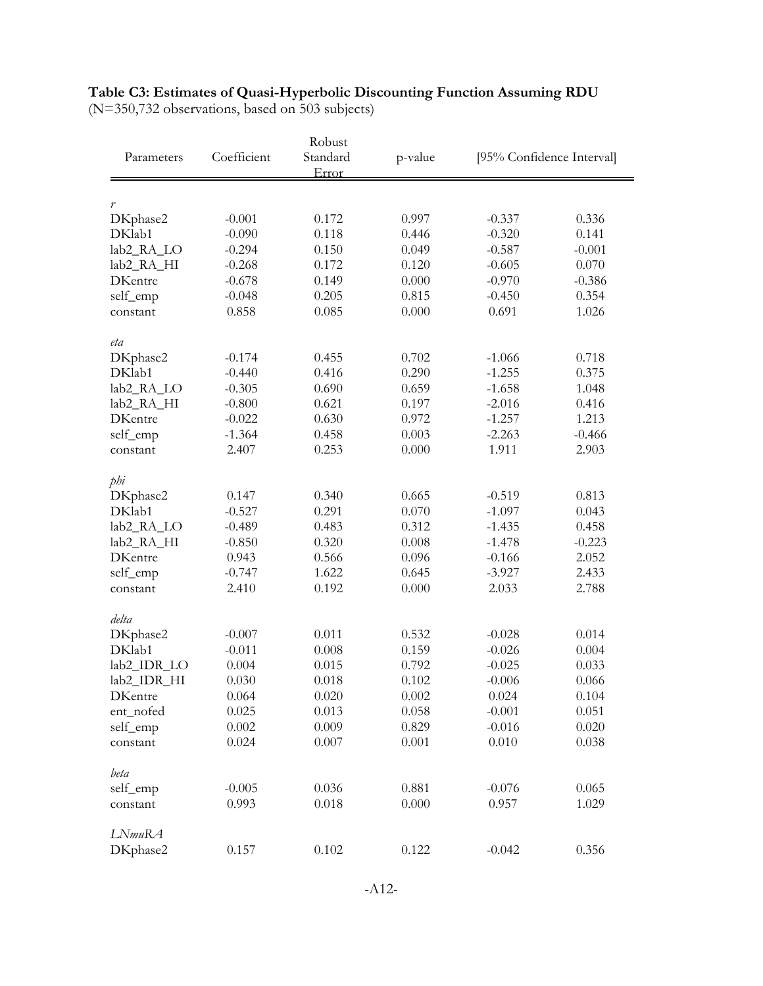|  |  |  |  |  |  | Table C3: Estimates of Quasi-Hyperbolic Discounting Function Assuming RDU |  |
|--|--|--|--|--|--|---------------------------------------------------------------------------|--|
|  |  |  |  |  |  |                                                                           |  |

|                        |             | Robust            |         |                           |          |  |
|------------------------|-------------|-------------------|---------|---------------------------|----------|--|
| Parameters             | Coefficient | Standard<br>Error | p-value | [95% Confidence Interval] |          |  |
| $\boldsymbol{r}$       |             |                   |         |                           |          |  |
| DKphase2               | $-0.001$    | 0.172             | 0.997   | $-0.337$                  | 0.336    |  |
| DKlab1                 | $-0.090$    | 0.118             | 0.446   | $-0.320$                  | 0.141    |  |
| lab2_RA_LO             | $-0.294$    | 0.150             | 0.049   | $-0.587$                  | $-0.001$ |  |
| lab <sub>2_RA_HI</sub> | $-0.268$    | 0.172             | 0.120   | $-0.605$                  | 0.070    |  |
| <b>DKentre</b>         | $-0.678$    | 0.149             | 0.000   | $-0.970$                  | $-0.386$ |  |
| self_emp               | $-0.048$    | 0.205             | 0.815   | $-0.450$                  | 0.354    |  |
| constant               | 0.858       | 0.085             | 0.000   | 0.691                     | 1.026    |  |
| eta                    |             |                   |         |                           |          |  |
| DKphase2               | $-0.174$    | 0.455             | 0.702   | $-1.066$                  | 0.718    |  |
| DKlab1                 | $-0.440$    | 0.416             | 0.290   | $-1.255$                  | 0.375    |  |
| lab2_RA_LO             | $-0.305$    | 0.690             | 0.659   | $-1.658$                  | 1.048    |  |
| lab <sub>2_RA_HI</sub> | $-0.800$    | 0.621             | 0.197   | $-2.016$                  | 0.416    |  |
| <b>DKentre</b>         | $-0.022$    | 0.630             | 0.972   | $-1.257$                  | 1.213    |  |
| self_emp               | $-1.364$    | 0.458             | 0.003   | $-2.263$                  | $-0.466$ |  |
| constant               | 2.407       | 0.253             | 0.000   | 1.911                     | 2.903    |  |
| phi                    |             |                   |         |                           |          |  |
| DKphase2               | 0.147       | 0.340             | 0.665   | $-0.519$                  | 0.813    |  |
| DKlab1                 | $-0.527$    | 0.291             | 0.070   | $-1.097$                  | 0.043    |  |
| lab2_RA_LO             | $-0.489$    | 0.483             | 0.312   | $-1.435$                  | 0.458    |  |
| lab <sub>2_RA_HI</sub> | $-0.850$    | 0.320             | 0.008   | $-1.478$                  | $-0.223$ |  |
| <b>DKentre</b>         | 0.943       | 0.566             | 0.096   | $-0.166$                  | 2.052    |  |
| self_emp               | $-0.747$    | 1.622             | 0.645   | $-3.927$                  | 2.433    |  |
| constant               | 2.410       | 0.192             | 0.000   | 2.033                     | 2.788    |  |
| delta                  |             |                   |         |                           |          |  |
| DKphase2               | $-0.007$    | 0.011             | 0.532   | $-0.028$                  | 0.014    |  |
| DKlab1                 | $-0.011$    | 0.008             | 0.159   | $-0.026$                  | 0.004    |  |
| lab2_IDR_LO            | 0.004       | 0.015             | 0.792   | $-0.025$                  | 0.033    |  |
| lab2_IDR_HI            | 0.030       | 0.018             | 0.102   | $-0.006$                  | 0.066    |  |
| DKentre                | 0.064       | 0.020             | 0.002   | 0.024                     | 0.104    |  |
| ent_nofed              | 0.025       | 0.013             | 0.058   | $-0.001$                  | 0.051    |  |
| self_emp               | 0.002       | 0.009             | 0.829   | $-0.016$                  | 0.020    |  |
| constant               | 0.024       | 0.007             | 0.001   | 0.010                     | 0.038    |  |
| beta                   |             |                   |         |                           |          |  |
| self_emp               | $-0.005$    | 0.036             | 0.881   | $-0.076$                  | 0.065    |  |
| constant               | 0.993       | 0.018             | 0.000   | 0.957                     | 1.029    |  |
| LNmuRA                 |             |                   |         |                           |          |  |
| DKphase2               | 0.157       | 0.102             | 0.122   | $-0.042$                  | 0.356    |  |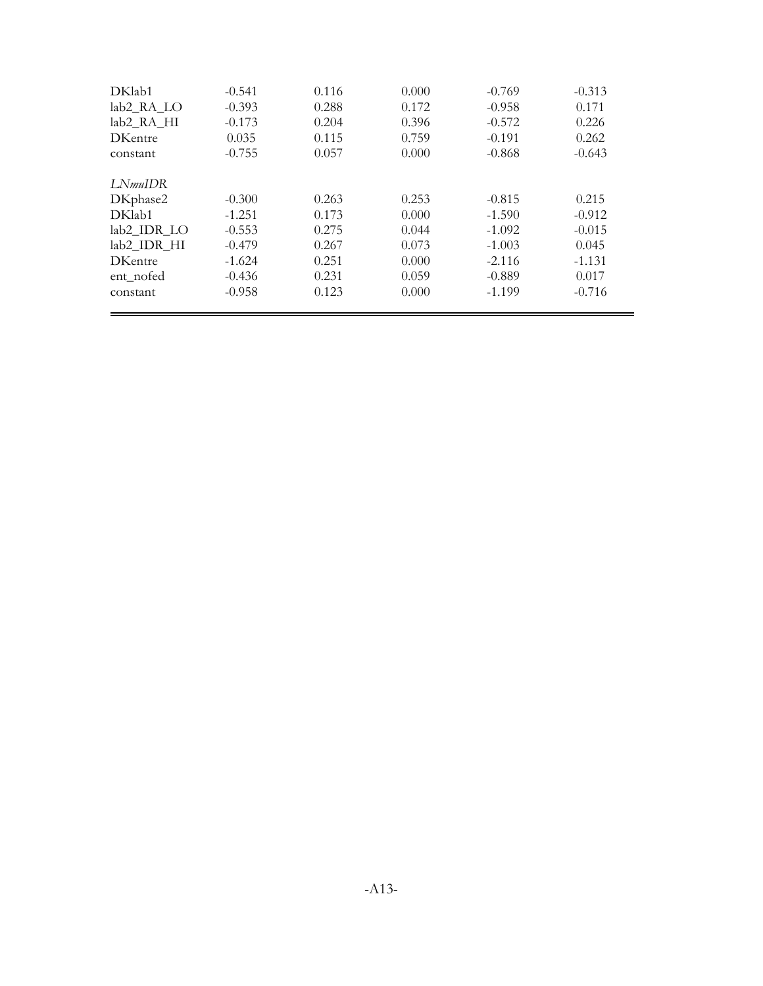| DKlab1                 | $-0.541$ | 0.116 | 0.000 | $-0.769$ | $-0.313$ |
|------------------------|----------|-------|-------|----------|----------|
| lab2 RA LO             | $-0.393$ | 0.288 | 0.172 | $-0.958$ | 0.171    |
| lab <sub>2</sub> RA HI | $-0.173$ | 0.204 | 0.396 | $-0.572$ | 0.226    |
| <b>DKentre</b>         | 0.035    | 0.115 | 0.759 | $-0.191$ | 0.262    |
| constant               | $-0.755$ | 0.057 | 0.000 | $-0.868$ | $-0.643$ |
| LN <i>muIDR</i>        |          |       |       |          |          |
| DKphase2               | $-0.300$ | 0.263 | 0.253 | $-0.815$ | 0.215    |
| DKlab1                 | $-1.251$ | 0.173 | 0.000 | $-1.590$ | $-0.912$ |
| lab2 IDR LO            | $-0.553$ | 0.275 | 0.044 | $-1.092$ | $-0.015$ |
| lab2_IDR_HI            | $-0.479$ | 0.267 | 0.073 | $-1.003$ | 0.045    |
| <b>DKentre</b>         | $-1.624$ | 0.251 | 0.000 | $-2.116$ | $-1.131$ |
| ent_nofed              | $-0.436$ | 0.231 | 0.059 | $-0.889$ | 0.017    |
| constant               | $-0.958$ | 0.123 | 0.000 | $-1.199$ | $-0.716$ |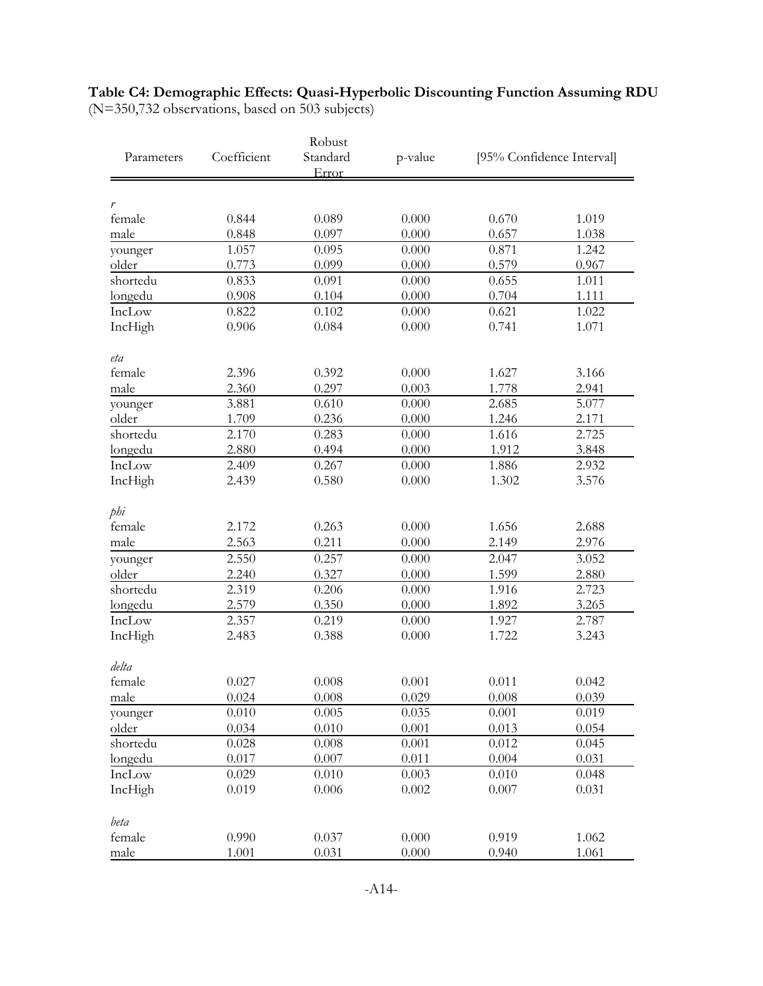### **Table C4: Demographic Effects: Quasi-Hyperbolic Discounting Function Assuming RDU** (N=350,732 observations, based on 503 subjects)

|            |             | Robust            |         |                           |       |  |
|------------|-------------|-------------------|---------|---------------------------|-------|--|
| Parameters | Coefficient | Standard<br>Error | p-value | [95% Confidence Interval] |       |  |
|            |             |                   |         |                           |       |  |
| r          |             |                   |         |                           |       |  |
| female     | 0.844       | 0.089             | 0.000   | 0.670                     | 1.019 |  |
| male       | 0.848       | 0.097             | 0.000   | 0.657                     | 1.038 |  |
| younger    | 1.057       | 0.095             | 0.000   | 0.871                     | 1.242 |  |
| older      | 0.773       | 0.099             | 0.000   | 0.579                     | 0.967 |  |
| shortedu   | 0.833       | 0.091             | 0.000   | 0.655                     | 1.011 |  |
| longedu    | 0.908       | 0.104             | 0.000   | 0.704                     | 1.111 |  |
| IncLow     | 0.822       | 0.102             | 0.000   | 0.621                     | 1.022 |  |
| IncHigh    | 0.906       | 0.084             | 0.000   | 0.741                     | 1.071 |  |
| eta        |             |                   |         |                           |       |  |
| female     | 2.396       | 0.392             | 0.000   | 1.627                     | 3.166 |  |
| male       | 2.360       | 0.297             | 0.003   | 1.778                     | 2.941 |  |
| younger    | 3.881       | 0.610             | 0.000   | 2.685                     | 5.077 |  |
| older      | 1.709       | 0.236             | 0.000   | 1.246                     | 2.171 |  |
| shortedu   | 2.170       | 0.283             | 0.000   | 1.616                     | 2.725 |  |
| longedu    | 2.880       | 0.494             | 0.000   | 1.912                     | 3.848 |  |
| IncLow     | 2.409       | 0.267             | 0.000   | 1.886                     | 2.932 |  |
| IncHigh    | 2.439       | 0.580             | 0.000   | 1.302                     | 3.576 |  |
| phi        |             |                   |         |                           |       |  |
| female     | 2.172       | 0.263             | 0.000   | 1.656                     | 2.688 |  |
| male       | 2.563       | 0.211             | 0.000   | 2.149                     | 2.976 |  |
| younger    | 2.550       | 0.257             | 0.000   | 2.047                     | 3.052 |  |
| older      | 2.240       | 0.327             | 0.000   | 1.599                     | 2.880 |  |
| shortedu   | 2.319       | 0.206             | 0.000   | 1.916                     | 2.723 |  |
| longedu    | 2.579       | 0.350             | 0.000   | 1.892                     | 3.265 |  |
| IncLow     | 2.357       | 0.219             | 0.000   | 1.927                     | 2.787 |  |
| IncHigh    | 2.483       | 0.388             | 0.000   | 1.722                     | 3.243 |  |
| delta      |             |                   |         |                           |       |  |
| female     | 0.027       | 0.008             | 0.001   | 0.011                     | 0.042 |  |
| male       | 0.024       | 0.008             | 0.029   | 0.008                     | 0.039 |  |
| younger    | 0.010       | 0.005             | 0.035   | 0.001                     | 0.019 |  |
| older      | 0.034       | 0.010             | 0.001   | 0.013                     | 0.054 |  |
| shortedu   | 0.028       | 0.008             | 0.001   | 0.012                     | 0.045 |  |
| longedu    | 0.017       | 0.007             | 0.011   | 0.004                     | 0.031 |  |
| IncLow     | 0.029       | 0.010             | 0.003   | 0.010                     | 0.048 |  |
| IncHigh    | 0.019       | 0.006             | 0.002   | 0.007                     | 0.031 |  |
| beta       |             |                   |         |                           |       |  |
| female     | 0.990       | 0.037             | 0.000   | 0.919                     | 1.062 |  |
| male       | 1.001       | 0.031             | 0.000   | 0.940                     | 1.061 |  |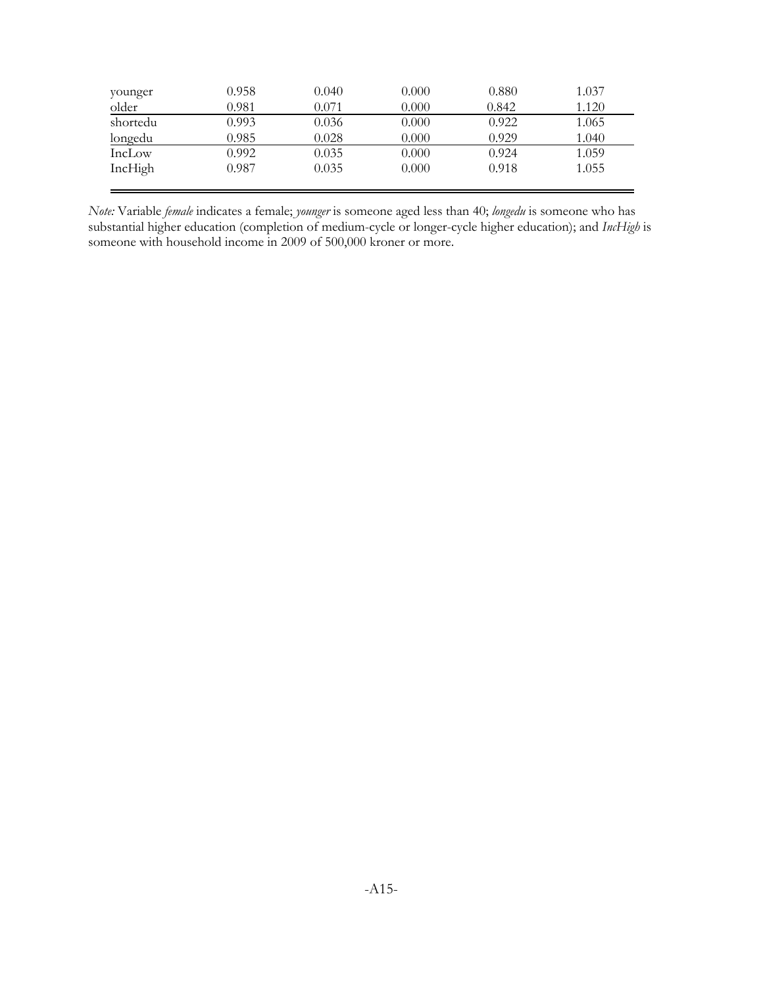| younger  | 0.958 | 0.040 | 0.000 | 0.880 | 1.037 |
|----------|-------|-------|-------|-------|-------|
| older    | 0.981 | 0.071 | 0.000 | 0.842 | 1.120 |
| shortedu | 0.993 | 0.036 | 0.000 | 0.922 | 1.065 |
| longedu  | 0.985 | 0.028 | 0.000 | 0.929 | 1.040 |
| IncLow   | 0.992 | 0.035 | 0.000 | 0.924 | 1.059 |
| IncHigh  | 0.987 | 0.035 | 0.000 | 0.918 | 1.055 |
|          |       |       |       |       |       |

*Note:* Variable *female* indicates a female; *younger* is someone aged less than 40; *longedu* is someone who has substantial higher education (completion of medium-cycle or longer-cycle higher education); and *IncHigh* is someone with household income in 2009 of 500,000 kroner or more.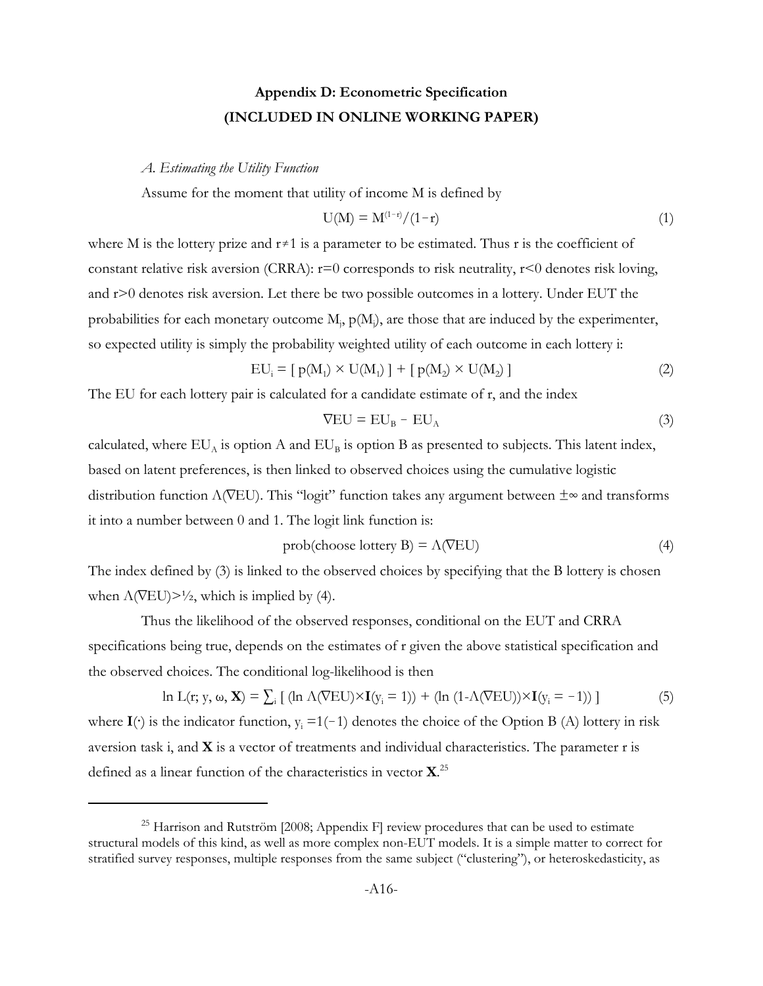# **Appendix D: Econometric Specification (INCLUDED IN ONLINE WORKING PAPER)**

#### *A. Estimating the Utility Function*

Assume for the moment that utility of income M is defined by

$$
U(M) = M^{(1-r)}/(1-r)
$$
 (1)

where M is the lottery prize and  $r \neq 1$  is a parameter to be estimated. Thus r is the coefficient of constant relative risk aversion (CRRA):  $r=0$  corresponds to risk neutrality,  $r<0$  denotes risk loving, and r>0 denotes risk aversion. Let there be two possible outcomes in a lottery. Under EUT the probabilities for each monetary outcome  $M$ ,  $p(M)$ , are those that are induced by the experimenter, so expected utility is simply the probability weighted utility of each outcome in each lottery i:

$$
EU_i = [p(M_1) \times U(M_1)] + [p(M_2) \times U(M_2)] \tag{2}
$$

The EU for each lottery pair is calculated for a candidate estimate of r, and the index

$$
\nabla \mathbf{E} \mathbf{U} = \mathbf{E} \mathbf{U}_{\mathbf{B}} - \mathbf{E} \mathbf{U}_{\mathbf{A}} \tag{3}
$$

calculated, where  $EU_A$  is option A and  $EU_B$  is option B as presented to subjects. This latent index, based on latent preferences, is then linked to observed choices using the cumulative logistic distribution function  $\Lambda$ (VEU). This "logit" function takes any argument between  $\pm \infty$  and transforms it into a number between 0 and 1. The logit link function is:

$$
prob(choose lottery B) = \Lambda (VEU)
$$
\n(4)

The index defined by (3) is linked to the observed choices by specifying that the B lottery is chosen when  $\Lambda$ (VEU) $>1/2$ , which is implied by (4).

Thus the likelihood of the observed responses, conditional on the EUT and CRRA specifications being true, depends on the estimates of r given the above statistical specification and the observed choices. The conditional log-likelihood is then

ln L(r; y, 
$$
\omega
$$
, **X**) =  $\sum_i$  [(ln  $\Lambda(\overline{V}EU) \times I(y_i = 1)$ ) + (ln (1- $\Lambda(\overline{V}EU)$ ) $\times I(y_i = -1)$ )] (5)  
where **I**( $\cdot$ ) is the indicator function,  $y_i = 1(-1)$  denotes the choice of the Option B (A) lottery in risk  
aversion task i, and **X** is a vector of treatments and individual characteristics. The parameter r is  
defined as a linear function of the characteristics in vector **X**.<sup>25</sup>

 $^{25}$  Harrison and Rutström [2008; Appendix F] review procedures that can be used to estimate structural models of this kind, as well as more complex non-EUT models. It is a simple matter to correct for stratified survey responses, multiple responses from the same subject ("clustering"), or heteroskedasticity, as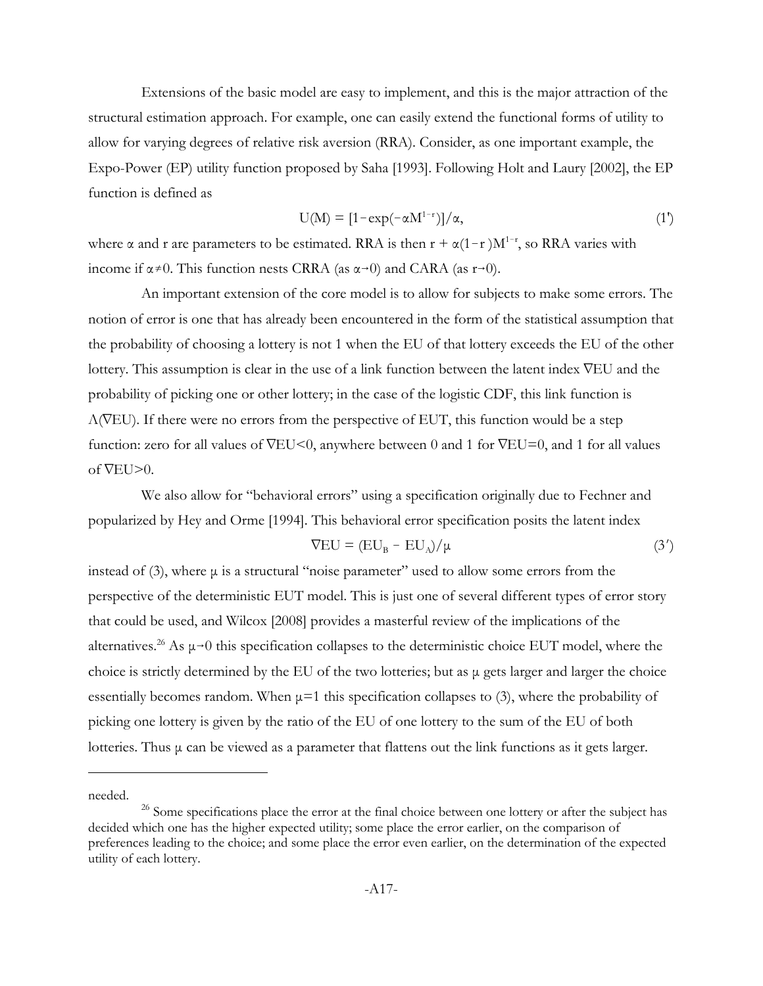Extensions of the basic model are easy to implement, and this is the major attraction of the structural estimation approach. For example, one can easily extend the functional forms of utility to allow for varying degrees of relative risk aversion (RRA). Consider, as one important example, the Expo-Power (EP) utility function proposed by Saha [1993]. Following Holt and Laury [2002], the EP function is defined as

$$
U(M) = \left[1 - \exp(-\alpha M^{1-r})\right] / \alpha,\tag{1'}
$$

where  $\alpha$  and r are parameters to be estimated. RRA is then  $r + \alpha(1-r)M^{1-r}$ , so RRA varies with income if  $\alpha \neq 0$ . This function nests CRRA (as  $\alpha \rightarrow 0$ ) and CARA (as  $r \rightarrow 0$ ).

An important extension of the core model is to allow for subjects to make some errors. The notion of error is one that has already been encountered in the form of the statistical assumption that the probability of choosing a lottery is not 1 when the EU of that lottery exceeds the EU of the other lottery. This assumption is clear in the use of a link function between the latent index  $\nabla$ EU and the probability of picking one or other lottery; in the case of the logistic CDF, this link function is  $\Lambda$ (VEU). If there were no errors from the perspective of EUT, this function would be a step function: zero for all values of  $\nabla$ EU<0, anywhere between 0 and 1 for  $\nabla$ EU=0, and 1 for all values of  $\nabla$ EU $>0$ .

We also allow for "behavioral errors" using a specification originally due to Fechner and popularized by Hey and Orme [1994]. This behavioral error specification posits the latent index

$$
\nabla \mathbf{E} \mathbf{U} = (\mathbf{E} \mathbf{U}_{\mathbf{B}} - \mathbf{E} \mathbf{U}_{\mathbf{A}}) / \mu \tag{3'}
$$

instead of  $(3)$ , where  $\mu$  is a structural "noise parameter" used to allow some errors from the perspective of the deterministic EUT model. This is just one of several different types of error story that could be used, and Wilcox [2008] provides a masterful review of the implications of the alternatives.<sup>26</sup> As  $\mu \rightarrow 0$  this specification collapses to the deterministic choice EUT model, where the choice is strictly determined by the EU of the two lotteries; but as μ gets larger and larger the choice essentially becomes random. When  $\mu$ =1 this specification collapses to (3), where the probability of picking one lottery is given by the ratio of the EU of one lottery to the sum of the EU of both lotteries. Thus μ can be viewed as a parameter that flattens out the link functions as it gets larger.

needed.

<sup>&</sup>lt;sup>26</sup> Some specifications place the error at the final choice between one lottery or after the subject has decided which one has the higher expected utility; some place the error earlier, on the comparison of preferences leading to the choice; and some place the error even earlier, on the determination of the expected utility of each lottery.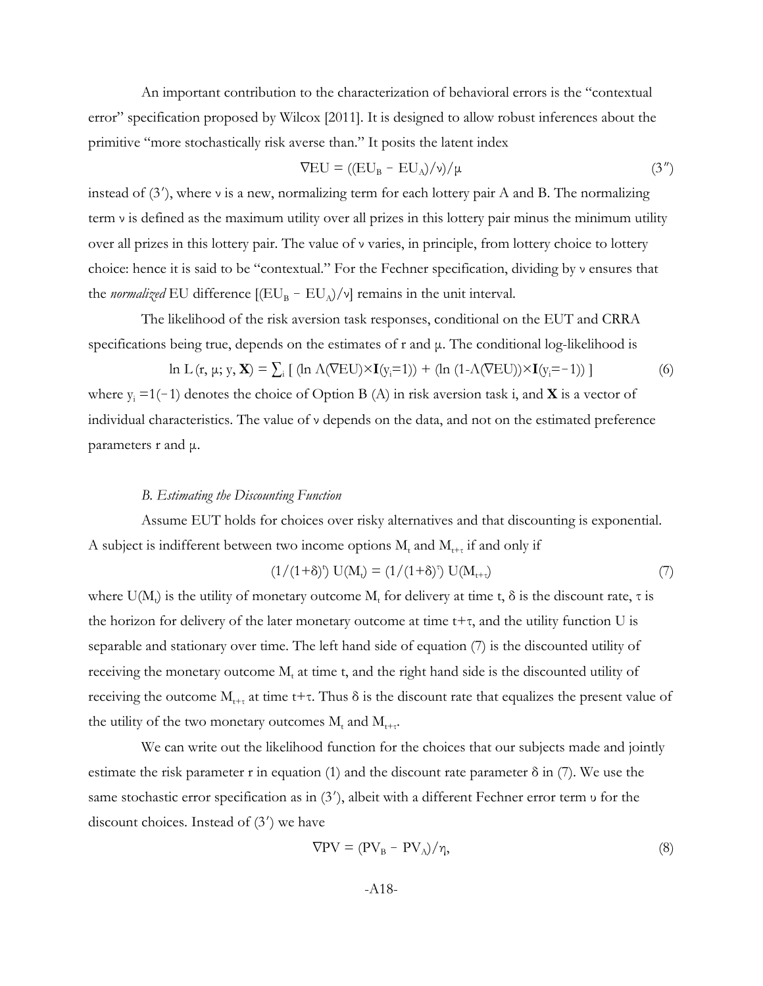An important contribution to the characterization of behavioral errors is the "contextual error" specification proposed by Wilcox [2011]. It is designed to allow robust inferences about the primitive "more stochastically risk averse than." It posits the latent index

$$
\nabla EU = ((EU_B - EU_A)/\nu)/\mu \tag{3''}
$$

instead of  $(3')$ , where *v* is a new, normalizing term for each lottery pair A and B. The normalizing term ν is defined as the maximum utility over all prizes in this lottery pair minus the minimum utility over all prizes in this lottery pair. The value of ν varies, in principle, from lottery choice to lottery choice: hence it is said to be "contextual." For the Fechner specification, dividing by ν ensures that the *normalized* EU difference  $[(EU_B - EU_A)/v]$  remains in the unit interval.

The likelihood of the risk aversion task responses, conditional on the EUT and CRRA specifications being true, depends on the estimates of r and μ. The conditional log-likelihood is

ln L (r,  $\mu$ ;  $y$ , **X**) =  $\sum_i$  [ (ln  $\Lambda(\overline{\text{VEU}}) \times \textbf{I}(y_i=1))$  + (ln  $(1-\Lambda(\overline{\text{VEU}})) \times \textbf{I}(y_i=-1))$  ] (6) where  $y_i = 1(-1)$  denotes the choice of Option B (A) in risk aversion task i, and **X** is a vector of individual characteristics. The value of ν depends on the data, and not on the estimated preference parameters r and μ.

### *B. Estimating the Discounting Function*

Assume EUT holds for choices over risky alternatives and that discounting is exponential. A subject is indifferent between two income options  $M_t$  and  $M_{t+\tau}$  if and only if

$$
(1/(1+\delta)^{t}) U(M_{t}) = (1/(1+\delta)^{t}) U(M_{t+\tau})
$$
\n
$$
(7)
$$

where  $U(M_t)$  is the utility of monetary outcome  $M_t$  for delivery at time t,  $\delta$  is the discount rate,  $\tau$  is the horizon for delivery of the later monetary outcome at time  $t+\tau$ , and the utility function U is separable and stationary over time. The left hand side of equation (7) is the discounted utility of receiving the monetary outcome  $M_t$  at time t, and the right hand side is the discounted utility of receiving the outcome  $M_{t+\tau}$  at time t+τ. Thus δ is the discount rate that equalizes the present value of the utility of the two monetary outcomes  $M_t$  and  $M_{t+\tau}$ .

We can write out the likelihood function for the choices that our subjects made and jointly estimate the risk parameter r in equation (1) and the discount rate parameter  $\delta$  in (7). We use the same stochastic error specification as in (3'), albeit with a different Fechner error term υ for the discount choices. Instead of  $(3')$  we have

$$
\nabla \mathbf{PV} = (\mathbf{PV}_{\mathbf{B}} - \mathbf{PV}_{\mathbf{A}})/\eta,\tag{8}
$$

$$
-A18-
$$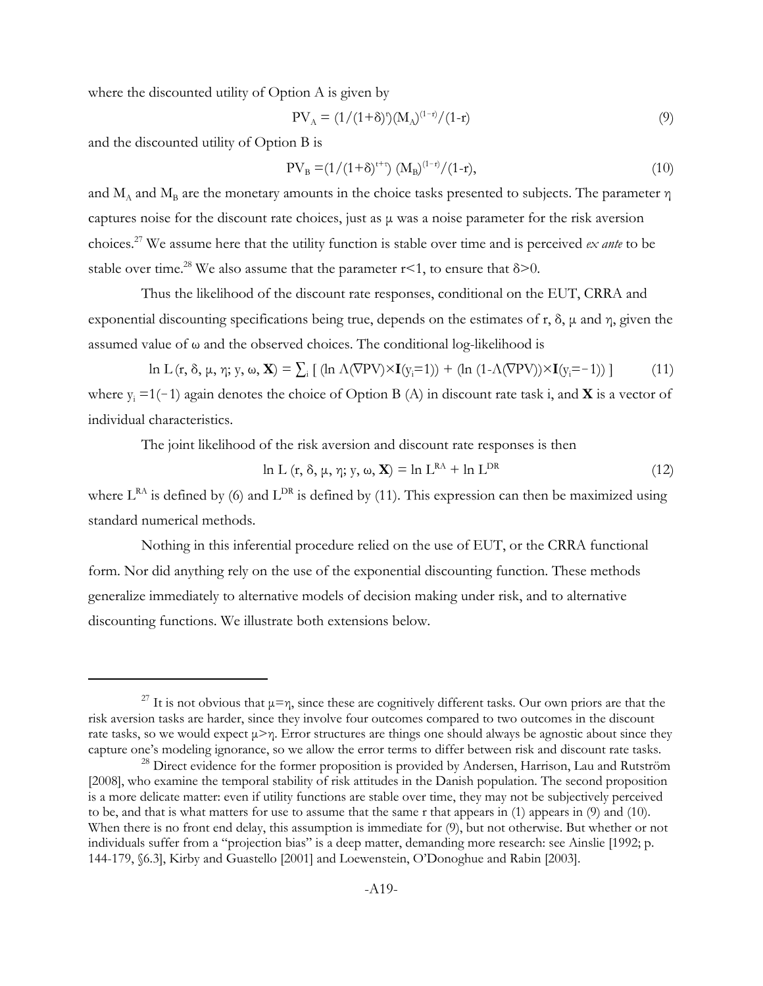where the discounted utility of Option A is given by

$$
PV_{A} = (1/(1+\delta)^{t})(M_{A})^{(1-r)}/(1-r)
$$
\n(9)

and the discounted utility of Option B is

$$
PV_{B} = (1/(1+\delta)^{t+\tau}) (M_{B})^{(1-\tau)}/(1-r), \qquad (10)
$$

and  $M_A$  and  $M_B$  are the monetary amounts in the choice tasks presented to subjects. The parameter  $\eta$ captures noise for the discount rate choices, just as μ was a noise parameter for the risk aversion choices.27 We assume here that the utility function is stable over time and is perceived *ex ante* to be stable over time.<sup>28</sup> We also assume that the parameter  $r < 1$ , to ensure that  $\delta > 0$ .

Thus the likelihood of the discount rate responses, conditional on the EUT, CRRA and exponential discounting specifications being true, depends on the estimates of r,  $\delta$ ,  $\mu$  and  $\eta$ , given the assumed value of  $\omega$  and the observed choices. The conditional log-likelihood is

$$
\ln L(r, \delta, \mu, \eta; y, \omega, \mathbf{X}) = \sum_{i} \left[ (\ln \Lambda(\nabla \mathbf{PV}) \times \mathbf{I}(y_i=1)) + (\ln (1 - \Lambda(\nabla \mathbf{PV})) \times \mathbf{I}(y_i=-1)) \right] \tag{11}
$$

where  $y_i = 1(-1)$  again denotes the choice of Option B (A) in discount rate task i, and **X** is a vector of individual characteristics.

The joint likelihood of the risk aversion and discount rate responses is then

$$
\ln L \left( \mathbf{r}, \delta, \mu, \eta; \mathbf{y}, \omega, \mathbf{X} \right) = \ln L^{\text{RA}} + \ln L^{\text{DR}} \tag{12}
$$

where  $L^{RA}$  is defined by (6) and  $L^{DR}$  is defined by (11). This expression can then be maximized using standard numerical methods.

Nothing in this inferential procedure relied on the use of EUT, or the CRRA functional form. Nor did anything rely on the use of the exponential discounting function. These methods generalize immediately to alternative models of decision making under risk, and to alternative discounting functions. We illustrate both extensions below.

<sup>&</sup>lt;sup>27</sup> It is not obvious that  $\mu = \eta$ , since these are cognitively different tasks. Our own priors are that the risk aversion tasks are harder, since they involve four outcomes compared to two outcomes in the discount rate tasks, so we would expect μ>η. Error structures are things one should always be agnostic about since they capture one's modeling ignorance, so we allow the error terms to differ between risk and discount rate tasks.

<sup>&</sup>lt;sup>28</sup> Direct evidence for the former proposition is provided by Andersen, Harrison, Lau and Rutström [2008], who examine the temporal stability of risk attitudes in the Danish population. The second proposition is a more delicate matter: even if utility functions are stable over time, they may not be subjectively perceived to be, and that is what matters for use to assume that the same r that appears in (1) appears in (9) and (10). When there is no front end delay, this assumption is immediate for (9), but not otherwise. But whether or not individuals suffer from a "projection bias" is a deep matter, demanding more research: see Ainslie [1992; p. 144-179, §6.3], Kirby and Guastello [2001] and Loewenstein, O'Donoghue and Rabin [2003].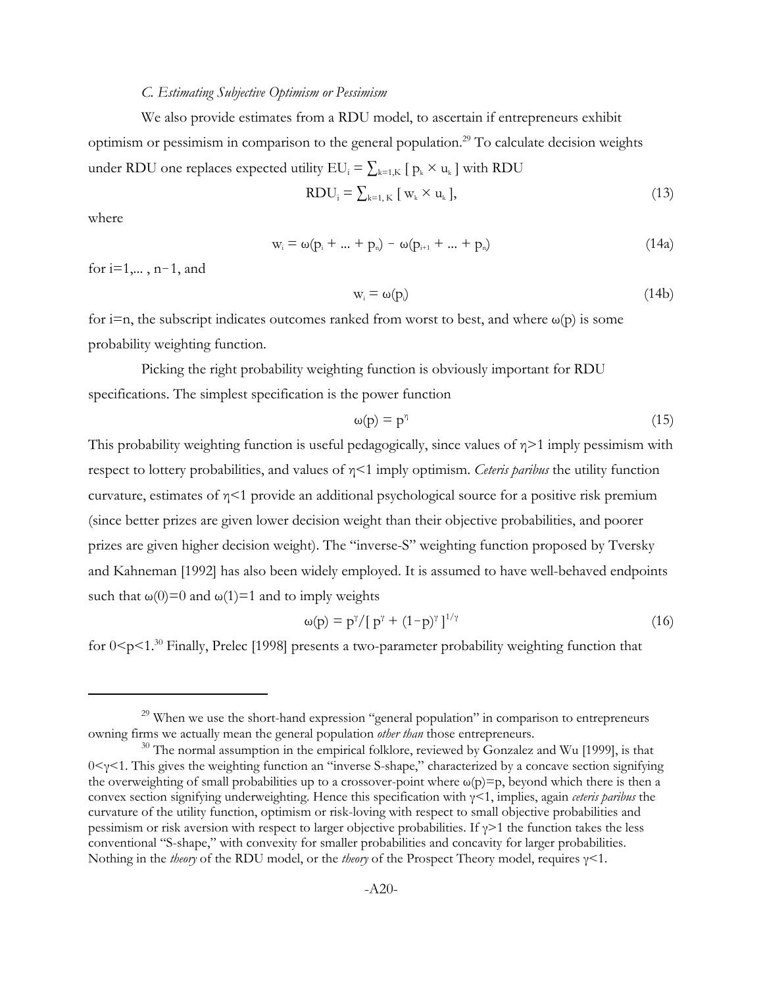### *C. Estimating Subjective Optimism or Pessimism*

 We also provide estimates from a RDU model, to ascertain if entrepreneurs exhibit optimism or pessimism in comparison to the general population.<sup>29</sup> To calculate decision weights under RDU one replaces expected utility  $EU_i = \sum_{k=1,K} [p_k \times u_k]$  with RDU

$$
RDU_i = \sum_{k=1, K} [w_k \times u_k], \qquad (13)
$$

where

$$
w_i = \omega(p_i + ... + p_n) - \omega(p_{i+1} + ... + p_n)
$$
 (14a)

for  $i=1,..., n-1$ , and

$$
w_i = \omega(p_i) \tag{14b}
$$

for i=n, the subscript indicates outcomes ranked from worst to best, and where  $\omega(p)$  is some probability weighting function.

Picking the right probability weighting function is obviously important for RDU specifications. The simplest specification is the power function

$$
\omega(p) = p^{\eta} \tag{15}
$$

This probability weighting function is useful pedagogically, since values of  $\eta$ >1 imply pessimism with respect to lottery probabilities, and values of η<1 imply optimism. *Ceteris paribus* the utility function curvature, estimates of η<1 provide an additional psychological source for a positive risk premium (since better prizes are given lower decision weight than their objective probabilities, and poorer prizes are given higher decision weight). The "inverse-S" weighting function proposed by Tversky and Kahneman [1992] has also been widely employed. It is assumed to have well-behaved endpoints such that  $\omega(0)=0$  and  $\omega(1)=1$  and to imply weights

$$
\omega(p) = p^{\gamma} / [p^{\gamma} + (1-p)^{\gamma}]^{1/\gamma}
$$
 (16)

for  $0 \le p \le 1$ .<sup>30</sup> Finally, Prelec [1998] presents a two-parameter probability weighting function that

<sup>&</sup>lt;sup>29</sup> When we use the short-hand expression "general population" in comparison to entrepreneurs owning firms we actually mean the general population *other than* those entrepreneurs.

 $30$  The normal assumption in the empirical folklore, reviewed by Gonzalez and Wu [1999], is that 0<γ<1. This gives the weighting function an "inverse S-shape," characterized by a concave section signifying the overweighting of small probabilities up to a crossover-point where  $\omega(p)=p$ , beyond which there is then a convex section signifying underweighting. Hence this specification with γ<1, implies, again *ceteris paribus* the curvature of the utility function, optimism or risk-loving with respect to small objective probabilities and pessimism or risk aversion with respect to larger objective probabilities. If  $\gamma$ >1 the function takes the less conventional "S-shape," with convexity for smaller probabilities and concavity for larger probabilities. Nothing in the *theory* of the RDU model, or the *theory* of the Prospect Theory model, requires γ<1.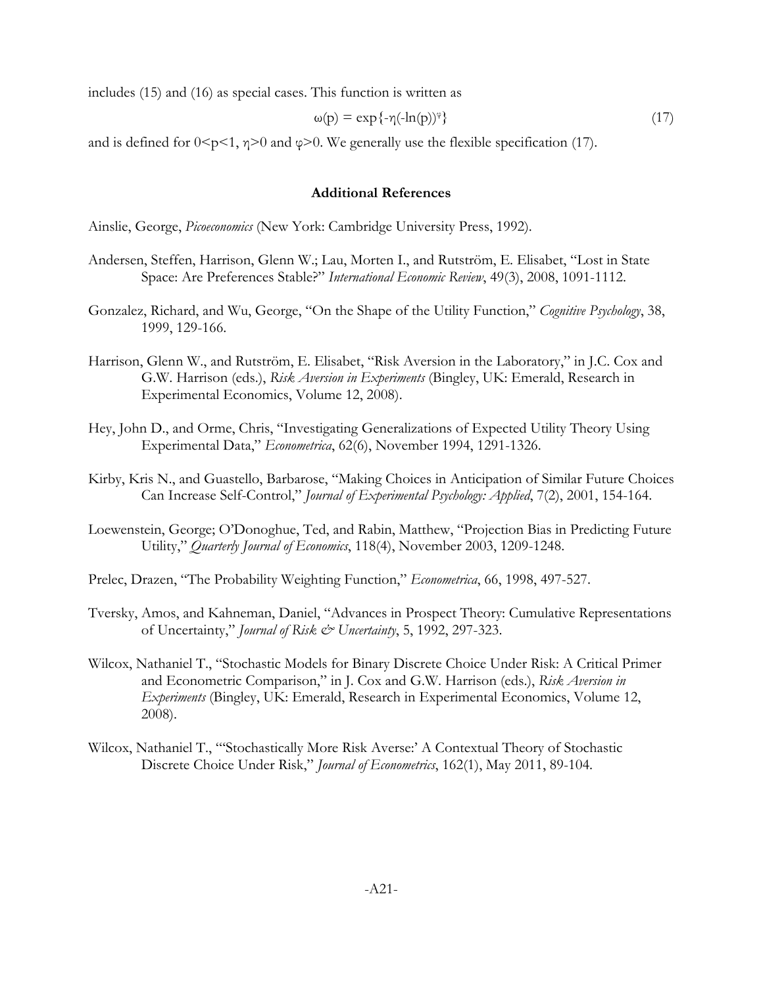includes (15) and (16) as special cases. This function is written as

$$
\omega(p) = \exp\{-\eta(-\ln(p))^{\varphi}\}\tag{17}
$$

and is defined for  $0 \le p \le 1$ ,  $\eta \ge 0$  and  $\varphi \ge 0$ . We generally use the flexible specification (17).

#### **Additional References**

Ainslie, George, *Picoeconomics* (New York: Cambridge University Press, 1992).

- Andersen, Steffen, Harrison, Glenn W.; Lau, Morten I., and Rutström, E. Elisabet, "Lost in State Space: Are Preferences Stable?" *International Economic Review*, 49(3), 2008, 1091-1112.
- Gonzalez, Richard, and Wu, George, "On the Shape of the Utility Function," *Cognitive Psychology*, 38, 1999, 129-166.
- Harrison, Glenn W., and Rutström, E. Elisabet, "Risk Aversion in the Laboratory," in J.C. Cox and G.W. Harrison (eds.), *Risk Aversion in Experiments* (Bingley, UK: Emerald, Research in Experimental Economics, Volume 12, 2008).
- Hey, John D., and Orme, Chris, "Investigating Generalizations of Expected Utility Theory Using Experimental Data," *Econometrica*, 62(6), November 1994, 1291-1326.
- Kirby, Kris N., and Guastello, Barbarose, "Making Choices in Anticipation of Similar Future Choices Can Increase Self-Control," *Journal of Experimental Psychology: Applied*, 7(2), 2001, 154-164.
- Loewenstein, George; O'Donoghue, Ted, and Rabin, Matthew, "Projection Bias in Predicting Future Utility," *Quarterly Journal of Economics*, 118(4), November 2003, 1209-1248.
- Prelec, Drazen, "The Probability Weighting Function," *Econometrica*, 66, 1998, 497-527.
- Tversky, Amos, and Kahneman, Daniel, "Advances in Prospect Theory: Cumulative Representations of Uncertainty," *Journal of Risk & Uncertainty*, 5, 1992, 297-323.
- Wilcox, Nathaniel T., "Stochastic Models for Binary Discrete Choice Under Risk: A Critical Primer and Econometric Comparison," in J. Cox and G.W. Harrison (eds.), *Risk Aversion in Experiments* (Bingley, UK: Emerald, Research in Experimental Economics, Volume 12, 2008).
- Wilcox, Nathaniel T., "'Stochastically More Risk Averse:' A Contextual Theory of Stochastic Discrete Choice Under Risk," *Journal of Econometrics*, 162(1), May 2011, 89-104.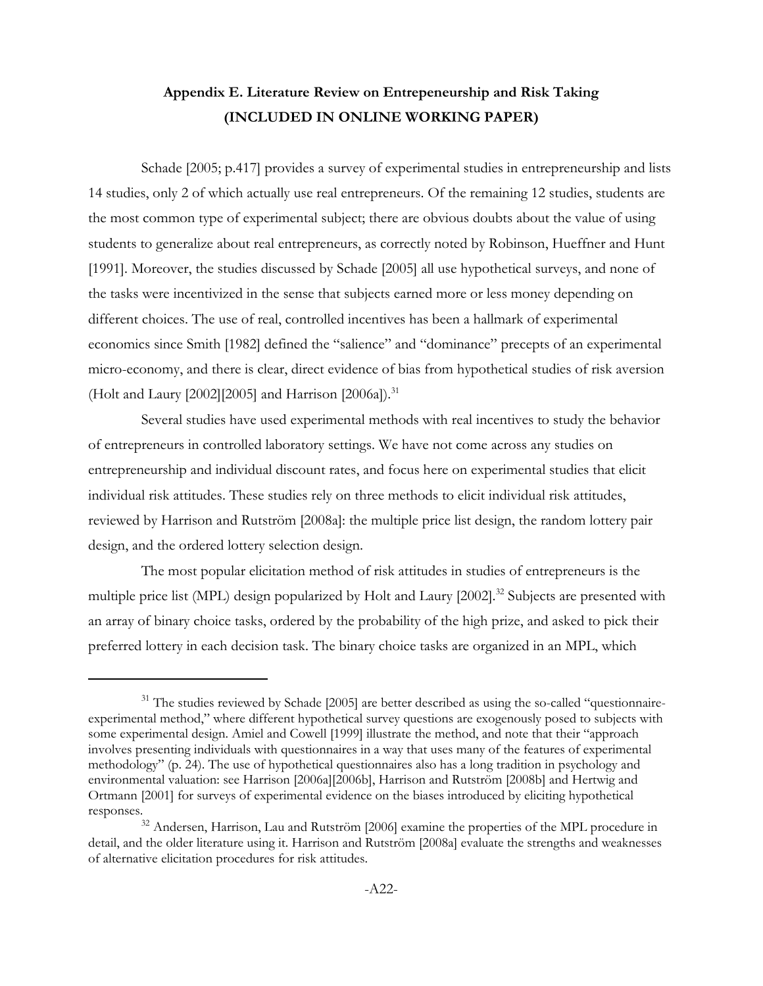# **Appendix E. Literature Review on Entrepeneurship and Risk Taking (INCLUDED IN ONLINE WORKING PAPER)**

Schade [2005; p.417] provides a survey of experimental studies in entrepreneurship and lists 14 studies, only 2 of which actually use real entrepreneurs. Of the remaining 12 studies, students are the most common type of experimental subject; there are obvious doubts about the value of using students to generalize about real entrepreneurs, as correctly noted by Robinson, Hueffner and Hunt [1991]. Moreover, the studies discussed by Schade [2005] all use hypothetical surveys, and none of the tasks were incentivized in the sense that subjects earned more or less money depending on different choices. The use of real, controlled incentives has been a hallmark of experimental economics since Smith [1982] defined the "salience" and "dominance" precepts of an experimental micro-economy, and there is clear, direct evidence of bias from hypothetical studies of risk aversion (Holt and Laury [2002][2005] and Harrison [2006a]).<sup>31</sup>

Several studies have used experimental methods with real incentives to study the behavior of entrepreneurs in controlled laboratory settings. We have not come across any studies on entrepreneurship and individual discount rates, and focus here on experimental studies that elicit individual risk attitudes. These studies rely on three methods to elicit individual risk attitudes, reviewed by Harrison and Rutström [2008a]: the multiple price list design, the random lottery pair design, and the ordered lottery selection design.

The most popular elicitation method of risk attitudes in studies of entrepreneurs is the multiple price list (MPL) design popularized by Holt and Laury [2002].<sup>32</sup> Subjects are presented with an array of binary choice tasks, ordered by the probability of the high prize, and asked to pick their preferred lottery in each decision task. The binary choice tasks are organized in an MPL, which

<sup>&</sup>lt;sup>31</sup> The studies reviewed by Schade [2005] are better described as using the so-called "questionnaireexperimental method," where different hypothetical survey questions are exogenously posed to subjects with some experimental design. Amiel and Cowell [1999] illustrate the method, and note that their "approach involves presenting individuals with questionnaires in a way that uses many of the features of experimental methodology" (p. 24). The use of hypothetical questionnaires also has a long tradition in psychology and environmental valuation: see Harrison [2006a][2006b], Harrison and Rutström [2008b] and Hertwig and Ortmann [2001] for surveys of experimental evidence on the biases introduced by eliciting hypothetical responses.

<sup>&</sup>lt;sup>32</sup> Andersen, Harrison, Lau and Rutström [2006] examine the properties of the MPL procedure in detail, and the older literature using it. Harrison and Rutström [2008a] evaluate the strengths and weaknesses of alternative elicitation procedures for risk attitudes.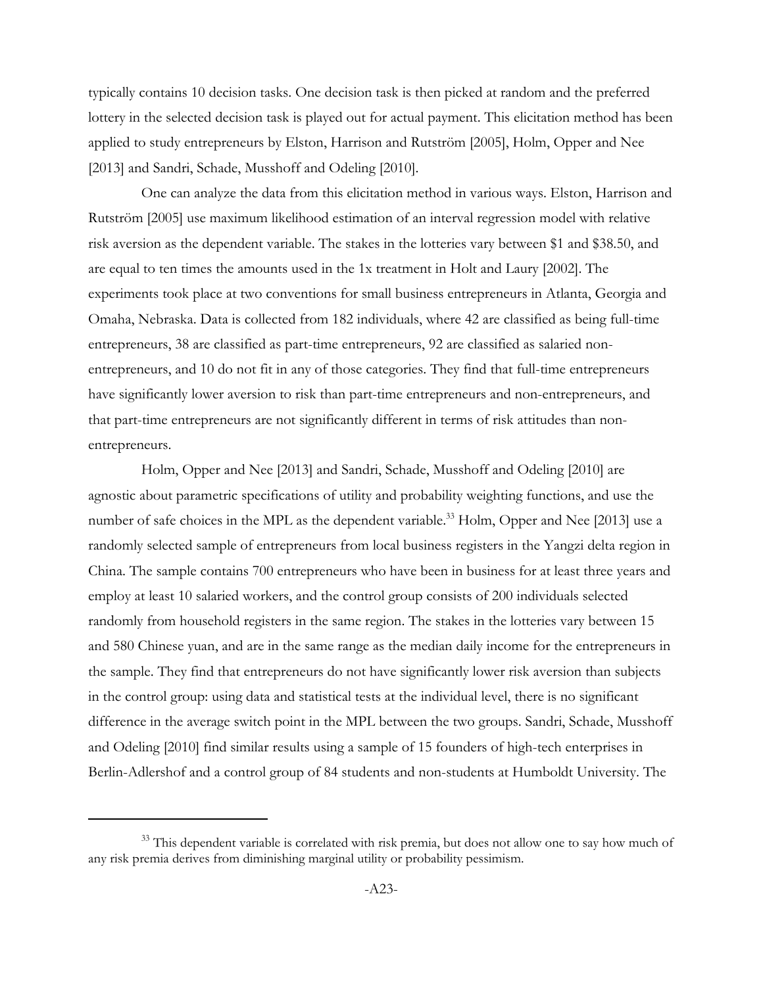typically contains 10 decision tasks. One decision task is then picked at random and the preferred lottery in the selected decision task is played out for actual payment. This elicitation method has been applied to study entrepreneurs by Elston, Harrison and Rutström [2005], Holm, Opper and Nee [2013] and Sandri, Schade, Musshoff and Odeling [2010].

One can analyze the data from this elicitation method in various ways. Elston, Harrison and Rutström [2005] use maximum likelihood estimation of an interval regression model with relative risk aversion as the dependent variable. The stakes in the lotteries vary between \$1 and \$38.50, and are equal to ten times the amounts used in the 1x treatment in Holt and Laury [2002]. The experiments took place at two conventions for small business entrepreneurs in Atlanta, Georgia and Omaha, Nebraska. Data is collected from 182 individuals, where 42 are classified as being full-time entrepreneurs, 38 are classified as part-time entrepreneurs, 92 are classified as salaried nonentrepreneurs, and 10 do not fit in any of those categories. They find that full-time entrepreneurs have significantly lower aversion to risk than part-time entrepreneurs and non-entrepreneurs, and that part-time entrepreneurs are not significantly different in terms of risk attitudes than nonentrepreneurs.

Holm, Opper and Nee [2013] and Sandri, Schade, Musshoff and Odeling [2010] are agnostic about parametric specifications of utility and probability weighting functions, and use the number of safe choices in the MPL as the dependent variable.<sup>33</sup> Holm, Opper and Nee [2013] use a randomly selected sample of entrepreneurs from local business registers in the Yangzi delta region in China. The sample contains 700 entrepreneurs who have been in business for at least three years and employ at least 10 salaried workers, and the control group consists of 200 individuals selected randomly from household registers in the same region. The stakes in the lotteries vary between 15 and 580 Chinese yuan, and are in the same range as the median daily income for the entrepreneurs in the sample. They find that entrepreneurs do not have significantly lower risk aversion than subjects in the control group: using data and statistical tests at the individual level, there is no significant difference in the average switch point in the MPL between the two groups. Sandri, Schade, Musshoff and Odeling [2010] find similar results using a sample of 15 founders of high-tech enterprises in Berlin-Adlershof and a control group of 84 students and non-students at Humboldt University. The

<sup>&</sup>lt;sup>33</sup> This dependent variable is correlated with risk premia, but does not allow one to say how much of any risk premia derives from diminishing marginal utility or probability pessimism.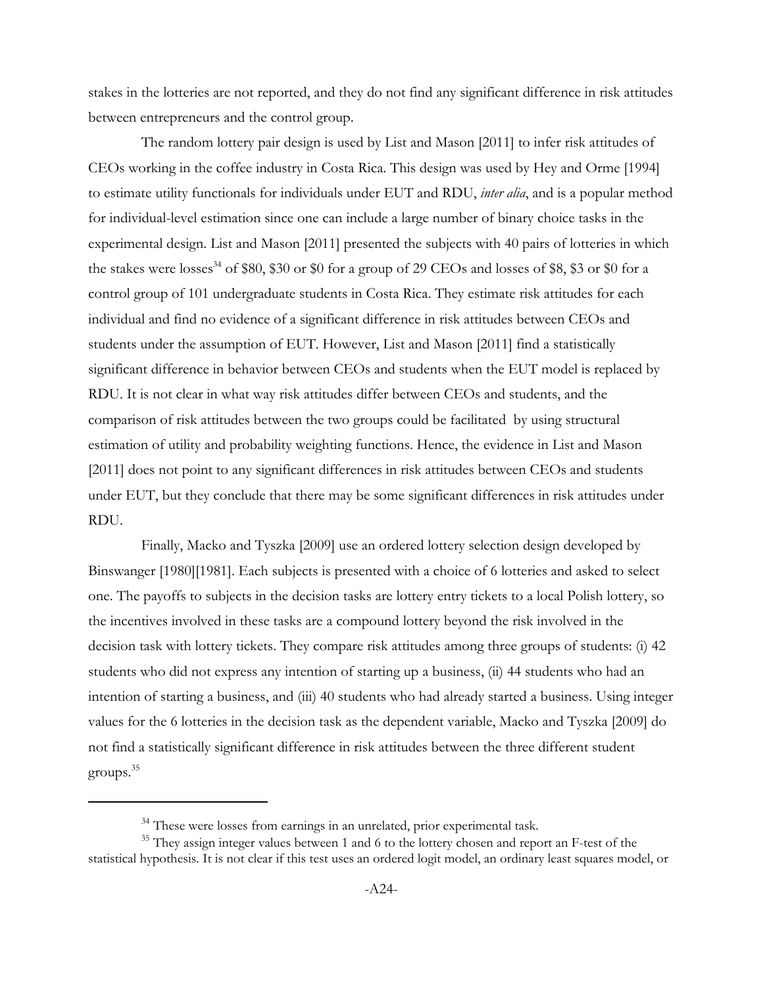stakes in the lotteries are not reported, and they do not find any significant difference in risk attitudes between entrepreneurs and the control group.

The random lottery pair design is used by List and Mason [2011] to infer risk attitudes of CEOs working in the coffee industry in Costa Rica. This design was used by Hey and Orme [1994] to estimate utility functionals for individuals under EUT and RDU, *inter alia*, and is a popular method for individual-level estimation since one can include a large number of binary choice tasks in the experimental design. List and Mason [2011] presented the subjects with 40 pairs of lotteries in which the stakes were losses<sup>34</sup> of \$80, \$30 or \$0 for a group of 29 CEOs and losses of \$8, \$3 or \$0 for a control group of 101 undergraduate students in Costa Rica. They estimate risk attitudes for each individual and find no evidence of a significant difference in risk attitudes between CEOs and students under the assumption of EUT. However, List and Mason [2011] find a statistically significant difference in behavior between CEOs and students when the EUT model is replaced by RDU. It is not clear in what way risk attitudes differ between CEOs and students, and the comparison of risk attitudes between the two groups could be facilitated by using structural estimation of utility and probability weighting functions. Hence, the evidence in List and Mason [2011] does not point to any significant differences in risk attitudes between CEOs and students under EUT, but they conclude that there may be some significant differences in risk attitudes under RDU.

 Finally, Macko and Tyszka [2009] use an ordered lottery selection design developed by Binswanger [1980][1981]. Each subjects is presented with a choice of 6 lotteries and asked to select one. The payoffs to subjects in the decision tasks are lottery entry tickets to a local Polish lottery, so the incentives involved in these tasks are a compound lottery beyond the risk involved in the decision task with lottery tickets. They compare risk attitudes among three groups of students: (i) 42 students who did not express any intention of starting up a business, (ii) 44 students who had an intention of starting a business, and (iii) 40 students who had already started a business. Using integer values for the 6 lotteries in the decision task as the dependent variable, Macko and Tyszka [2009] do not find a statistically significant difference in risk attitudes between the three different student groups.35

 $34$  These were losses from earnings in an unrelated, prior experimental task.

<sup>&</sup>lt;sup>35</sup> They assign integer values between 1 and 6 to the lottery chosen and report an F-test of the statistical hypothesis. It is not clear if this test uses an ordered logit model, an ordinary least squares model, or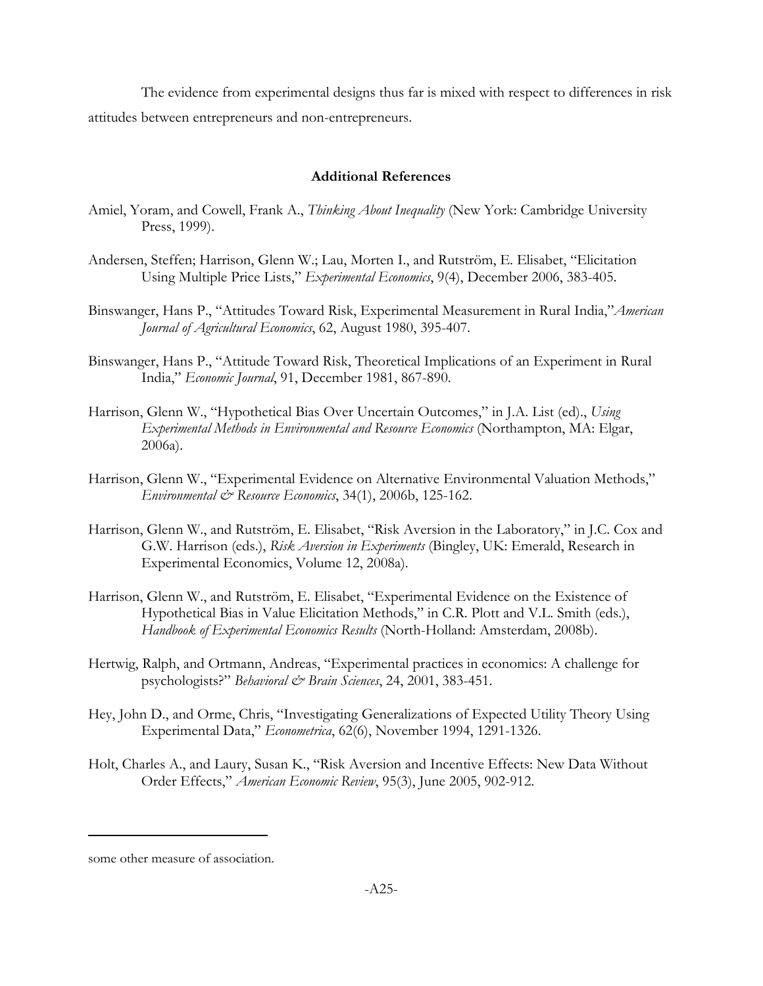The evidence from experimental designs thus far is mixed with respect to differences in risk attitudes between entrepreneurs and non-entrepreneurs.

### **Additional References**

- Amiel, Yoram, and Cowell, Frank A., *Thinking About Inequality* (New York: Cambridge University Press, 1999).
- Andersen, Steffen; Harrison, Glenn W.; Lau, Morten I., and Rutström, E. Elisabet, "Elicitation Using Multiple Price Lists," *Experimental Economics*, 9(4), December 2006, 383-405.
- Binswanger, Hans P., "Attitudes Toward Risk, Experimental Measurement in Rural India,"*American Journal of Agricultural Economics*, 62, August 1980, 395-407.
- Binswanger, Hans P., "Attitude Toward Risk, Theoretical Implications of an Experiment in Rural India," *Economic Journal*, 91, December 1981, 867-890.
- Harrison, Glenn W., "Hypothetical Bias Over Uncertain Outcomes," in J.A. List (ed)., *Using Experimental Methods in Environmental and Resource Economics* (Northampton, MA: Elgar, 2006a).
- Harrison, Glenn W., "Experimental Evidence on Alternative Environmental Valuation Methods," *Environmental & Resource Economics*, 34(1), 2006b, 125-162.
- Harrison, Glenn W., and Rutström, E. Elisabet, "Risk Aversion in the Laboratory," in J.C. Cox and G.W. Harrison (eds.), *Risk Aversion in Experiments* (Bingley, UK: Emerald, Research in Experimental Economics, Volume 12, 2008a).
- Harrison, Glenn W., and Rutström, E. Elisabet, "Experimental Evidence on the Existence of Hypothetical Bias in Value Elicitation Methods," in C.R. Plott and V.L. Smith (eds.), *Handbook of Experimental Economics Results* (North-Holland: Amsterdam, 2008b).
- Hertwig, Ralph, and Ortmann, Andreas, "Experimental practices in economics: A challenge for psychologists?" *Behavioral & Brain Sciences*, 24, 2001, 383-451.
- Hey, John D., and Orme, Chris, "Investigating Generalizations of Expected Utility Theory Using Experimental Data," *Econometrica*, 62(6), November 1994, 1291-1326.
- Holt, Charles A., and Laury, Susan K., "Risk Aversion and Incentive Effects: New Data Without Order Effects," *American Economic Review*, 95(3), June 2005, 902-912.

some other measure of association.